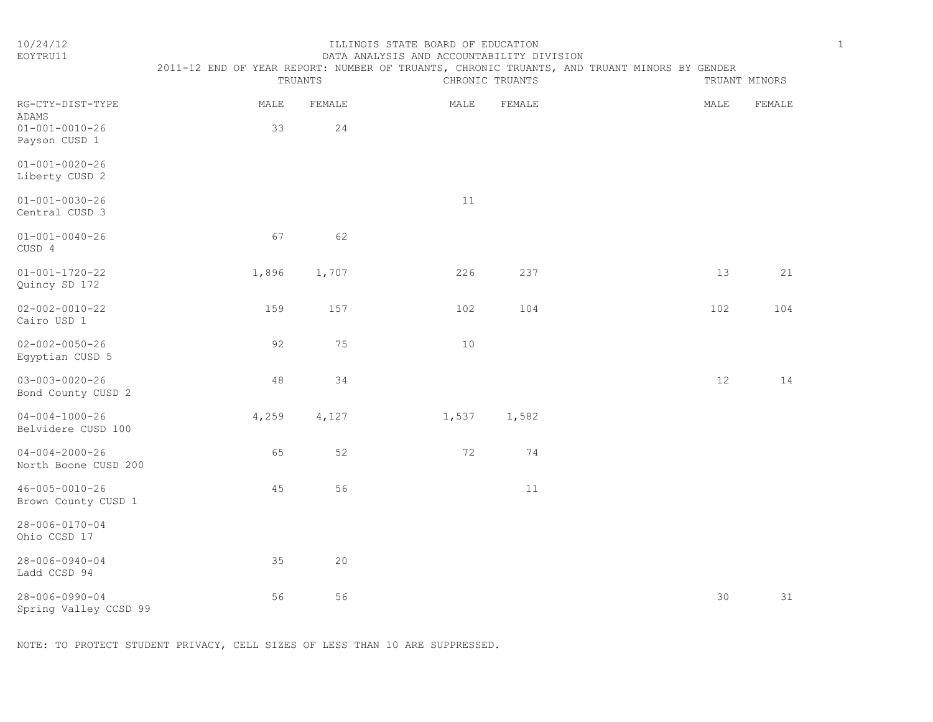| ï |
|---|
|   |
| n |
|   |

| 10/24/12<br>EOYTRU11                                                        | 2011-12 END OF YEAR REPORT: NUMBER OF TRUANTS, CHRONIC TRUANTS, AND TRUANT MINORS BY GENDER |              | ILLINOIS STATE BOARD OF EDUCATION<br>DATA ANALYSIS AND ACCOUNTABILITY DIVISION |                 |      |               | $\mathbf{1}$ |
|-----------------------------------------------------------------------------|---------------------------------------------------------------------------------------------|--------------|--------------------------------------------------------------------------------|-----------------|------|---------------|--------------|
|                                                                             |                                                                                             | TRUANTS      |                                                                                | CHRONIC TRUANTS |      | TRUANT MINORS |              |
| RG-CTY-DIST-TYPE<br><b>ADAMS</b><br>$01 - 001 - 0010 - 26$<br>Payson CUSD 1 | MALE<br>33                                                                                  | FEMALE<br>24 | MALE                                                                           | FEMALE          | MALE | FEMALE        |              |
| $01 - 001 - 0020 - 26$<br>Liberty CUSD 2                                    |                                                                                             |              |                                                                                |                 |      |               |              |
| $01 - 001 - 0030 - 26$<br>Central CUSD 3                                    |                                                                                             |              | 11                                                                             |                 |      |               |              |
| $01 - 001 - 0040 - 26$<br>CUSD 4                                            | 67                                                                                          | 62           |                                                                                |                 |      |               |              |
| $01 - 001 - 1720 - 22$<br>Quincy SD 172                                     | 1,896                                                                                       | 1,707        | 226                                                                            | 237             | 13   | 21            |              |
| $02 - 002 - 0010 - 22$<br>Cairo USD 1                                       | 159                                                                                         | 157          | 102                                                                            | 104             | 102  | 104           |              |
| $02 - 002 - 0050 - 26$<br>Egyptian CUSD 5                                   | 92                                                                                          | 75           | 10                                                                             |                 |      |               |              |
| $03 - 003 - 0020 - 26$<br>Bond County CUSD 2                                | 48                                                                                          | 34           |                                                                                |                 | 12   | 14            |              |
| $04 - 004 - 1000 - 26$<br>Belvidere CUSD 100                                | 4,259                                                                                       | 4,127        | 1,537                                                                          | 1,582           |      |               |              |
| $04 - 004 - 2000 - 26$<br>North Boone CUSD 200                              | 65                                                                                          | 52           | 72                                                                             | 74              |      |               |              |
| $46 - 005 - 0010 - 26$<br>Brown County CUSD 1                               | 45                                                                                          | 56           |                                                                                | 11              |      |               |              |
| 28-006-0170-04<br>Ohio CCSD 17                                              |                                                                                             |              |                                                                                |                 |      |               |              |
| 28-006-0940-04<br>Ladd CCSD 94                                              | 35                                                                                          | 20           |                                                                                |                 |      |               |              |
| $28 - 006 - 0990 - 04$                                                      | 56                                                                                          | 56           |                                                                                |                 | 30   | 31            |              |

Spring Valley CCSD 99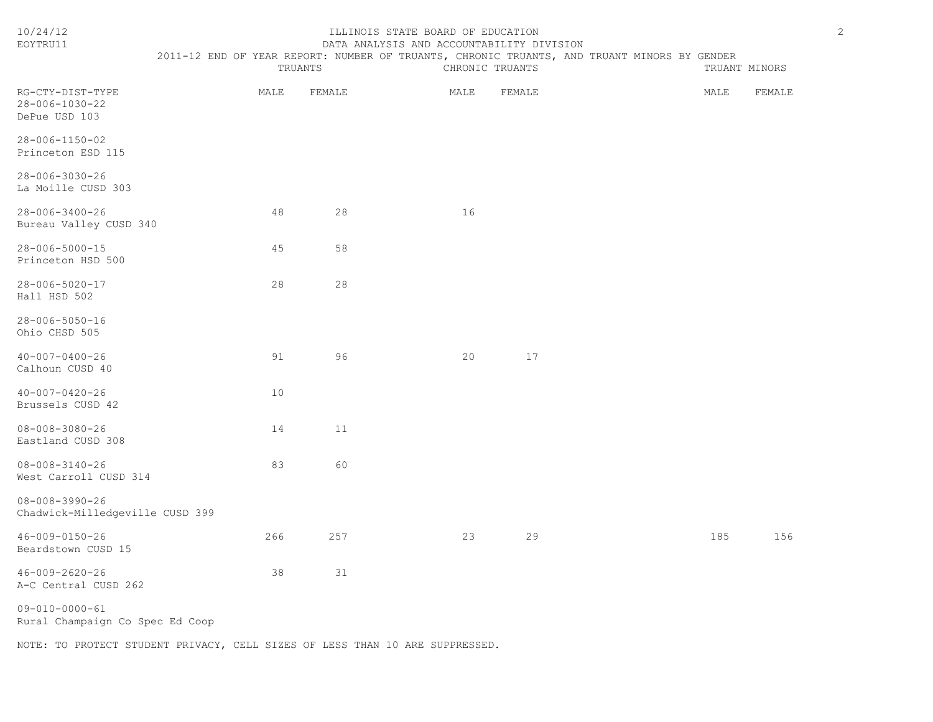| EOYTRU11                                                  | DATA ANALYSIS AND ACCOUNTABILITY DIVISION                                                   |         |      |                 |  |      |               |  |
|-----------------------------------------------------------|---------------------------------------------------------------------------------------------|---------|------|-----------------|--|------|---------------|--|
|                                                           | 2011-12 END OF YEAR REPORT: NUMBER OF TRUANTS, CHRONIC TRUANTS, AND TRUANT MINORS BY GENDER | TRUANTS |      | CHRONIC TRUANTS |  |      | TRUANT MINORS |  |
| RG-CTY-DIST-TYPE<br>28-006-1030-22<br>DePue USD 103       | MALE                                                                                        | FEMALE  | MALE | FEMALE          |  | MALE | FEMALE        |  |
| 28-006-1150-02<br>Princeton ESD 115                       |                                                                                             |         |      |                 |  |      |               |  |
| 28-006-3030-26<br>La Moille CUSD 303                      |                                                                                             |         |      |                 |  |      |               |  |
| 28-006-3400-26<br>Bureau Valley CUSD 340                  | 48                                                                                          | 28      | 16   |                 |  |      |               |  |
| 28-006-5000-15<br>Princeton HSD 500                       | 45                                                                                          | 58      |      |                 |  |      |               |  |
| 28-006-5020-17<br>Hall HSD 502                            | 28                                                                                          | 28      |      |                 |  |      |               |  |
| 28-006-5050-16<br>Ohio CHSD 505                           |                                                                                             |         |      |                 |  |      |               |  |
| $40 - 007 - 0400 - 26$<br>Calhoun CUSD 40                 | 91                                                                                          | 96      | 20   | 17              |  |      |               |  |
| $40 - 007 - 0420 - 26$<br>Brussels CUSD 42                | 10                                                                                          |         |      |                 |  |      |               |  |
| $08 - 008 - 3080 - 26$<br>Eastland CUSD 308               | 14                                                                                          | 11      |      |                 |  |      |               |  |
| $08 - 008 - 3140 - 26$<br>West Carroll CUSD 314           | 83                                                                                          | 60      |      |                 |  |      |               |  |
| $08 - 008 - 3990 - 26$<br>Chadwick-Milledgeville CUSD 399 |                                                                                             |         |      |                 |  |      |               |  |
| $46 - 009 - 0150 - 26$<br>Beardstown CUSD 15              | 266                                                                                         | 257     | 23   | 29              |  | 185  | 156           |  |
| $46 - 009 - 2620 - 26$<br>A-C Central CUSD 262            | 38                                                                                          | 31      |      |                 |  |      |               |  |
| $09 - 010 - 0000 - 61$<br>Rural Champaign Co Spec Ed Coop |                                                                                             |         |      |                 |  |      |               |  |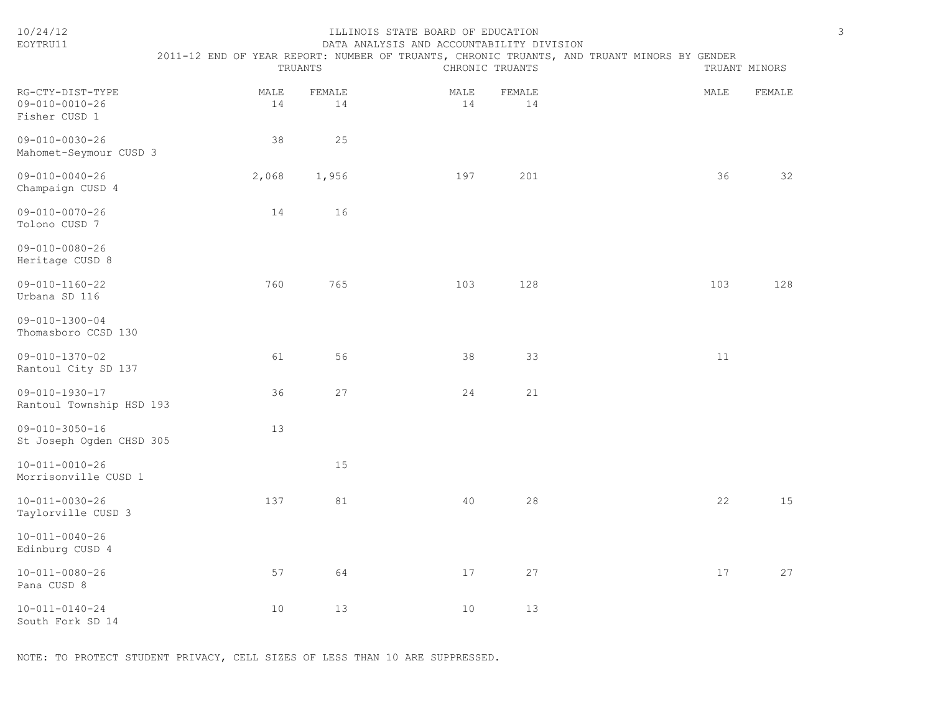| 10/24/12<br>EOYTRU11                                        |            | TRUANTS      | ILLINOIS STATE BOARD OF EDUCATION<br>DATA ANALYSIS AND ACCOUNTABILITY DIVISION | CHRONIC TRUANTS | 2011-12 END OF YEAR REPORT: NUMBER OF TRUANTS, CHRONIC TRUANTS, AND TRUANT MINORS BY GENDER |      | $\mathfrak{Z}$<br>TRUANT MINORS |
|-------------------------------------------------------------|------------|--------------|--------------------------------------------------------------------------------|-----------------|---------------------------------------------------------------------------------------------|------|---------------------------------|
| RG-CTY-DIST-TYPE<br>$09 - 010 - 0010 - 26$<br>Fisher CUSD 1 | MALE<br>14 | FEMALE<br>14 | MALE<br>14                                                                     | FEMALE<br>14    |                                                                                             | MALE | FEMALE                          |
| $09 - 010 - 0030 - 26$<br>Mahomet-Seymour CUSD 3            | 38         | 25           |                                                                                |                 |                                                                                             |      |                                 |
| $09 - 010 - 0040 - 26$<br>Champaign CUSD 4                  | 2,068      | 1,956        | 197                                                                            | 201             |                                                                                             | 36   | 32                              |
| $09 - 010 - 0070 - 26$<br>Tolono CUSD 7                     | 14         | 16           |                                                                                |                 |                                                                                             |      |                                 |
| $09 - 010 - 0080 - 26$<br>Heritage CUSD 8                   |            |              |                                                                                |                 |                                                                                             |      |                                 |
| $09 - 010 - 1160 - 22$<br>Urbana SD 116                     | 760        | 765          | 103                                                                            | 128             |                                                                                             | 103  | 128                             |
| $09 - 010 - 1300 - 04$<br>Thomasboro CCSD 130               |            |              |                                                                                |                 |                                                                                             |      |                                 |
| $09 - 010 - 1370 - 02$<br>Rantoul City SD 137               | 61         | 56           | 38                                                                             | 33              |                                                                                             | 11   |                                 |
| $09 - 010 - 1930 - 17$<br>Rantoul Township HSD 193          | 36         | 27           | 24                                                                             | 21              |                                                                                             |      |                                 |
| $09 - 010 - 3050 - 16$<br>St Joseph Ogden CHSD 305          | 13         |              |                                                                                |                 |                                                                                             |      |                                 |
| $10 - 011 - 0010 - 26$<br>Morrisonville CUSD 1              |            | 15           |                                                                                |                 |                                                                                             |      |                                 |
| $10 - 011 - 0030 - 26$<br>Taylorville CUSD 3                | 137        | 81           | 40                                                                             | 28              |                                                                                             | 22   | 15                              |
| $10 - 011 - 0040 - 26$<br>Edinburg CUSD 4                   |            |              |                                                                                |                 |                                                                                             |      |                                 |
| 10-011-0080-26<br>Pana CUSD 8                               | 57         | 64           | 17                                                                             | 27              |                                                                                             | 17   | 27                              |
| $10 - 011 - 0140 - 24$<br>South Fork SD 14                  | 10         | 13           | 10                                                                             | 13              |                                                                                             |      |                                 |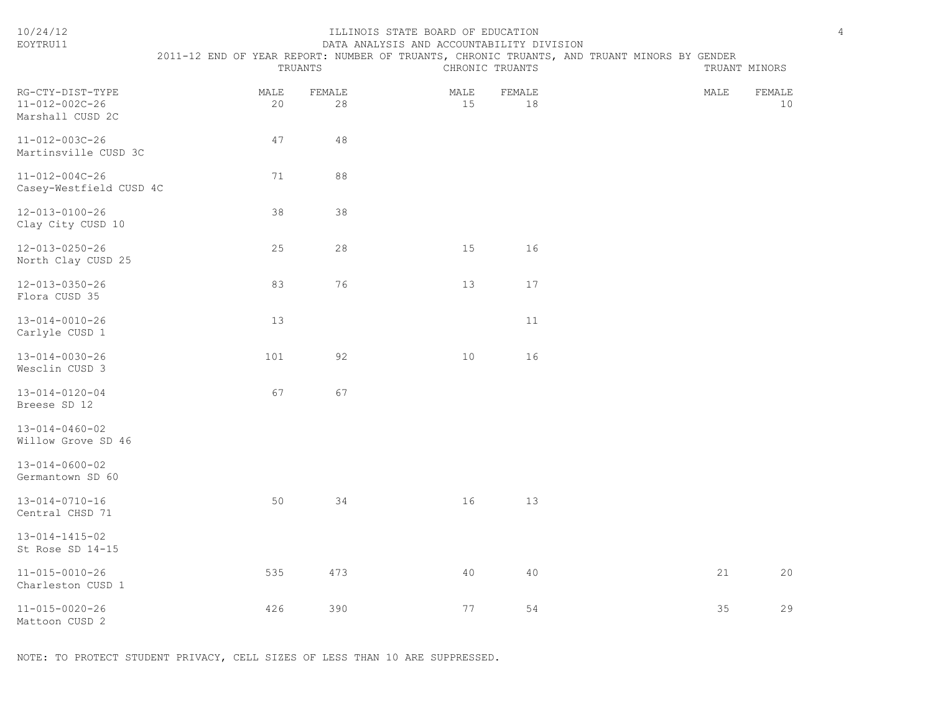| EOYTRU11                                               |                                                                                             |              | DATA ANALYSIS AND ACCOUNTABILITY DIVISION |              |               |              |
|--------------------------------------------------------|---------------------------------------------------------------------------------------------|--------------|-------------------------------------------|--------------|---------------|--------------|
|                                                        | 2011-12 END OF YEAR REPORT: NUMBER OF TRUANTS, CHRONIC TRUANTS, AND TRUANT MINORS BY GENDER |              |                                           |              |               |              |
|                                                        |                                                                                             | TRUANTS      | CHRONIC TRUANTS                           |              | TRUANT MINORS |              |
| RG-CTY-DIST-TYPE<br>11-012-002C-26<br>Marshall CUSD 2C | MALE<br>20                                                                                  | FEMALE<br>28 | MALE<br>15                                | FEMALE<br>18 | MALE          | FEMALE<br>10 |
| 11-012-003C-26<br>Martinsville CUSD 3C                 | 47                                                                                          | 48           |                                           |              |               |              |
| 11-012-004C-26<br>Casey-Westfield CUSD 4C              | 71                                                                                          | 88           |                                           |              |               |              |
| 12-013-0100-26<br>Clay City CUSD 10                    | 38                                                                                          | 38           |                                           |              |               |              |
| $12 - 013 - 0250 - 26$<br>North Clay CUSD 25           | 25                                                                                          | 28           | 15                                        | 16           |               |              |
| 12-013-0350-26<br>Flora CUSD 35                        | 83                                                                                          | 76           | 13                                        | 17           |               |              |
| 13-014-0010-26<br>Carlyle CUSD 1                       | 13                                                                                          |              |                                           | 11           |               |              |
| 13-014-0030-26<br>Wesclin CUSD 3                       | 101                                                                                         | 92           | 10                                        | 16           |               |              |
| 13-014-0120-04<br>Breese SD 12                         | 67                                                                                          | 67           |                                           |              |               |              |
| 13-014-0460-02<br>Willow Grove SD 46                   |                                                                                             |              |                                           |              |               |              |
| 13-014-0600-02<br>Germantown SD 60                     |                                                                                             |              |                                           |              |               |              |
| 13-014-0710-16<br>Central CHSD 71                      | 50                                                                                          | 34           | 16                                        | 13           |               |              |
| 13-014-1415-02<br>St Rose SD 14-15                     |                                                                                             |              |                                           |              |               |              |
| 11-015-0010-26<br>Charleston CUSD 1                    | 535                                                                                         | 473          | 40                                        | 40           | 21            | 20           |
| 11-015-0020-26<br>Mattoon CUSD 2                       | 426                                                                                         | 390          | 77                                        | 54           | 35            | 29           |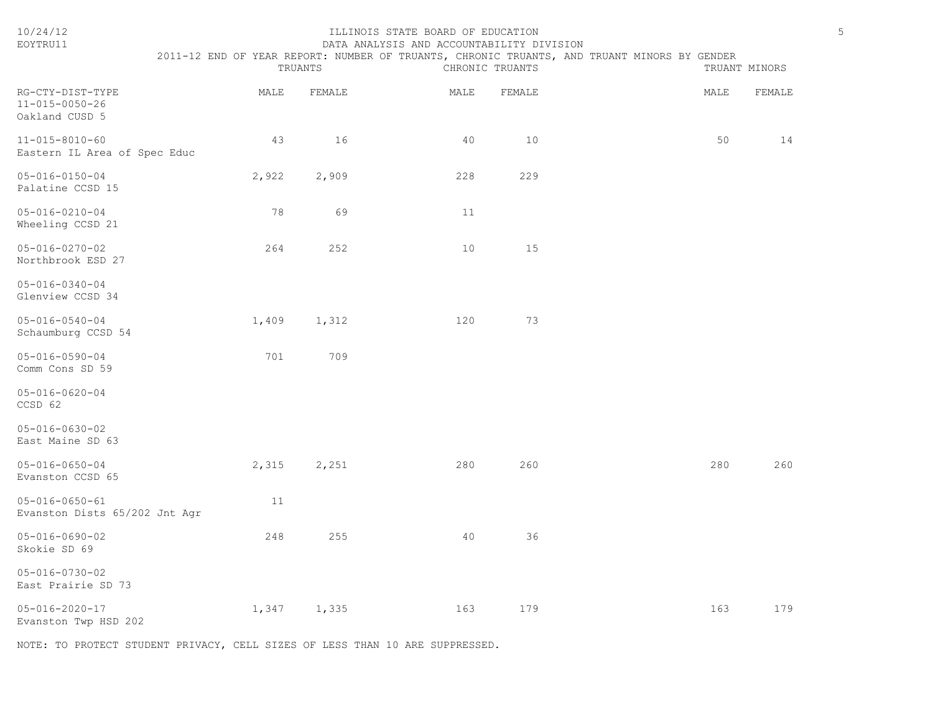| 10/24/12<br>EOYTRU11                                    |       | TRUANTS  | ILLINOIS STATE BOARD OF EDUCATION<br>DATA ANALYSIS AND ACCOUNTABILITY DIVISION | CHRONIC TRUANTS | 2011-12 END OF YEAR REPORT: NUMBER OF TRUANTS, CHRONIC TRUANTS, AND TRUANT MINORS BY GENDER |      | 5<br>TRUANT MINORS |
|---------------------------------------------------------|-------|----------|--------------------------------------------------------------------------------|-----------------|---------------------------------------------------------------------------------------------|------|--------------------|
| RG-CTY-DIST-TYPE<br>11-015-0050-26<br>Oakland CUSD 5    | MALE  | FEMALE   | MALE                                                                           | FEMALE          |                                                                                             | MALE | FEMALE             |
| $11 - 015 - 8010 - 60$<br>Eastern IL Area of Spec Educ  |       | 43<br>16 | 40                                                                             | 10              |                                                                                             | 50   | 14                 |
| $05 - 016 - 0150 - 04$<br>Palatine CCSD 15              | 2,922 | 2,909    | 228                                                                            | 229             |                                                                                             |      |                    |
| $05 - 016 - 0210 - 04$<br>Wheeling CCSD 21              |       | 78<br>69 | 11                                                                             |                 |                                                                                             |      |                    |
| $05 - 016 - 0270 - 02$<br>Northbrook ESD 27             | 264   | 252      | 10                                                                             | 15              |                                                                                             |      |                    |
| $05 - 016 - 0340 - 04$<br>Glenview CCSD 34              |       |          |                                                                                |                 |                                                                                             |      |                    |
| $05 - 016 - 0540 - 04$<br>Schaumburg CCSD 54            | 1,409 | 1,312    | 120                                                                            | 73              |                                                                                             |      |                    |
| $05 - 016 - 0590 - 04$<br>Comm Cons SD 59               | 701   | 709      |                                                                                |                 |                                                                                             |      |                    |
| $05 - 016 - 0620 - 04$<br>CCSD 62                       |       |          |                                                                                |                 |                                                                                             |      |                    |
| $05 - 016 - 0630 - 02$<br>East Maine SD 63              |       |          |                                                                                |                 |                                                                                             |      |                    |
| $05 - 016 - 0650 - 04$<br>Evanston CCSD 65              | 2,315 | 2,251    | 280                                                                            | 260             |                                                                                             | 280  | 260                |
| $05 - 016 - 0650 - 61$<br>Evanston Dists 65/202 Jnt Agr |       | 11       |                                                                                |                 |                                                                                             |      |                    |
| $05 - 016 - 0690 - 02$<br>Skokie SD 69                  | 248   | 255      | 40                                                                             | 36              |                                                                                             |      |                    |
| $05 - 016 - 0730 - 02$<br>East Prairie SD 73            |       |          |                                                                                |                 |                                                                                             |      |                    |
| $05 - 016 - 2020 - 17$<br>Evanston Twp HSD 202          | 1,347 | 1,335    | 163                                                                            | 179             |                                                                                             | 163  | 179                |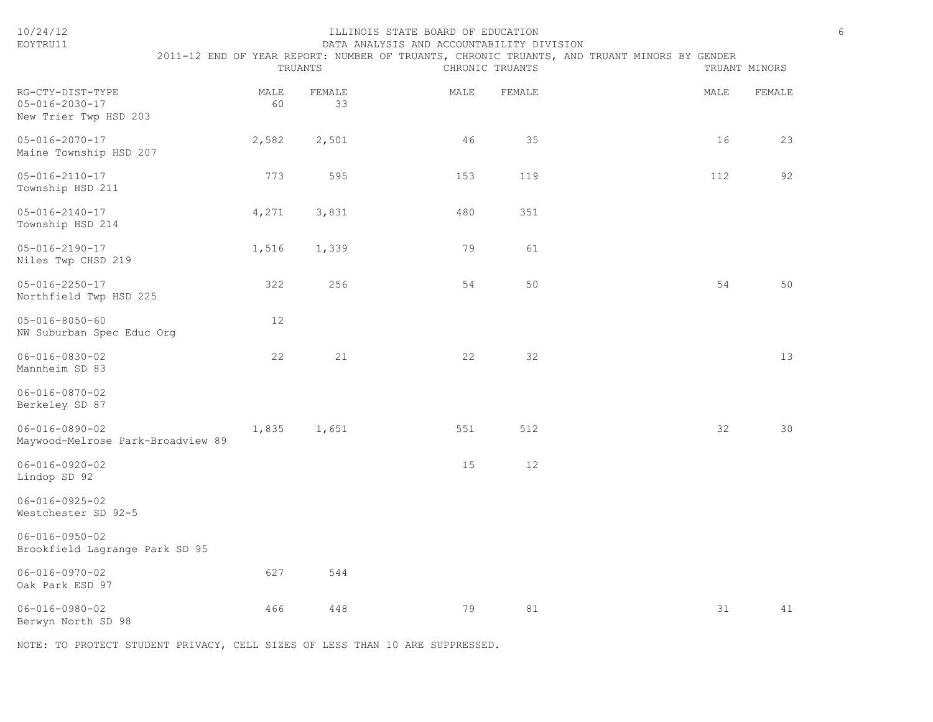| 10/24/12<br>EOYTRU11                                                |            | TRUANTS      | ILLINOIS STATE BOARD OF EDUCATION<br>DATA ANALYSIS AND ACCOUNTABILITY DIVISION | CHRONIC TRUANTS | 2011-12 END OF YEAR REPORT: NUMBER OF TRUANTS, CHRONIC TRUANTS, AND TRUANT MINORS BY GENDER |      | TRUANT MINORS | $\epsilon$ |
|---------------------------------------------------------------------|------------|--------------|--------------------------------------------------------------------------------|-----------------|---------------------------------------------------------------------------------------------|------|---------------|------------|
| RG-CTY-DIST-TYPE<br>$05 - 016 - 2030 - 17$<br>New Trier Twp HSD 203 | MALE<br>60 | FEMALE<br>33 | MALE                                                                           | FEMALE          |                                                                                             | MALE | FEMALE        |            |
| $05 - 016 - 2070 - 17$<br>Maine Township HSD 207                    | 2,582      | 2,501        | 46                                                                             | 35              |                                                                                             | 16   | 23            |            |
| $05 - 016 - 2110 - 17$<br>Township HSD 211                          | 773        | 595          | 153                                                                            | 119             |                                                                                             | 112  | 92            |            |
| $05 - 016 - 2140 - 17$<br>Township HSD 214                          | 4,271      | 3,831        | 480                                                                            | 351             |                                                                                             |      |               |            |
| $05 - 016 - 2190 - 17$<br>Niles Twp CHSD 219                        | 1,516      | 1,339        | 79                                                                             | 61              |                                                                                             |      |               |            |
| $05 - 016 - 2250 - 17$<br>Northfield Twp HSD 225                    | 322        | 256          | 54                                                                             | 50              |                                                                                             | 54   | 50            |            |
| $05 - 016 - 8050 - 60$<br>NW Suburban Spec Educ Org                 | 12         |              |                                                                                |                 |                                                                                             |      |               |            |
| $06 - 016 - 0830 - 02$<br>Mannheim SD 83                            | 22         | 21           | 22                                                                             | 32              |                                                                                             |      | 13            |            |
| $06 - 016 - 0870 - 02$<br>Berkeley SD 87                            |            |              |                                                                                |                 |                                                                                             |      |               |            |
| $06 - 016 - 0890 - 02$<br>Maywood-Melrose Park-Broadview 89         | 1,835      | 1,651        | 551                                                                            | 512             |                                                                                             | 32   | 30            |            |
| $06 - 016 - 0920 - 02$<br>Lindop SD 92                              |            |              | 15                                                                             | 12              |                                                                                             |      |               |            |
| $06 - 016 - 0925 - 02$<br>Westchester SD 92-5                       |            |              |                                                                                |                 |                                                                                             |      |               |            |
| $06 - 016 - 0950 - 02$<br>Brookfield Lagrange Park SD 95            |            |              |                                                                                |                 |                                                                                             |      |               |            |
| $06 - 016 - 0970 - 02$<br>Oak Park ESD 97                           | 627        | 544          |                                                                                |                 |                                                                                             |      |               |            |
| $06 - 016 - 0980 - 02$<br>Berwyn North SD 98                        | 466        | 448          | 79                                                                             | 81              |                                                                                             | 31   | 41            |            |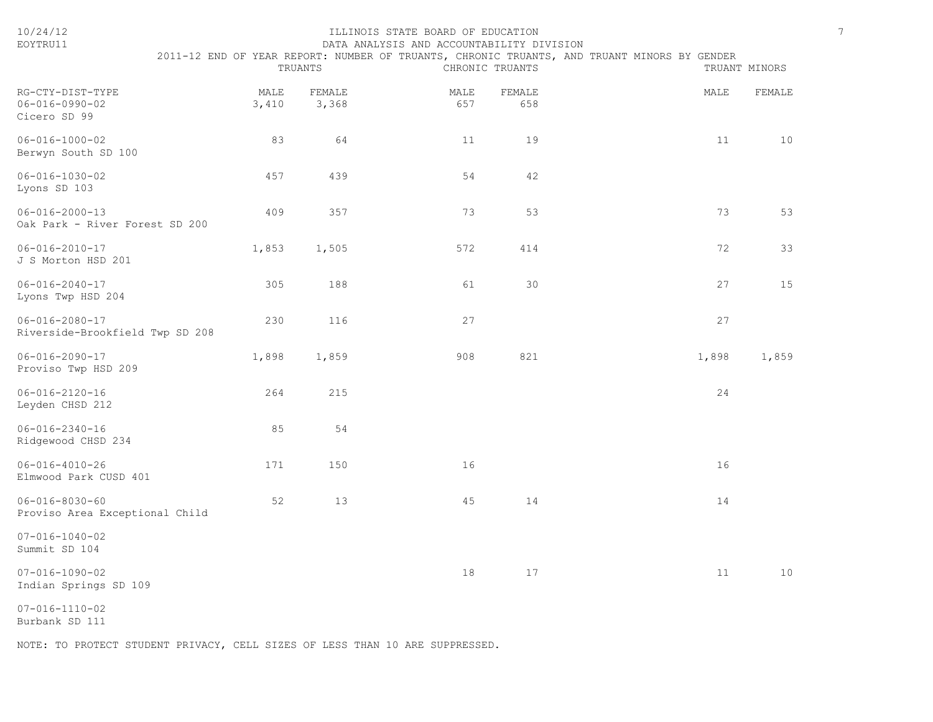| EOYTRU11                                                   |               |                 | DATA ANALYSIS AND ACCOUNTABILITY DIVISION |                 |                                                                                             |               |
|------------------------------------------------------------|---------------|-----------------|-------------------------------------------|-----------------|---------------------------------------------------------------------------------------------|---------------|
|                                                            |               | TRUANTS         |                                           | CHRONIC TRUANTS | 2011-12 END OF YEAR REPORT: NUMBER OF TRUANTS, CHRONIC TRUANTS, AND TRUANT MINORS BY GENDER | TRUANT MINORS |
| RG-CTY-DIST-TYPE<br>$06 - 016 - 0990 - 02$<br>Cicero SD 99 | MALE<br>3,410 | FEMALE<br>3,368 | MALE<br>657                               | FEMALE<br>658   | MALE                                                                                        | FEMALE        |
| $06 - 016 - 1000 - 02$<br>Berwyn South SD 100              | 83            | 64              | 11                                        | 19              | 11                                                                                          | 10            |
| $06 - 016 - 1030 - 02$<br>Lyons SD 103                     | 457           | 439             | 54                                        | 42              |                                                                                             |               |
| $06 - 016 - 2000 - 13$<br>Oak Park - River Forest SD 200   | 409           | 357             | 73                                        | 53              | 73                                                                                          | 53            |
| $06 - 016 - 2010 - 17$<br>J S Morton HSD 201               | 1,853         | 1,505           | 572                                       | 414             | 72                                                                                          | 33            |
| $06 - 016 - 2040 - 17$<br>Lyons Twp HSD 204                | 305           | 188             | 61                                        | 30              | 27                                                                                          | 15            |
| $06 - 016 - 2080 - 17$<br>Riverside-Brookfield Twp SD 208  | 230           | 116             | 27                                        |                 | 27                                                                                          |               |
| $06 - 016 - 2090 - 17$<br>Proviso Twp HSD 209              | 1,898         | 1,859           | 908                                       | 821             | 1,898                                                                                       | 1,859         |
| $06 - 016 - 2120 - 16$<br>Leyden CHSD 212                  | 264           | 215             |                                           |                 | 24                                                                                          |               |
| $06 - 016 - 2340 - 16$<br>Ridgewood CHSD 234               | 85            | 54              |                                           |                 |                                                                                             |               |
| $06 - 016 - 4010 - 26$<br>Elmwood Park CUSD 401            | 171           | 150             | 16                                        |                 | 16                                                                                          |               |
| $06 - 016 - 8030 - 60$<br>Proviso Area Exceptional Child   | 52            | 13              | 45                                        | 14              | 14                                                                                          |               |
| $07 - 016 - 1040 - 02$<br>Summit SD 104                    |               |                 |                                           |                 |                                                                                             |               |
| $07 - 016 - 1090 - 02$<br>Indian Springs SD 109            |               |                 | 18                                        | $17$            | 11                                                                                          | $10$          |
| $07 - 016 - 1110 - 02$                                     |               |                 |                                           |                 |                                                                                             |               |

Burbank SD 111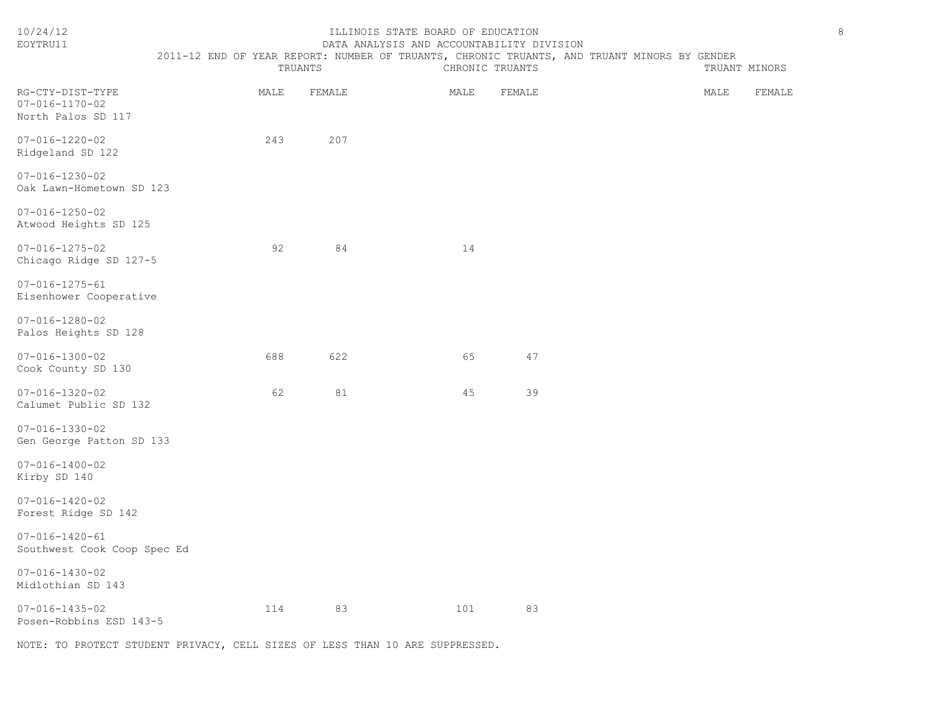| 10/24/12<br>EOYTRU11                                             | 2011-12 END OF YEAR REPORT: NUMBER OF TRUANTS, CHRONIC TRUANTS, AND TRUANT MINORS BY GENDER | TRUANTS | ILLINOIS STATE BOARD OF EDUCATION<br>DATA ANALYSIS AND ACCOUNTABILITY DIVISION | CHRONIC TRUANTS | TRUANT MINORS | $\,8\,$ |
|------------------------------------------------------------------|---------------------------------------------------------------------------------------------|---------|--------------------------------------------------------------------------------|-----------------|---------------|---------|
| RG-CTY-DIST-TYPE<br>$07 - 016 - 1170 - 02$<br>North Palos SD 117 | MALE                                                                                        | FEMALE  | MALE                                                                           | FEMALE          | MALE          | FEMALE  |
| $07 - 016 - 1220 - 02$<br>Ridgeland SD 122                       | 243                                                                                         | 207     |                                                                                |                 |               |         |
| $07 - 016 - 1230 - 02$<br>Oak Lawn-Hometown SD 123               |                                                                                             |         |                                                                                |                 |               |         |
| $07 - 016 - 1250 - 02$<br>Atwood Heights SD 125                  |                                                                                             |         |                                                                                |                 |               |         |
| $07 - 016 - 1275 - 02$<br>Chicago Ridge SD 127-5                 | 92                                                                                          | 84      | 14                                                                             |                 |               |         |
| $07 - 016 - 1275 - 61$<br>Eisenhower Cooperative                 |                                                                                             |         |                                                                                |                 |               |         |
| $07 - 016 - 1280 - 02$<br>Palos Heights SD 128                   |                                                                                             |         |                                                                                |                 |               |         |
| $07 - 016 - 1300 - 02$<br>Cook County SD 130                     | 688                                                                                         | 622     | 65                                                                             | 47              |               |         |
| $07 - 016 - 1320 - 02$<br>Calumet Public SD 132                  | 62                                                                                          | 81      | 45                                                                             | 39              |               |         |
| $07 - 016 - 1330 - 02$<br>Gen George Patton SD 133               |                                                                                             |         |                                                                                |                 |               |         |
| $07 - 016 - 1400 - 02$<br>Kirby SD 140                           |                                                                                             |         |                                                                                |                 |               |         |
| $07 - 016 - 1420 - 02$<br>Forest Ridge SD 142                    |                                                                                             |         |                                                                                |                 |               |         |
| $07 - 016 - 1420 - 61$<br>Southwest Cook Coop Spec Ed            |                                                                                             |         |                                                                                |                 |               |         |
| $07 - 016 - 1430 - 02$<br>Midlothian SD 143                      |                                                                                             |         |                                                                                |                 |               |         |
| $07 - 016 - 1435 - 02$<br>Posen-Robbins ESD 143-5                | 114                                                                                         | 83      | 101                                                                            | 83              |               |         |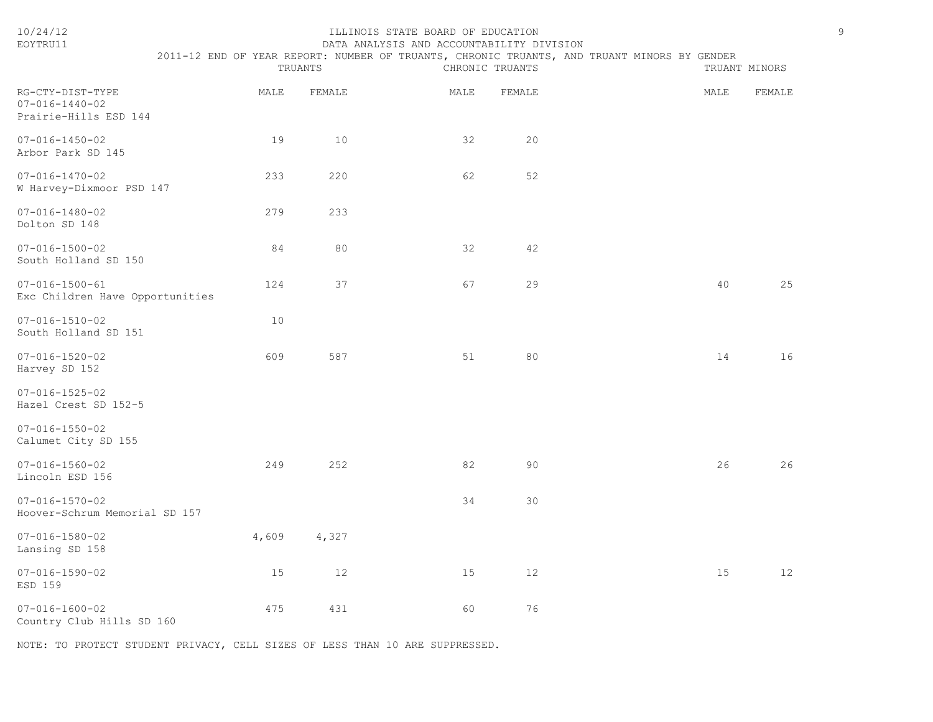| EOYTRU11                                                            | DATA ANALYSIS AND ACCOUNTABILITY DIVISION                                                   |         |      |                 |  |      |               |  |  |
|---------------------------------------------------------------------|---------------------------------------------------------------------------------------------|---------|------|-----------------|--|------|---------------|--|--|
|                                                                     | 2011-12 END OF YEAR REPORT: NUMBER OF TRUANTS, CHRONIC TRUANTS, AND TRUANT MINORS BY GENDER | TRUANTS |      | CHRONIC TRUANTS |  |      | TRUANT MINORS |  |  |
| RG-CTY-DIST-TYPE<br>$07 - 016 - 1440 - 02$<br>Prairie-Hills ESD 144 | MALE                                                                                        | FEMALE  | MALE | FEMALE          |  | MALE | FEMALE        |  |  |
| $07 - 016 - 1450 - 02$<br>Arbor Park SD 145                         | 19                                                                                          | 10      | 32   | 20              |  |      |               |  |  |
| $07 - 016 - 1470 - 02$<br>W Harvey-Dixmoor PSD 147                  | 233                                                                                         | 220     | 62   | 52              |  |      |               |  |  |
| $07 - 016 - 1480 - 02$<br>Dolton SD 148                             | 279                                                                                         | 233     |      |                 |  |      |               |  |  |
| $07 - 016 - 1500 - 02$<br>South Holland SD 150                      | 84                                                                                          | 80      | 32   | 42              |  |      |               |  |  |
| $07 - 016 - 1500 - 61$<br>Exc Children Have Opportunities           | 124                                                                                         | 37      | 67   | 29              |  | 40   | 25            |  |  |
| $07 - 016 - 1510 - 02$<br>South Holland SD 151                      | 10                                                                                          |         |      |                 |  |      |               |  |  |
| $07 - 016 - 1520 - 02$<br>Harvey SD 152                             | 609                                                                                         | 587     | 51   | 80              |  | 14   | 16            |  |  |
| $07 - 016 - 1525 - 02$<br>Hazel Crest SD 152-5                      |                                                                                             |         |      |                 |  |      |               |  |  |
| $07 - 016 - 1550 - 02$<br>Calumet City SD 155                       |                                                                                             |         |      |                 |  |      |               |  |  |
| $07 - 016 - 1560 - 02$<br>Lincoln ESD 156                           | 249                                                                                         | 252     | 82   | 90              |  | 26   | 26            |  |  |
| $07 - 016 - 1570 - 02$<br>Hoover-Schrum Memorial SD 157             |                                                                                             |         | 34   | 30              |  |      |               |  |  |
| $07 - 016 - 1580 - 02$<br>Lansing SD 158                            | 4,609                                                                                       | 4,327   |      |                 |  |      |               |  |  |
| $07 - 016 - 1590 - 02$<br>ESD 159                                   | 15                                                                                          | 12      | 15   | 12              |  | 15   | 12            |  |  |
| $07 - 016 - 1600 - 02$<br>Country Club Hills SD 160                 | 475                                                                                         | 431     | 60   | 76              |  |      |               |  |  |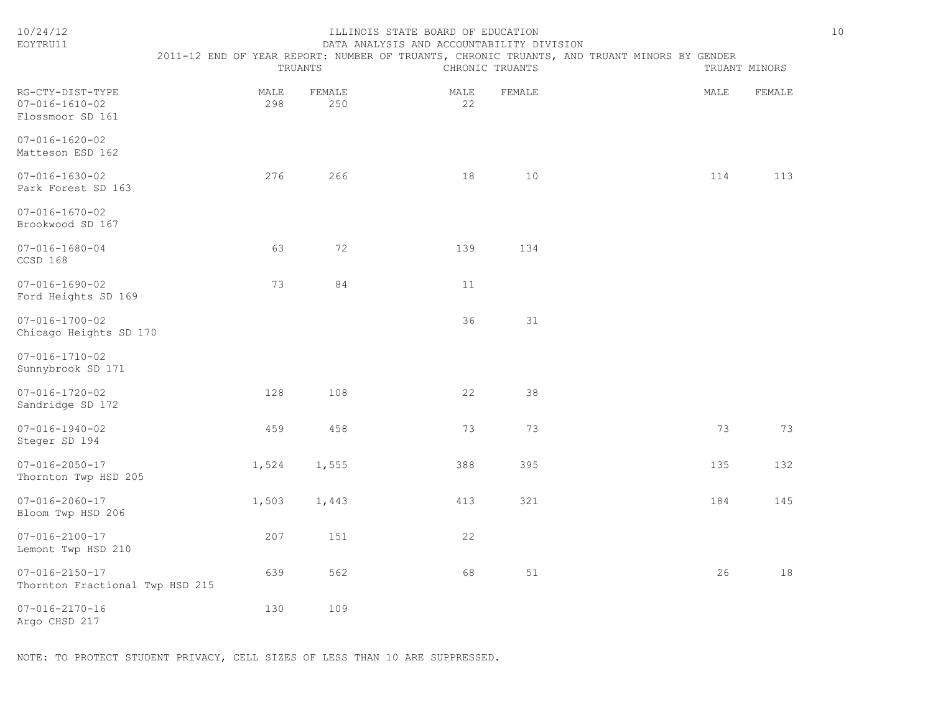| 10/24/12<br>EOYTRU11                                             |             | TRUANTS       | ILLINOIS STATE BOARD OF EDUCATION<br>DATA ANALYSIS AND ACCOUNTABILITY DIVISION | CHRONIC TRUANTS | 2011-12 END OF YEAR REPORT: NUMBER OF TRUANTS, CHRONIC TRUANTS, AND TRUANT MINORS BY GENDER |      | TRUANT MINORS | $10$ |
|------------------------------------------------------------------|-------------|---------------|--------------------------------------------------------------------------------|-----------------|---------------------------------------------------------------------------------------------|------|---------------|------|
| $RG-CTY-DIST-TYPE$<br>$07 - 016 - 1610 - 02$<br>Flossmoor SD 161 | MALE<br>298 | FEMALE<br>250 | MALE<br>22                                                                     | FEMALE          |                                                                                             | MALE | FEMALE        |      |
| $07 - 016 - 1620 - 02$<br>Matteson ESD 162                       |             |               |                                                                                |                 |                                                                                             |      |               |      |
| $07 - 016 - 1630 - 02$<br>Park Forest SD 163                     | 276         | 266           | 18                                                                             | 10              |                                                                                             | 114  | 113           |      |
| $07 - 016 - 1670 - 02$<br>Brookwood SD 167                       |             |               |                                                                                |                 |                                                                                             |      |               |      |
| $07 - 016 - 1680 - 04$<br>CCSD 168                               | 63          | 72            | 139                                                                            | 134             |                                                                                             |      |               |      |
| $07 - 016 - 1690 - 02$<br>Ford Heights SD 169                    | 73          | 84            | 11                                                                             |                 |                                                                                             |      |               |      |
| $07 - 016 - 1700 - 02$<br>Chicago Heights SD 170                 |             |               | 36                                                                             | 31              |                                                                                             |      |               |      |
| $07 - 016 - 1710 - 02$<br>Sunnybrook SD 171                      |             |               |                                                                                |                 |                                                                                             |      |               |      |
| $07 - 016 - 1720 - 02$<br>Sandridge SD 172                       | 128         | 108           | 22                                                                             | 38              |                                                                                             |      |               |      |
| $07 - 016 - 1940 - 02$<br>Steger SD 194                          | 459         | 458           | 73                                                                             | 73              |                                                                                             | 73   | 73            |      |
| $07 - 016 - 2050 - 17$<br>Thornton Twp HSD 205                   | 1,524       | 1,555         | 388                                                                            | 395             |                                                                                             | 135  | 132           |      |
| $07 - 016 - 2060 - 17$<br>Bloom Twp HSD 206                      | 1,503       | 1,443         | 413                                                                            | 321             |                                                                                             | 184  | 145           |      |
| $07 - 016 - 2100 - 17$<br>Lemont Twp HSD 210                     | 207         | 151           | 22                                                                             |                 |                                                                                             |      |               |      |
| $07 - 016 - 2150 - 17$<br>Thornton Fractional Twp HSD 215        | 639         | 562           | 68                                                                             | 51              |                                                                                             | 26   | 18            |      |
| $07 - 016 - 2170 - 16$<br>Argo CHSD 217                          | 130         | 109           |                                                                                |                 |                                                                                             |      |               |      |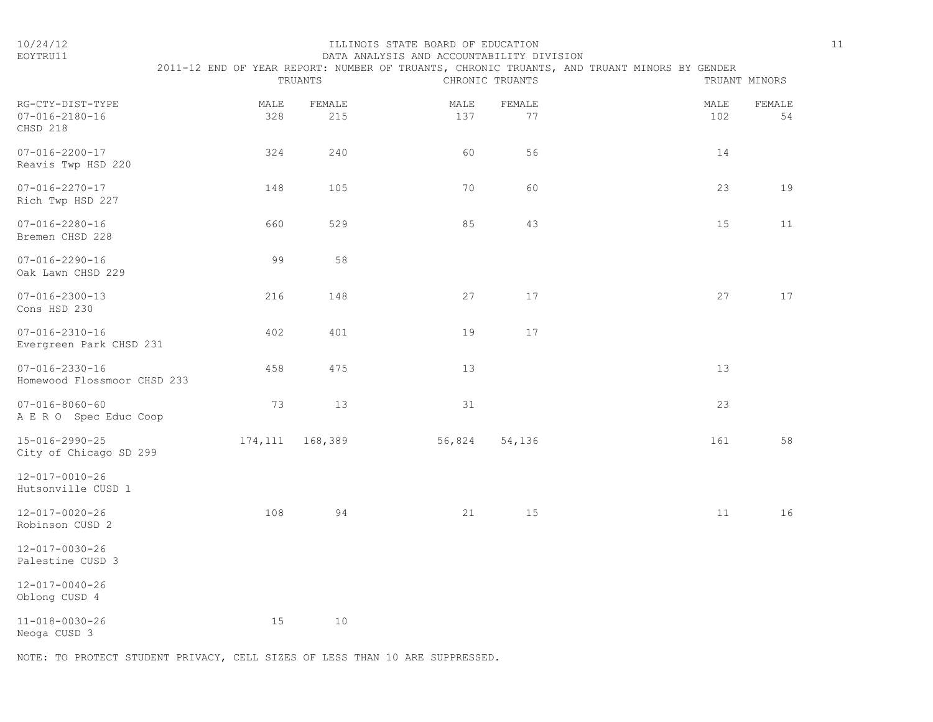### 10/24/12 ILLINOIS STATE BOARD OF EDUCATION 11 EOYTRU11 DATA ANALYSIS AND ACCOUNTABILITY DIVISION

|                                                        |             | TRUANTS           |             | CHRONIC TRUANTS | 2011-12 END OF YEAR REPORT: NUMBER OF TRUANTS, CHRONIC TRUANTS, AND TRUANT MINORS BY GENDER | TRUANT MINORS |
|--------------------------------------------------------|-------------|-------------------|-------------|-----------------|---------------------------------------------------------------------------------------------|---------------|
| RG-CTY-DIST-TYPE<br>$07 - 016 - 2180 - 16$<br>CHSD 218 | MALE<br>328 | FEMALE<br>215     | MALE<br>137 | FEMALE<br>77    | MALE<br>102                                                                                 | FEMALE<br>54  |
| $07 - 016 - 2200 - 17$<br>Reavis Twp HSD 220           | 324         | 240               | 60          | 56              | 14                                                                                          |               |
| $07 - 016 - 2270 - 17$<br>Rich Twp HSD 227             | 148         | 105               | 70          | 60              | 23                                                                                          | 19            |
| $07 - 016 - 2280 - 16$<br>Bremen CHSD 228              | 660         | 529               | 85          | 43              | 15                                                                                          | 11            |
| $07 - 016 - 2290 - 16$<br>Oak Lawn CHSD 229            | 99          | 58                |             |                 |                                                                                             |               |
| $07 - 016 - 2300 - 13$<br>Cons HSD 230                 | 216         | 148               | 27          | 17              | 27                                                                                          | 17            |
| $07 - 016 - 2310 - 16$<br>Evergreen Park CHSD 231      | 402         | 401               | 19          | 17              |                                                                                             |               |
| $07 - 016 - 2330 - 16$<br>Homewood Flossmoor CHSD 233  | 458         | 475               | 13          |                 | 13                                                                                          |               |
| $07 - 016 - 8060 - 60$<br>A E R O Spec Educ Coop       | 73          | 13                | 31          |                 | 23                                                                                          |               |
| 15-016-2990-25<br>City of Chicago SD 299               |             | 174, 111 168, 389 | 56,824      | 54,136          | 161                                                                                         | 58            |
| 12-017-0010-26<br>Hutsonville CUSD 1                   |             |                   |             |                 |                                                                                             |               |
| $12 - 017 - 0020 - 26$<br>Robinson CUSD 2              | 108         | 94                | 21          | 15              | 11                                                                                          | 16            |
| $12 - 017 - 0030 - 26$<br>Palestine CUSD 3             |             |                   |             |                 |                                                                                             |               |
| $12 - 017 - 0040 - 26$<br>Oblong CUSD 4                |             |                   |             |                 |                                                                                             |               |
| 11-018-0030-26<br>Neoga CUSD 3                         | 15          | 10                |             |                 |                                                                                             |               |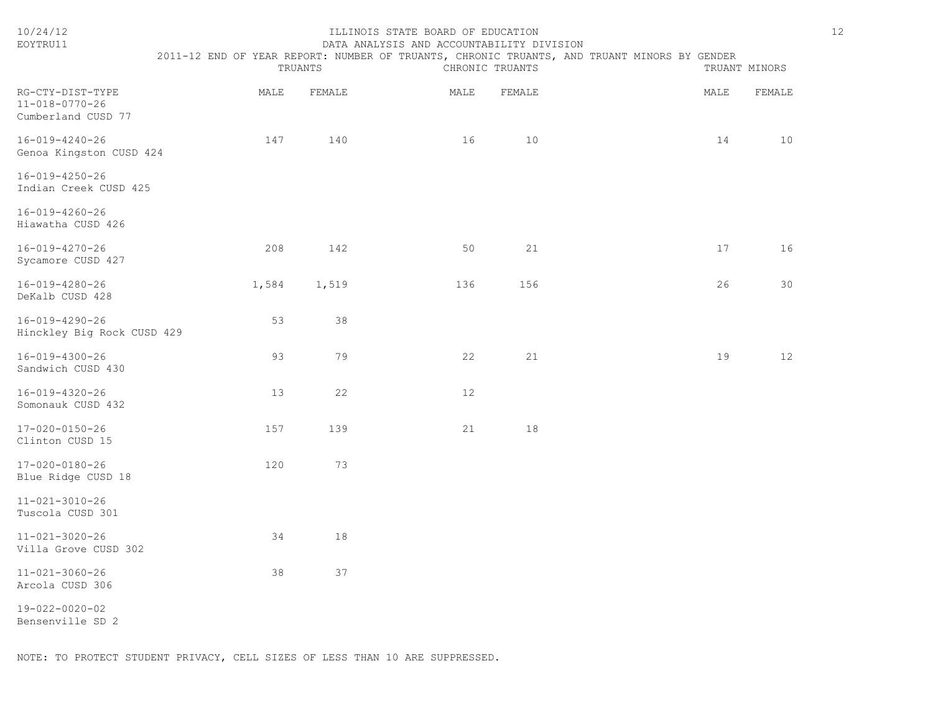| 10/24/12<br>EOYTRU11                                             | 2011-12 END OF YEAR REPORT: NUMBER OF TRUANTS, CHRONIC TRUANTS, AND TRUANT MINORS BY GENDER | TRUANTS | ILLINOIS STATE BOARD OF EDUCATION<br>DATA ANALYSIS AND ACCOUNTABILITY DIVISION | CHRONIC TRUANTS |      | 12<br>TRUANT MINORS |
|------------------------------------------------------------------|---------------------------------------------------------------------------------------------|---------|--------------------------------------------------------------------------------|-----------------|------|---------------------|
| RG-CTY-DIST-TYPE<br>$11 - 018 - 0770 - 26$<br>Cumberland CUSD 77 | MALE                                                                                        | FEMALE  | MALE                                                                           | FEMALE          | MALE | FEMALE              |
| 16-019-4240-26<br>Genoa Kingston CUSD 424                        | 147                                                                                         | 140     | 16                                                                             | 10              | 14   | 10                  |
| 16-019-4250-26<br>Indian Creek CUSD 425                          |                                                                                             |         |                                                                                |                 |      |                     |
| 16-019-4260-26<br>Hiawatha CUSD 426                              |                                                                                             |         |                                                                                |                 |      |                     |
| 16-019-4270-26<br>Sycamore CUSD 427                              | 208                                                                                         | 142     | 50                                                                             | 21              | 17   | 16                  |
| 16-019-4280-26<br>DeKalb CUSD 428                                | 1,584                                                                                       | 1,519   | 136                                                                            | 156             | 26   | 30                  |
| 16-019-4290-26<br>Hinckley Big Rock CUSD 429                     | 53                                                                                          | 38      |                                                                                |                 |      |                     |
| 16-019-4300-26<br>Sandwich CUSD 430                              | 93                                                                                          | 79      | 22                                                                             | 21              | 19   | 12                  |
| 16-019-4320-26<br>Somonauk CUSD 432                              | 13                                                                                          | 22      | 12                                                                             |                 |      |                     |
| $17 - 020 - 0150 - 26$<br>Clinton CUSD 15                        | 157                                                                                         | 139     | 21                                                                             | 18              |      |                     |
| 17-020-0180-26<br>Blue Ridge CUSD 18                             | 120                                                                                         | 73      |                                                                                |                 |      |                     |
| $11 - 021 - 3010 - 26$<br>Tuscola CUSD 301                       |                                                                                             |         |                                                                                |                 |      |                     |
| $11 - 021 - 3020 - 26$<br>Villa Grove CUSD 302                   | 34                                                                                          | 18      |                                                                                |                 |      |                     |
| $11 - 021 - 3060 - 26$<br>Arcola CUSD 306                        | 38                                                                                          | 37      |                                                                                |                 |      |                     |
| 19-022-0020-02<br>Bensenville SD 2                               |                                                                                             |         |                                                                                |                 |      |                     |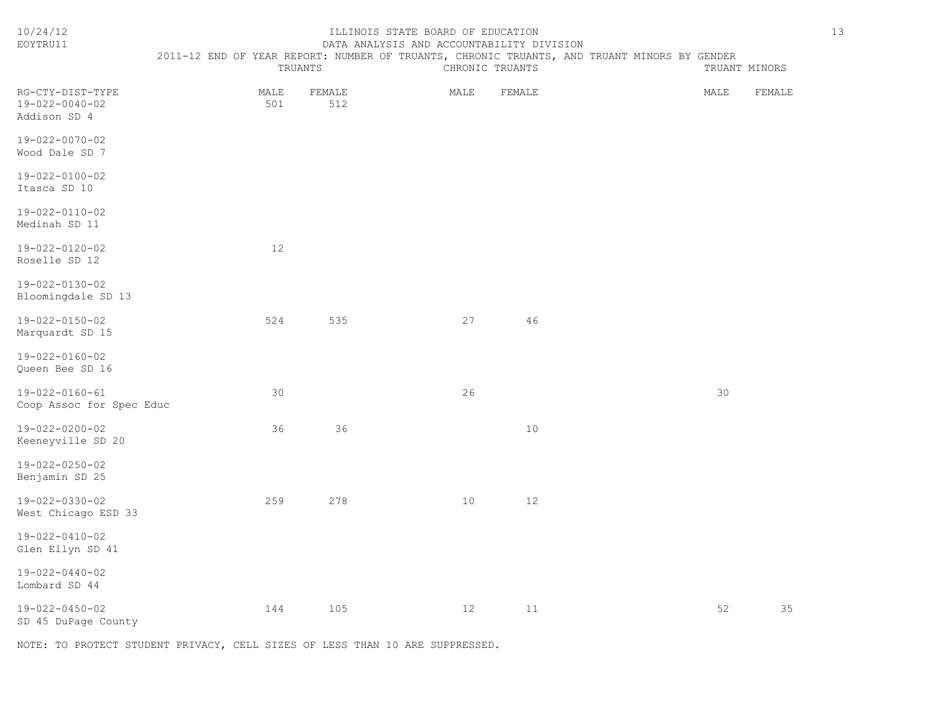| 10/24/12<br>EOYTRU11                               |             | TRUANTS       | ILLINOIS STATE BOARD OF EDUCATION<br>DATA ANALYSIS AND ACCOUNTABILITY DIVISION | CHRONIC TRUANTS | 2011-12 END OF YEAR REPORT: NUMBER OF TRUANTS, CHRONIC TRUANTS, AND TRUANT MINORS BY GENDER |      | TRUANT MINORS | 13 |
|----------------------------------------------------|-------------|---------------|--------------------------------------------------------------------------------|-----------------|---------------------------------------------------------------------------------------------|------|---------------|----|
| RG-CTY-DIST-TYPE<br>19-022-0040-02<br>Addison SD 4 | MALE<br>501 | FEMALE<br>512 | MALE                                                                           | FEMALE          |                                                                                             | MALE | FEMALE        |    |
| $19 - 022 - 0070 - 02$<br>Wood Dale SD 7           |             |               |                                                                                |                 |                                                                                             |      |               |    |
| 19-022-0100-02<br>Itasca SD 10                     |             |               |                                                                                |                 |                                                                                             |      |               |    |
| 19-022-0110-02<br>Medinah SD 11                    |             |               |                                                                                |                 |                                                                                             |      |               |    |
| 19-022-0120-02<br>Roselle SD 12                    | 12          |               |                                                                                |                 |                                                                                             |      |               |    |
| $19 - 022 - 0130 - 02$<br>Bloomingdale SD 13       |             |               |                                                                                |                 |                                                                                             |      |               |    |
| 19-022-0150-02<br>Marquardt SD 15                  | 524         | 535           | 27                                                                             | 46              |                                                                                             |      |               |    |
| 19-022-0160-02<br>Queen Bee SD 16                  |             |               |                                                                                |                 |                                                                                             |      |               |    |
| 19-022-0160-61<br>Coop Assoc for Spec Educ         | 30          |               | 26                                                                             |                 |                                                                                             | 30   |               |    |
| 19-022-0200-02<br>Keeneyville SD 20                | 36          | 36            |                                                                                | 10              |                                                                                             |      |               |    |
| 19-022-0250-02<br>Benjamin SD 25                   |             |               |                                                                                |                 |                                                                                             |      |               |    |
| 19-022-0330-02<br>West Chicago ESD 33              | 259         | 278           | 10                                                                             | 12              |                                                                                             |      |               |    |
| 19-022-0410-02<br>Glen Ellyn SD 41                 |             |               |                                                                                |                 |                                                                                             |      |               |    |
| $19 - 022 - 0440 - 02$<br>Lombard SD 44            |             |               |                                                                                |                 |                                                                                             |      |               |    |
| 19-022-0450-02<br>SD 45 DuPage County              | 144         | 105           | 12                                                                             | 11              |                                                                                             | 52   | 35            |    |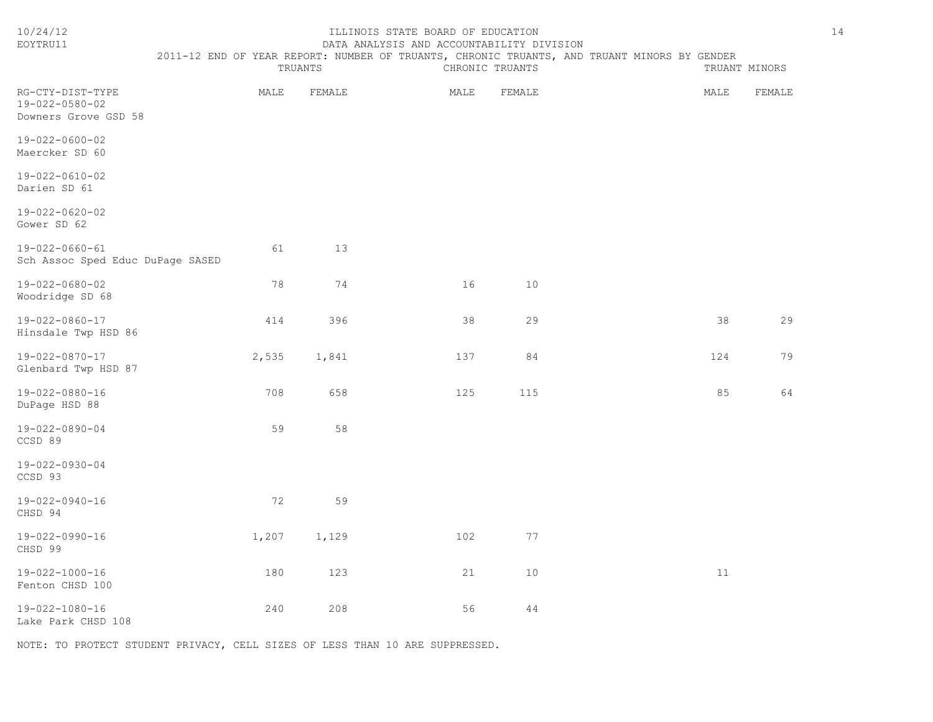| 10/24/12<br>EOYTRU11                                       | TRUANTS |        | ILLINOIS STATE BOARD OF EDUCATION<br>DATA ANALYSIS AND ACCOUNTABILITY DIVISION | CHRONIC TRUANTS | 2011-12 END OF YEAR REPORT: NUMBER OF TRUANTS, CHRONIC TRUANTS, AND TRUANT MINORS BY GENDER |      | TRUANT MINORS | 14 |
|------------------------------------------------------------|---------|--------|--------------------------------------------------------------------------------|-----------------|---------------------------------------------------------------------------------------------|------|---------------|----|
| RG-CTY-DIST-TYPE<br>19-022-0580-02<br>Downers Grove GSD 58 | MALE    | FEMALE | MALE                                                                           | FEMALE          |                                                                                             | MALE | FEMALE        |    |
| 19-022-0600-02<br>Maercker SD 60                           |         |        |                                                                                |                 |                                                                                             |      |               |    |
| 19-022-0610-02<br>Darien SD 61                             |         |        |                                                                                |                 |                                                                                             |      |               |    |
| 19-022-0620-02<br>Gower SD 62                              |         |        |                                                                                |                 |                                                                                             |      |               |    |
| 19-022-0660-61<br>Sch Assoc Sped Educ DuPage SASED         | 61      | 13     |                                                                                |                 |                                                                                             |      |               |    |
| 19-022-0680-02<br>Woodridge SD 68                          | 78      | 74     | 16                                                                             | 10              |                                                                                             |      |               |    |
| 19-022-0860-17<br>Hinsdale Twp HSD 86                      | 414     | 396    | 38                                                                             | 29              |                                                                                             | 38   | 29            |    |
| 19-022-0870-17<br>Glenbard Twp HSD 87                      | 2,535   | 1,841  | 137                                                                            | 84              |                                                                                             | 124  | 79            |    |
| 19-022-0880-16<br>DuPage HSD 88                            | 708     | 658    | 125                                                                            | 115             |                                                                                             | 85   | 64            |    |
| 19-022-0890-04<br>CCSD 89                                  | 59      | 58     |                                                                                |                 |                                                                                             |      |               |    |
| 19-022-0930-04<br>CCSD 93                                  |         |        |                                                                                |                 |                                                                                             |      |               |    |
| 19-022-0940-16<br>CHSD 94                                  | 72      | 59     |                                                                                |                 |                                                                                             |      |               |    |
| 19-022-0990-16<br>CHSD 99                                  | 1,207   | 1,129  | 102                                                                            | 77              |                                                                                             |      |               |    |
| $19 - 022 - 1000 - 16$<br>Fenton CHSD 100                  | 180     | 123    | 21                                                                             | 10              |                                                                                             | 11   |               |    |

19-022-1080-16 240 208 56 44 Lake Park CHSD 108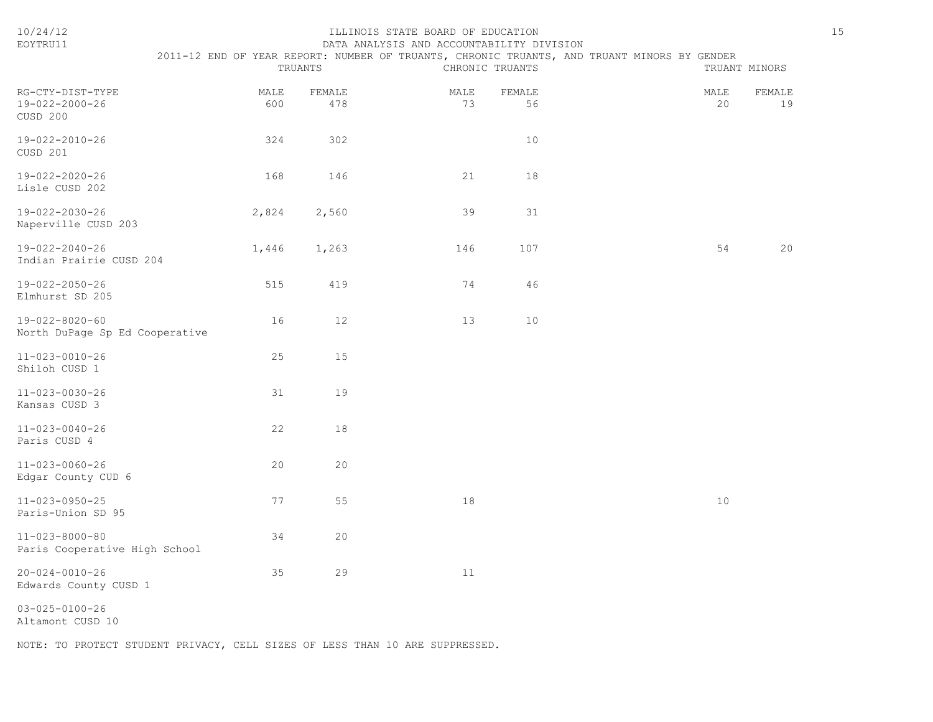| EOYTRU11                                                 |                                                                                             |               |            | DATA ANALYSIS AND ACCOUNTABILITY DIVISION |  |               |              |  |  |
|----------------------------------------------------------|---------------------------------------------------------------------------------------------|---------------|------------|-------------------------------------------|--|---------------|--------------|--|--|
|                                                          | 2011-12 END OF YEAR REPORT: NUMBER OF TRUANTS, CHRONIC TRUANTS, AND TRUANT MINORS BY GENDER | TRUANTS       |            | CHRONIC TRUANTS                           |  | TRUANT MINORS |              |  |  |
| RG-CTY-DIST-TYPE<br>19-022-2000-26<br>CUSD 200           | MALE<br>600                                                                                 | FEMALE<br>478 | MALE<br>73 | FEMALE<br>56                              |  | MALE<br>20    | FEMALE<br>19 |  |  |
| 19-022-2010-26<br>CUSD 201                               | 324                                                                                         | 302           |            | 10                                        |  |               |              |  |  |
| 19-022-2020-26<br>Lisle CUSD 202                         | 168                                                                                         | 146           | 21         | 18                                        |  |               |              |  |  |
| 19-022-2030-26<br>Naperville CUSD 203                    | 2,824                                                                                       | 2,560         | 39         | 31                                        |  |               |              |  |  |
| 19-022-2040-26<br>Indian Prairie CUSD 204                | 1,446                                                                                       | 1,263         | 146        | 107                                       |  | 54            | 20           |  |  |
| 19-022-2050-26<br>Elmhurst SD 205                        | 515                                                                                         | 419           | 74         | 46                                        |  |               |              |  |  |
| $19 - 022 - 8020 - 60$<br>North DuPage Sp Ed Cooperative | 16                                                                                          | 12            | 13         | 10                                        |  |               |              |  |  |
| $11 - 023 - 0010 - 26$<br>Shiloh CUSD 1                  | 25                                                                                          | 15            |            |                                           |  |               |              |  |  |
| $11 - 023 - 0030 - 26$<br>Kansas CUSD 3                  | 31                                                                                          | 19            |            |                                           |  |               |              |  |  |
| $11 - 023 - 0040 - 26$<br>Paris CUSD 4                   | 22                                                                                          | 18            |            |                                           |  |               |              |  |  |
| $11 - 023 - 0060 - 26$<br>Edgar County CUD 6             | 20                                                                                          | 20            |            |                                           |  |               |              |  |  |
| $11 - 023 - 0950 - 25$<br>Paris-Union SD 95              | 77                                                                                          | 55            | 18         |                                           |  | $10$          |              |  |  |
| $11 - 023 - 8000 - 80$<br>Paris Cooperative High School  | 34                                                                                          | 20            |            |                                           |  |               |              |  |  |
| $20 - 024 - 0010 - 26$<br>Edwards County CUSD 1          | 35                                                                                          | 29            | 11         |                                           |  |               |              |  |  |
| $03 - 025 - 0100 - 26$<br>Altamont CUSD 10               |                                                                                             |               |            |                                           |  |               |              |  |  |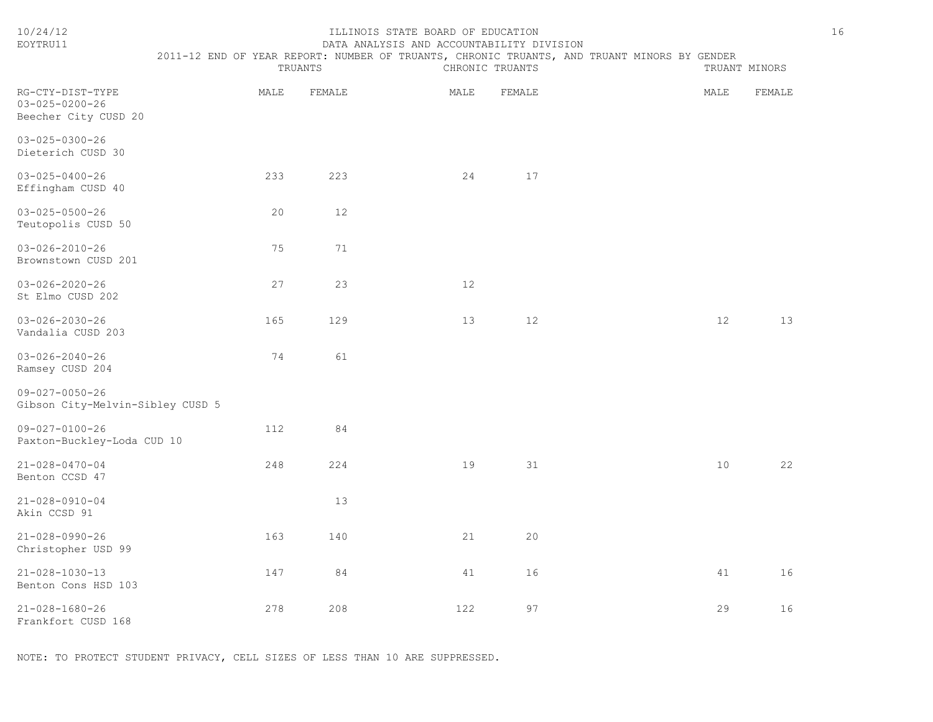| EOYTRU11                                                           | DATA ANALYSIS AND ACCOUNTABILITY DIVISION                                                              |        |                 |        |  |               |        |
|--------------------------------------------------------------------|--------------------------------------------------------------------------------------------------------|--------|-----------------|--------|--|---------------|--------|
|                                                                    | 2011-12 END OF YEAR REPORT: NUMBER OF TRUANTS, CHRONIC TRUANTS, AND TRUANT MINORS BY GENDER<br>TRUANTS |        | CHRONIC TRUANTS |        |  | TRUANT MINORS |        |
| RG-CTY-DIST-TYPE<br>$03 - 025 - 0200 - 26$<br>Beecher City CUSD 20 | MALE                                                                                                   | FEMALE | MALE            | FEMALE |  | MALE          | FEMALE |
| $03 - 025 - 0300 - 26$<br>Dieterich CUSD 30                        |                                                                                                        |        |                 |        |  |               |        |
| $03 - 025 - 0400 - 26$<br>Effingham CUSD 40                        | 233                                                                                                    | 223    | 24              | 17     |  |               |        |
| $03 - 025 - 0500 - 26$<br>Teutopolis CUSD 50                       | 20                                                                                                     | 12     |                 |        |  |               |        |
| $03 - 026 - 2010 - 26$<br>Brownstown CUSD 201                      | 75                                                                                                     | 71     |                 |        |  |               |        |
| $03 - 026 - 2020 - 26$<br>St Elmo CUSD 202                         | 27                                                                                                     | 23     | 12              |        |  |               |        |
| $03 - 026 - 2030 - 26$<br>Vandalia CUSD 203                        | 165                                                                                                    | 129    | 13              | 12     |  | 12            | 13     |
| $03 - 026 - 2040 - 26$<br>Ramsey CUSD 204                          | 74                                                                                                     | 61     |                 |        |  |               |        |
| $09 - 027 - 0050 - 26$<br>Gibson City-Melvin-Sibley CUSD 5         |                                                                                                        |        |                 |        |  |               |        |
| $09 - 027 - 0100 - 26$<br>Paxton-Buckley-Loda CUD 10               | 112                                                                                                    | 84     |                 |        |  |               |        |
| $21 - 028 - 0470 - 04$<br>Benton CCSD 47                           | 248                                                                                                    | 224    | 19              | 31     |  | 10            | 22     |
| $21 - 028 - 0910 - 04$<br>Akin CCSD 91                             |                                                                                                        | 13     |                 |        |  |               |        |
| $21 - 028 - 0990 - 26$<br>Christopher USD 99                       | 163                                                                                                    | 140    | 21              | 20     |  |               |        |
| $21 - 028 - 1030 - 13$<br>Benton Cons HSD 103                      | 147                                                                                                    | 84     | 41              | 16     |  | 41            | 16     |
| $21 - 028 - 1680 - 26$<br>Frankfort CUSD 168                       | 278                                                                                                    | 208    | 122             | 97     |  | 29            | 16     |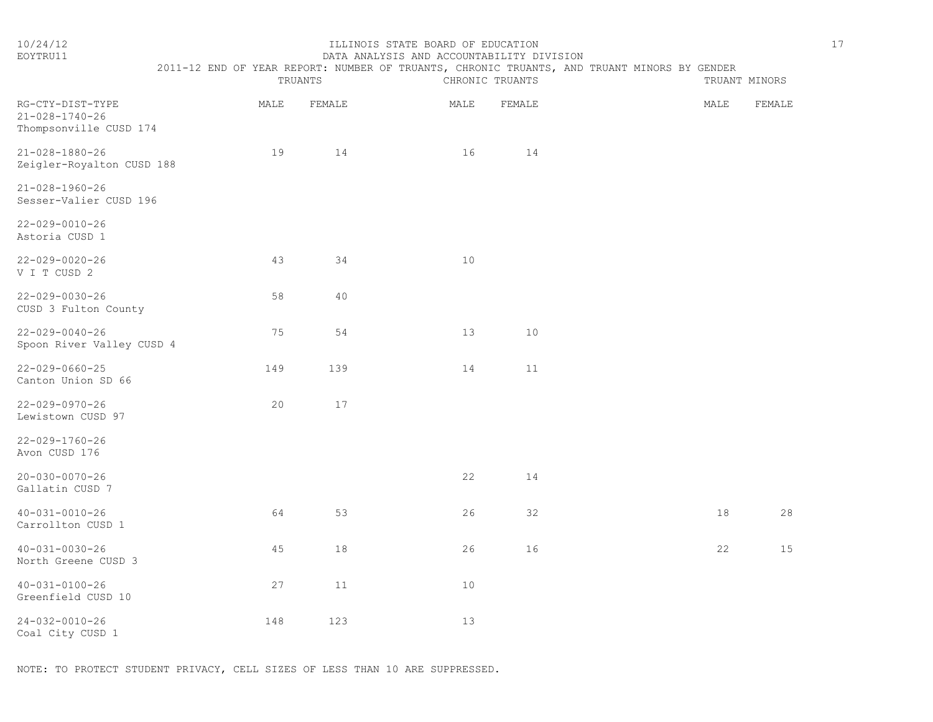| 10/24/12<br>EOYTRU11                                         | ILLINOIS STATE BOARD OF EDUCATION<br>DATA ANALYSIS AND ACCOUNTABILITY DIVISION |      |         |  |      |                 |                                                                                             |      | 17            |  |
|--------------------------------------------------------------|--------------------------------------------------------------------------------|------|---------|--|------|-----------------|---------------------------------------------------------------------------------------------|------|---------------|--|
|                                                              |                                                                                |      | TRUANTS |  |      | CHRONIC TRUANTS | 2011-12 END OF YEAR REPORT: NUMBER OF TRUANTS, CHRONIC TRUANTS, AND TRUANT MINORS BY GENDER |      | TRUANT MINORS |  |
| RG-CTY-DIST-TYPE<br>21-028-1740-26<br>Thompsonville CUSD 174 |                                                                                | MALE | FEMALE  |  | MALE | FEMALE          |                                                                                             | MALE | FEMALE        |  |
| 21-028-1880-26<br>Zeigler-Royalton CUSD 188                  |                                                                                | 19   | 14      |  | 16   | 14              |                                                                                             |      |               |  |
| $21 - 028 - 1960 - 26$<br>Sesser-Valier CUSD 196             |                                                                                |      |         |  |      |                 |                                                                                             |      |               |  |
| $22 - 029 - 0010 - 26$<br>Astoria CUSD 1                     |                                                                                |      |         |  |      |                 |                                                                                             |      |               |  |
| $22 - 029 - 0020 - 26$<br>V I T CUSD 2                       |                                                                                | 43   | 34      |  | 10   |                 |                                                                                             |      |               |  |
| $22 - 029 - 0030 - 26$<br>CUSD 3 Fulton County               |                                                                                | 58   | 40      |  |      |                 |                                                                                             |      |               |  |
| $22 - 029 - 0040 - 26$<br>Spoon River Valley CUSD 4          |                                                                                | 75   | 54      |  | 13   | 10              |                                                                                             |      |               |  |
| $22 - 029 - 0660 - 25$<br>Canton Union SD 66                 |                                                                                | 149  | 139     |  | 14   | 11              |                                                                                             |      |               |  |

| $22 - 029 - 0970 - 26$ |  |  |  |
|------------------------|--|--|--|
| Lewistown CUSD 97      |  |  |  |

| $22 - 029 - 1760 - 26$ |  |
|------------------------|--|
| Avon CUSD 176          |  |

| Avon CUSD 176                         |    |    |    |    |  |    |    |
|---------------------------------------|----|----|----|----|--|----|----|
| 20-030-0070-26<br>Gallatin CUSD 7     |    |    | 22 | 14 |  |    |    |
| 40-031-0010-26<br>Carrollton CUSD 1   | 64 | 53 | 26 | 32 |  | 18 | 28 |
| 40-031-0030-26<br>North Greene CUSD 3 | 45 | 18 | 26 | 16 |  | 22 | 15 |
| 40-031-0100-26<br>Greenfield CUSD 10  | 27 | 11 | 10 |    |  |    |    |

24-032-0010-26 148 123 13 Coal City CUSD 1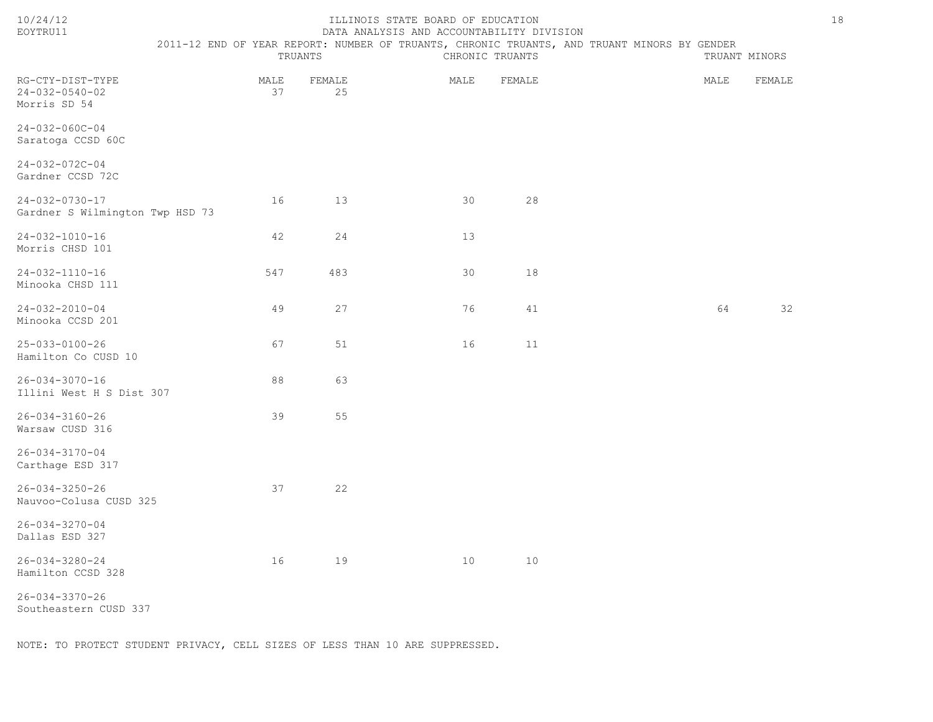|--|--|--|--|

# ILLINOIS STATE BOARD OF EDUCATION 18 EOYTRU11 DATA ANALYSIS AND ACCOUNTABILITY DIVISION

2011-12 END OF YEAR REPORT: NUMBER OF TRUANTS, CHRONIC TRUANTS, AND TRUANT MINORS BY GENDER

|                                                            | TRUANTS    |              |      | CHRONIC TRUANTS |  | TRUANT MINORS |        |
|------------------------------------------------------------|------------|--------------|------|-----------------|--|---------------|--------|
| RG-CTY-DIST-TYPE<br>$24 - 032 - 0540 - 02$<br>Morris SD 54 | MALE<br>37 | FEMALE<br>25 | MALE | FEMALE          |  | MALE          | FEMALE |
| $24 - 032 - 060C - 04$<br>Saratoga CCSD 60C                |            |              |      |                 |  |               |        |
| 24-032-072C-04<br>Gardner CCSD 72C                         |            |              |      |                 |  |               |        |
| $24 - 032 - 0730 - 17$<br>Gardner S Wilmington Twp HSD 73  | 16         | 13           | 30   | 28              |  |               |        |
| $24 - 032 - 1010 - 16$<br>Morris CHSD 101                  | 42         | 24           | 13   |                 |  |               |        |
| $24 - 032 - 1110 - 16$<br>Minooka CHSD 111                 | 547        | 483          | 30   | 18              |  |               |        |
| $24 - 032 - 2010 - 04$<br>Minooka CCSD 201                 | 49         | 27           | 76   | 41              |  | 64            | 32     |
| $25 - 033 - 0100 - 26$<br>Hamilton Co CUSD 10              | 67         | 51           | 16   | 11              |  |               |        |
| $26 - 034 - 3070 - 16$<br>Illini West H S Dist 307         | 88         | 63           |      |                 |  |               |        |
| $26 - 034 - 3160 - 26$<br>Warsaw CUSD 316                  | 39         | 55           |      |                 |  |               |        |
| $26 - 034 - 3170 - 04$<br>Carthage ESD 317                 |            |              |      |                 |  |               |        |
| $26 - 034 - 3250 - 26$<br>Nauvoo-Colusa CUSD 325           | 37         | 22           |      |                 |  |               |        |
| $26 - 034 - 3270 - 04$<br>Dallas ESD 327                   |            |              |      |                 |  |               |        |
| $26 - 034 - 3280 - 24$<br>Hamilton CCSD 328                | 16         | 19           | 10   | 10              |  |               |        |
| $26 - 034 - 3370 - 26$                                     |            |              |      |                 |  |               |        |

Southeastern CUSD 337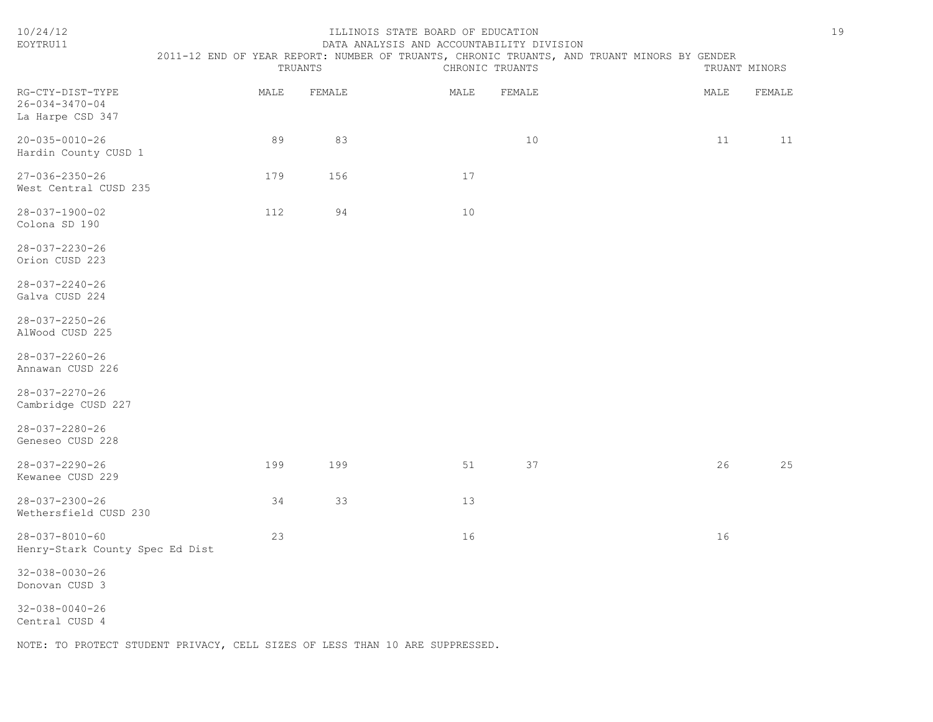| 10/24/12<br>EOYTRU11                                           | 2011-12 END OF YEAR REPORT: NUMBER OF TRUANTS, CHRONIC TRUANTS, AND TRUANT MINORS BY GENDER | TRUANTS | ILLINOIS STATE BOARD OF EDUCATION<br>DATA ANALYSIS AND ACCOUNTABILITY DIVISION | CHRONIC TRUANTS |      | TRUANT MINORS | 19 |
|----------------------------------------------------------------|---------------------------------------------------------------------------------------------|---------|--------------------------------------------------------------------------------|-----------------|------|---------------|----|
| RG-CTY-DIST-TYPE<br>$26 - 034 - 3470 - 04$<br>La Harpe CSD 347 | MALE                                                                                        | FEMALE  | MALE                                                                           | FEMALE          | MALE | FEMALE        |    |
| 20-035-0010-26<br>Hardin County CUSD 1                         | 89                                                                                          | 83      |                                                                                | 10              | 11   | 11            |    |
| 27-036-2350-26<br>West Central CUSD 235                        | 179                                                                                         | 156     | 17                                                                             |                 |      |               |    |
| 28-037-1900-02<br>Colona SD 190                                | 112                                                                                         | 94      | 10                                                                             |                 |      |               |    |
| 28-037-2230-26<br>Orion CUSD 223                               |                                                                                             |         |                                                                                |                 |      |               |    |
| 28-037-2240-26<br>Galva CUSD 224                               |                                                                                             |         |                                                                                |                 |      |               |    |
| $28 - 037 - 2250 - 26$<br>AlWood CUSD 225                      |                                                                                             |         |                                                                                |                 |      |               |    |
| 28-037-2260-26<br>Annawan CUSD 226                             |                                                                                             |         |                                                                                |                 |      |               |    |
| 28-037-2270-26<br>Cambridge CUSD 227                           |                                                                                             |         |                                                                                |                 |      |               |    |
| 28-037-2280-26<br>Geneseo CUSD 228                             |                                                                                             |         |                                                                                |                 |      |               |    |
| $28 - 037 - 2290 - 26$<br>Kewanee CUSD 229                     | 199                                                                                         | 199     | 51                                                                             | 37              | 26   | 25            |    |
| 28-037-2300-26<br>Wethersfield CUSD 230                        | 34                                                                                          | 33      | 13                                                                             |                 |      |               |    |
| $28 - 037 - 8010 - 60$<br>Henry-Stark County Spec Ed Dist      | 23                                                                                          |         | 16                                                                             |                 | 16   |               |    |
| $32 - 038 - 0030 - 26$<br>Donovan CUSD 3                       |                                                                                             |         |                                                                                |                 |      |               |    |
| $32 - 038 - 0040 - 26$<br>Central CUSD 4                       |                                                                                             |         |                                                                                |                 |      |               |    |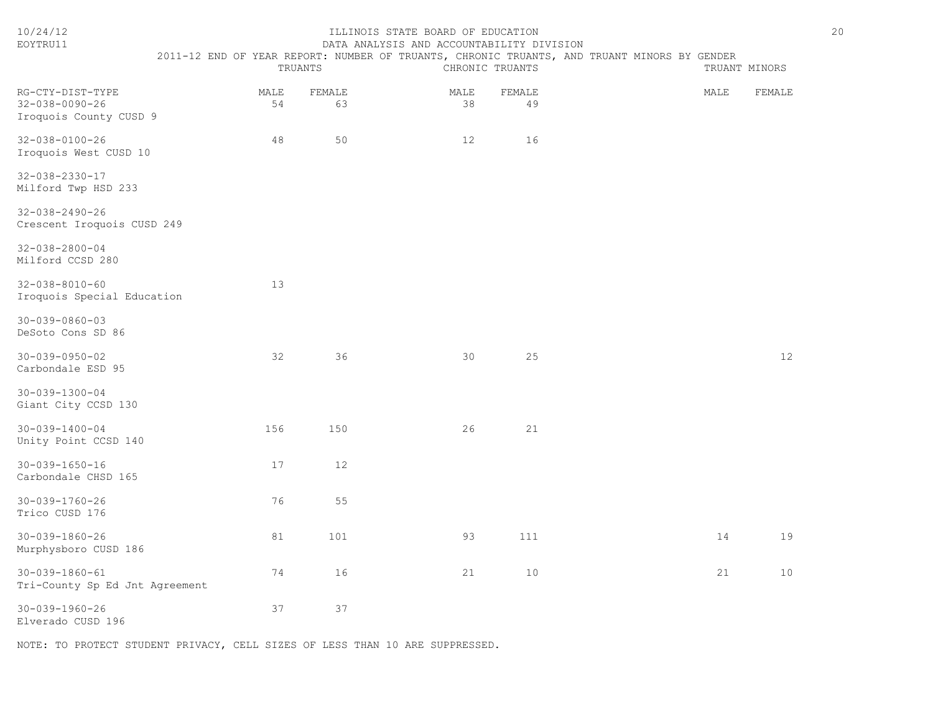| 10/24/12<br>EOYTRU11                                                 |            |         |              | ILLINOIS STATE BOARD OF EDUCATION | DATA ANALYSIS AND ACCOUNTABILITY DIVISION<br>2011-12 END OF YEAR REPORT: NUMBER OF TRUANTS, CHRONIC TRUANTS, AND TRUANT MINORS BY GENDER |  |  |      |               | 20 |
|----------------------------------------------------------------------|------------|---------|--------------|-----------------------------------|------------------------------------------------------------------------------------------------------------------------------------------|--|--|------|---------------|----|
|                                                                      |            | TRUANTS |              |                                   | CHRONIC TRUANTS                                                                                                                          |  |  |      | TRUANT MINORS |    |
| RG-CTY-DIST-TYPE<br>$32 - 038 - 0090 - 26$<br>Iroquois County CUSD 9 | MALE<br>54 |         | FEMALE<br>63 | MALE<br>38                        | FEMALE<br>49                                                                                                                             |  |  | MALE | FEMALE        |    |
| 32-038-0100-26<br>Iroquois West CUSD 10                              | 48         |         | 50           | 12                                | 16                                                                                                                                       |  |  |      |               |    |
| 32-038-2330-17<br>Milford Twp HSD 233                                |            |         |              |                                   |                                                                                                                                          |  |  |      |               |    |
| $32 - 038 - 2490 - 26$<br>Crescent Iroquois CUSD 249                 |            |         |              |                                   |                                                                                                                                          |  |  |      |               |    |
| $32 - 038 - 2800 - 04$<br>Milford CCSD 280                           |            |         |              |                                   |                                                                                                                                          |  |  |      |               |    |
| $32 - 038 - 8010 - 60$<br>Iroquois Special Education                 | 13         |         |              |                                   |                                                                                                                                          |  |  |      |               |    |
| $30 - 039 - 0860 - 03$<br>DeSoto Cons SD 86                          |            |         |              |                                   |                                                                                                                                          |  |  |      |               |    |
| $30 - 039 - 0950 - 02$<br>Carbondale ESD 95                          | 32         |         | 36           | 30                                | 25                                                                                                                                       |  |  |      | 12            |    |
| $30 - 039 - 1300 - 04$<br>Giant City CCSD 130                        |            |         |              |                                   |                                                                                                                                          |  |  |      |               |    |
| $30 - 039 - 1400 - 04$<br>Unity Point CCSD 140                       | 156        |         | 150          | 26                                | 21                                                                                                                                       |  |  |      |               |    |
| $30 - 039 - 1650 - 16$<br>Carbondale CHSD 165                        | 17         |         | 12           |                                   |                                                                                                                                          |  |  |      |               |    |
| $30 - 039 - 1760 - 26$<br>Trico CUSD 176                             | 76         |         | 55           |                                   |                                                                                                                                          |  |  |      |               |    |
| $30 - 039 - 1860 - 26$<br>Murphysboro CUSD 186                       | 81         |         | 101          | 93                                | 111                                                                                                                                      |  |  | 14   | 19            |    |
| $30 - 039 - 1860 - 61$<br>Tri-County Sp Ed Jnt Agreement             | 74         |         | 16           | 21                                | 10                                                                                                                                       |  |  | 21   | 10            |    |
| $30 - 039 - 1960 - 26$<br>Elverado CUSD 196                          | 37         |         | 37           |                                   |                                                                                                                                          |  |  |      |               |    |
|                                                                      |            |         |              |                                   |                                                                                                                                          |  |  |      |               |    |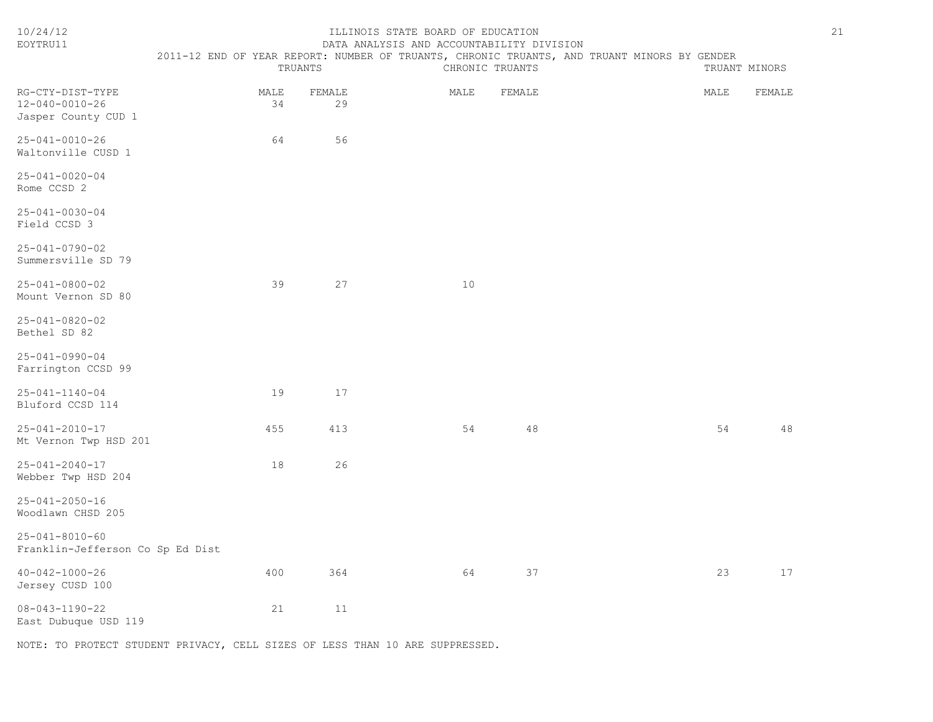| 10/24/12<br>EOYTRU11                                       | ILLINOIS STATE BOARD OF EDUCATION<br>DATA ANALYSIS AND ACCOUNTABILITY DIVISION<br>2011-12 END OF YEAR REPORT: NUMBER OF TRUANTS, CHRONIC TRUANTS, AND TRUANT MINORS BY GENDER<br>TRUANTS<br>CHRONIC TRUANTS |              |      |        | TRUANT MINORS |        |  |
|------------------------------------------------------------|-------------------------------------------------------------------------------------------------------------------------------------------------------------------------------------------------------------|--------------|------|--------|---------------|--------|--|
| RG-CTY-DIST-TYPE<br>12-040-0010-26<br>Jasper County CUD 1  | MALE<br>34                                                                                                                                                                                                  | FEMALE<br>29 | MALE | FEMALE | MALE          | FEMALE |  |
| 25-041-0010-26<br>Waltonville CUSD 1                       | 64                                                                                                                                                                                                          | 56           |      |        |               |        |  |
| $25 - 041 - 0020 - 04$<br>Rome CCSD 2                      |                                                                                                                                                                                                             |              |      |        |               |        |  |
| 25-041-0030-04<br>Field CCSD 3                             |                                                                                                                                                                                                             |              |      |        |               |        |  |
| $25 - 041 - 0790 - 02$<br>Summersville SD 79               |                                                                                                                                                                                                             |              |      |        |               |        |  |
| $25 - 041 - 0800 - 02$<br>Mount Vernon SD 80               | 39                                                                                                                                                                                                          | 27           | 10   |        |               |        |  |
| 25-041-0820-02<br>Bethel SD 82                             |                                                                                                                                                                                                             |              |      |        |               |        |  |
| $25 - 041 - 0990 - 04$<br>Farrington CCSD 99               |                                                                                                                                                                                                             |              |      |        |               |        |  |
| $25 - 041 - 1140 - 04$<br>Bluford CCSD 114                 | 19                                                                                                                                                                                                          | 17           |      |        |               |        |  |
| $25 - 041 - 2010 - 17$<br>Mt Vernon Twp HSD 201            | 455                                                                                                                                                                                                         | 413          | 54   | 48     | 54            | 48     |  |
| $25 - 041 - 2040 - 17$<br>Webber Twp HSD 204               | 18                                                                                                                                                                                                          | 26           |      |        |               |        |  |
| $25 - 041 - 2050 - 16$<br>Woodlawn CHSD 205                |                                                                                                                                                                                                             |              |      |        |               |        |  |
| $25 - 041 - 8010 - 60$<br>Franklin-Jefferson Co Sp Ed Dist |                                                                                                                                                                                                             |              |      |        |               |        |  |
| $40 - 042 - 1000 - 26$<br>Jersey CUSD 100                  | 400                                                                                                                                                                                                         | 364          | 64   | 37     | 23            | 17     |  |
| $08 - 043 - 1190 - 22$<br>East Dubuque USD 119             | 21                                                                                                                                                                                                          | 11           |      |        |               |        |  |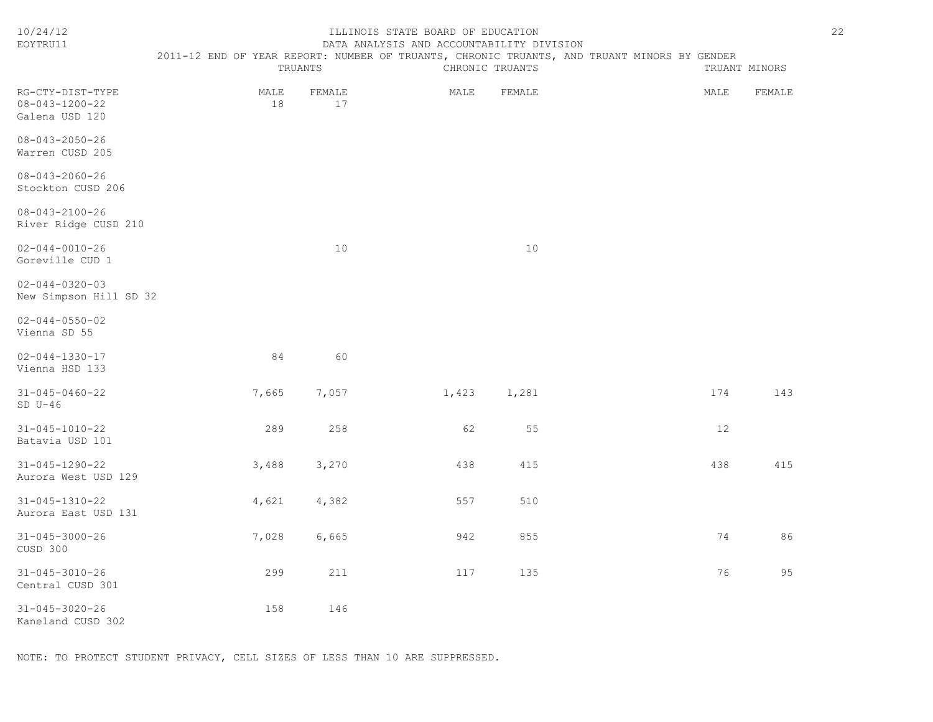| EOYTRU11                                                     |                                                                                             |              | DATA ANALYSIS AND ACCOUNTABILITY DIVISION |                 |      |               |
|--------------------------------------------------------------|---------------------------------------------------------------------------------------------|--------------|-------------------------------------------|-----------------|------|---------------|
|                                                              | 2011-12 END OF YEAR REPORT: NUMBER OF TRUANTS, CHRONIC TRUANTS, AND TRUANT MINORS BY GENDER | TRUANTS      |                                           | CHRONIC TRUANTS |      | TRUANT MINORS |
| RG-CTY-DIST-TYPE<br>$08 - 043 - 1200 - 22$<br>Galena USD 120 | MALE<br>18                                                                                  | FEMALE<br>17 | MALE                                      | FEMALE          | MALE | FEMALE        |
| $08 - 043 - 2050 - 26$<br>Warren CUSD 205                    |                                                                                             |              |                                           |                 |      |               |
| $08 - 043 - 2060 - 26$<br>Stockton CUSD 206                  |                                                                                             |              |                                           |                 |      |               |
| $08 - 043 - 2100 - 26$<br>River Ridge CUSD 210               |                                                                                             |              |                                           |                 |      |               |
| $02 - 044 - 0010 - 26$<br>Goreville CUD 1                    |                                                                                             | 10           |                                           | 10              |      |               |
| $02 - 044 - 0320 - 03$<br>New Simpson Hill SD 32             |                                                                                             |              |                                           |                 |      |               |
| $02 - 044 - 0550 - 02$<br>Vienna SD 55                       |                                                                                             |              |                                           |                 |      |               |
| $02 - 044 - 1330 - 17$<br>Vienna HSD 133                     | 84                                                                                          | 60           |                                           |                 |      |               |
| $31 - 045 - 0460 - 22$<br>$SD U-46$                          | 7,665                                                                                       | 7,057        | 1,423                                     | 1,281           | 174  | 143           |
| $31 - 045 - 1010 - 22$<br>Batavia USD 101                    | 289                                                                                         | 258          | 62                                        | 55              | 12   |               |
| $31 - 045 - 1290 - 22$<br>Aurora West USD 129                | 3,488                                                                                       | 3,270        | 438                                       | 415             | 438  | 415           |
| 31-045-1310-22<br>Aurora East USD 131                        | 4,621                                                                                       | 4,382        | 557                                       | 510             |      |               |
| $31 - 045 - 3000 - 26$<br>CUSD 300                           | 7,028                                                                                       | 6,665        | 942                                       | 855             | 74   | 86            |
| $31 - 045 - 3010 - 26$<br>Central CUSD 301                   | 299                                                                                         | 211          | 117                                       | 135             | 76   | 95            |
| $31 - 045 - 3020 - 26$<br>Kaneland CUSD 302                  | 158                                                                                         | 146          |                                           |                 |      |               |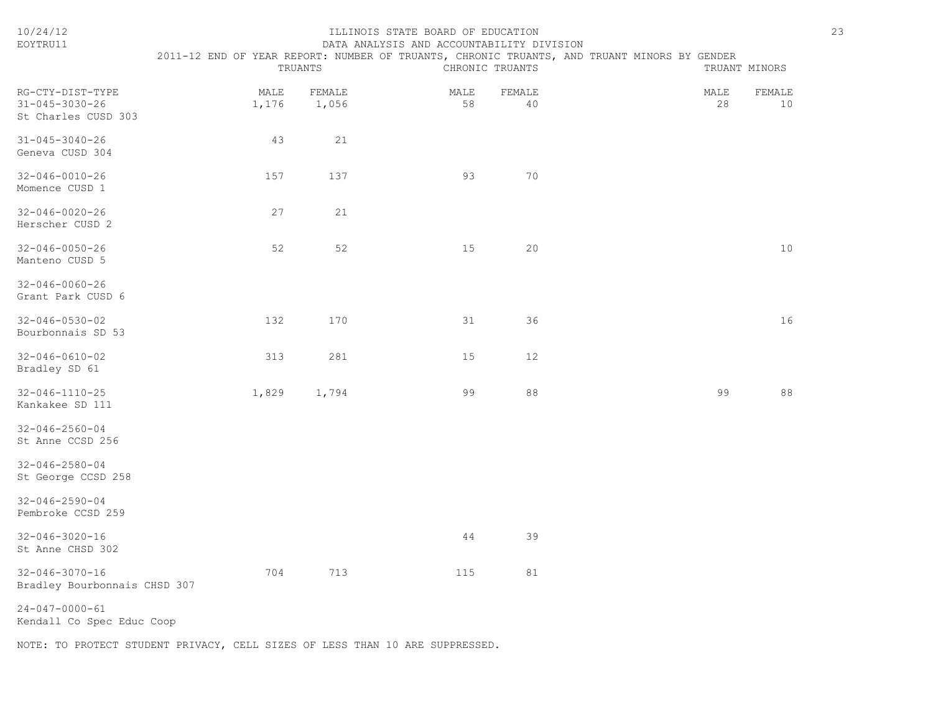| 10/24/12<br>EOYTRU11                                              | 23<br>ILLINOIS STATE BOARD OF EDUCATION<br>DATA ANALYSIS AND ACCOUNTABILITY DIVISION<br>2011-12 END OF YEAR REPORT: NUMBER OF TRUANTS, CHRONIC TRUANTS, AND TRUANT MINORS BY GENDER |                 |            |                 |  |               |              |  |
|-------------------------------------------------------------------|-------------------------------------------------------------------------------------------------------------------------------------------------------------------------------------|-----------------|------------|-----------------|--|---------------|--------------|--|
|                                                                   |                                                                                                                                                                                     | TRUANTS         |            | CHRONIC TRUANTS |  | TRUANT MINORS |              |  |
| RG-CTY-DIST-TYPE<br>$31 - 045 - 3030 - 26$<br>St Charles CUSD 303 | MALE<br>1,176                                                                                                                                                                       | FEMALE<br>1,056 | MALE<br>58 | FEMALE<br>40    |  | MALE<br>28    | FEMALE<br>10 |  |
| $31 - 045 - 3040 - 26$<br>Geneva CUSD 304                         | 43                                                                                                                                                                                  | 21              |            |                 |  |               |              |  |
| $32 - 046 - 0010 - 26$<br>Momence CUSD 1                          | 157                                                                                                                                                                                 | 137             | 93         | 70              |  |               |              |  |
| $32 - 046 - 0020 - 26$<br>Herscher CUSD 2                         | 27                                                                                                                                                                                  | 21              |            |                 |  |               |              |  |
| $32 - 046 - 0050 - 26$<br>Manteno CUSD 5                          | 52                                                                                                                                                                                  | 52              | 15         | 20              |  |               | 10           |  |
| $32 - 046 - 0060 - 26$<br>Grant Park CUSD 6                       |                                                                                                                                                                                     |                 |            |                 |  |               |              |  |
| $32 - 046 - 0530 - 02$<br>Bourbonnais SD 53                       | 132                                                                                                                                                                                 | 170             | 31         | 36              |  |               | 16           |  |
| $32 - 046 - 0610 - 02$<br>Bradley SD 61                           | 313                                                                                                                                                                                 | 281             | 15         | 12              |  |               |              |  |
| $32 - 046 - 1110 - 25$<br>Kankakee SD 111                         | 1,829                                                                                                                                                                               | 1,794           | 99         | 88              |  | 99            | 88           |  |
| $32 - 046 - 2560 - 04$<br>St Anne CCSD 256                        |                                                                                                                                                                                     |                 |            |                 |  |               |              |  |
| $32 - 046 - 2580 - 04$<br>St George CCSD 258                      |                                                                                                                                                                                     |                 |            |                 |  |               |              |  |
| $32 - 046 - 2590 - 04$<br>Pembroke CCSD 259                       |                                                                                                                                                                                     |                 |            |                 |  |               |              |  |
| $32 - 046 - 3020 - 16$<br>St Anne CHSD 302                        |                                                                                                                                                                                     |                 | 44         | 39              |  |               |              |  |
| $32 - 046 - 3070 - 16$<br>Bradley Bourbonnais CHSD 307            | 704                                                                                                                                                                                 | 713             | 115        | 81              |  |               |              |  |
| $24 - 047 - 0000 - 61$<br>Kendall Co Spec Educ Coop               |                                                                                                                                                                                     |                 |            |                 |  |               |              |  |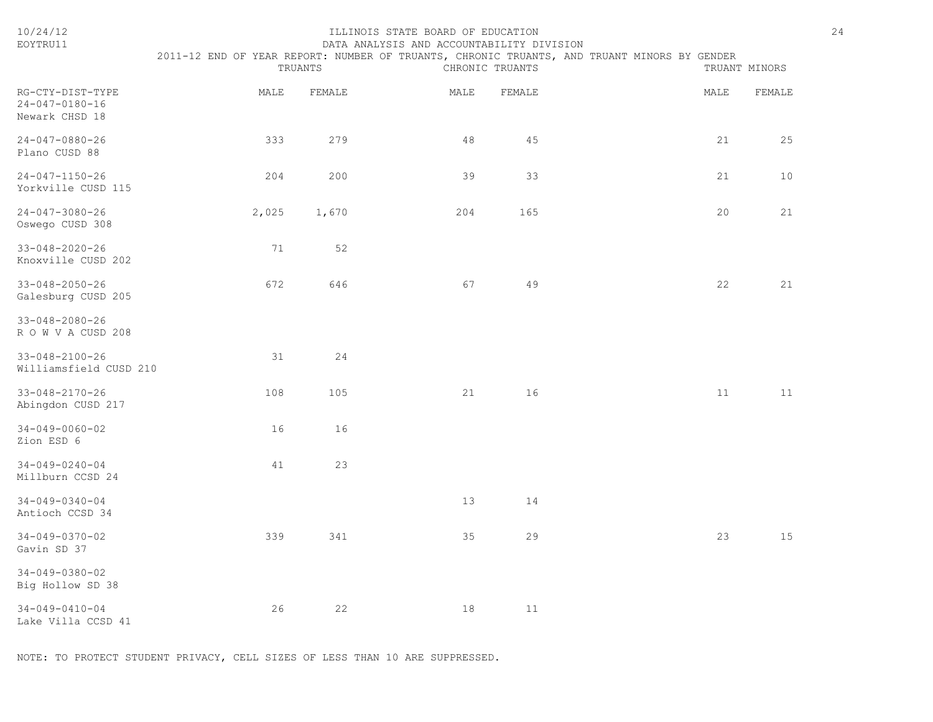| 10/24/12<br>EOYTRU11                                 |       | TRUANTS | ILLINOIS STATE BOARD OF EDUCATION<br>DATA ANALYSIS AND ACCOUNTABILITY DIVISION | CHRONIC TRUANTS | 2011-12 END OF YEAR REPORT: NUMBER OF TRUANTS, CHRONIC TRUANTS, AND TRUANT MINORS BY GENDER | 24<br>TRUANT MINORS |
|------------------------------------------------------|-------|---------|--------------------------------------------------------------------------------|-----------------|---------------------------------------------------------------------------------------------|---------------------|
| RG-CTY-DIST-TYPE<br>24-047-0180-16<br>Newark CHSD 18 | MALE  | FEMALE  | MALE                                                                           | FEMALE          | MALE                                                                                        | FEMALE              |
| $24 - 047 - 0880 - 26$<br>Plano CUSD 88              | 333   | 279     | 48                                                                             | 45              | 21                                                                                          | 25                  |
| $24 - 047 - 1150 - 26$<br>Yorkville CUSD 115         | 204   | 200     | 39                                                                             | 33              | 21                                                                                          | 10                  |
| $24 - 047 - 3080 - 26$<br>Oswego CUSD 308            | 2,025 | 1,670   | 204                                                                            | 165             | 20                                                                                          | 21                  |
| $33 - 048 - 2020 - 26$<br>Knoxville CUSD 202         | 71    | 52      |                                                                                |                 |                                                                                             |                     |
| $33 - 048 - 2050 - 26$<br>Galesburg CUSD 205         | 672   | 646     | 67                                                                             | 49              | 22                                                                                          | 21                  |
| 33-048-2080-26<br>ROWVACUSD 208                      |       |         |                                                                                |                 |                                                                                             |                     |
| $33 - 048 - 2100 - 26$<br>Williamsfield CUSD 210     | 31    | 24      |                                                                                |                 |                                                                                             |                     |
| $33 - 048 - 2170 - 26$<br>Abingdon CUSD 217          | 108   | 105     | 21                                                                             | 16              | 11                                                                                          | 11                  |
| $34 - 049 - 0060 - 02$<br>Zion ESD 6                 | 16    | 16      |                                                                                |                 |                                                                                             |                     |
| $34 - 049 - 0240 - 04$<br>Millburn CCSD 24           | 41    | 23      |                                                                                |                 |                                                                                             |                     |
| $34 - 049 - 0340 - 04$<br>Antioch CCSD 34            |       |         | 13                                                                             | 14              |                                                                                             |                     |
| $34 - 049 - 0370 - 02$<br>Gavin SD 37                | 339   | 341     | 35                                                                             | 29              | 23                                                                                          | 15                  |
| $34 - 049 - 0380 - 02$<br>Big Hollow SD 38           |       |         |                                                                                |                 |                                                                                             |                     |
| $34 - 049 - 0410 - 04$<br>Lake Villa CCSD 41         | 26    | 22      | 18                                                                             | 11              |                                                                                             |                     |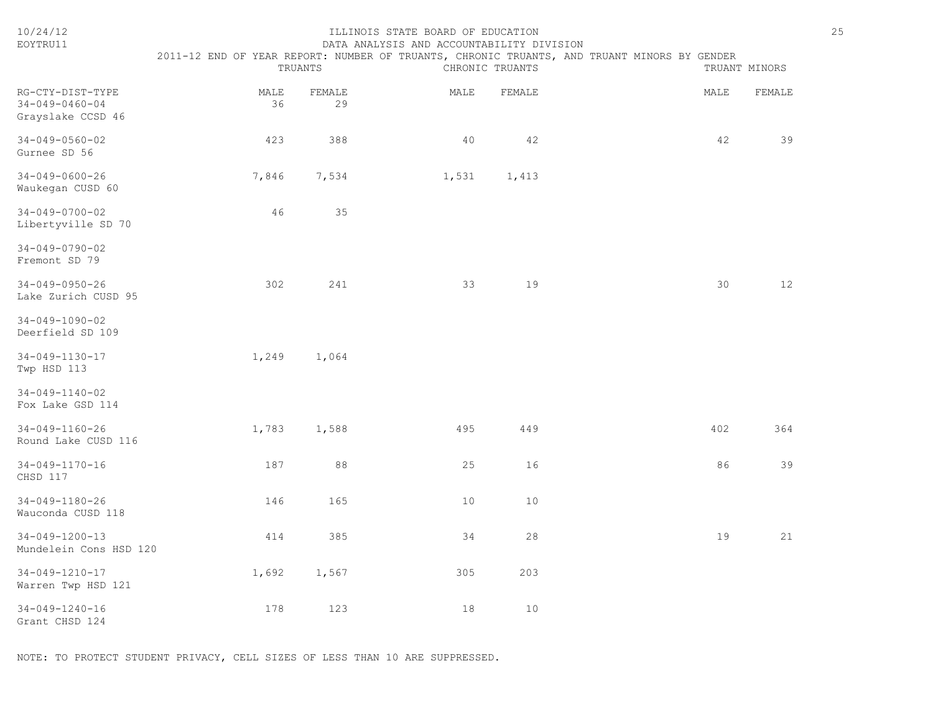| 10/24/12<br>EOYTRU11                                            | ILLINOIS STATE BOARD OF EDUCATION<br>DATA ANALYSIS AND ACCOUNTABILITY DIVISION<br>2011-12 END OF YEAR REPORT: NUMBER OF TRUANTS, CHRONIC TRUANTS, AND TRUANT MINORS BY GENDER<br>TRUANTS<br>CHRONIC TRUANTS<br>TRUANT MINORS |              |       |        |      |        |  |
|-----------------------------------------------------------------|------------------------------------------------------------------------------------------------------------------------------------------------------------------------------------------------------------------------------|--------------|-------|--------|------|--------|--|
| RG-CTY-DIST-TYPE<br>$34 - 049 - 0460 - 04$<br>Grayslake CCSD 46 | MALE<br>36                                                                                                                                                                                                                   | FEMALE<br>29 | MALE  | FEMALE | MALE | FEMALE |  |
| $34 - 049 - 0560 - 02$<br>Gurnee SD 56                          | 423                                                                                                                                                                                                                          | 388          | 40    | 42     | 42   | 39     |  |
| $34 - 049 - 0600 - 26$<br>Waukegan CUSD 60                      | 7,846                                                                                                                                                                                                                        | 7,534        | 1,531 | 1,413  |      |        |  |
| $34 - 049 - 0700 - 02$<br>Libertyville SD 70                    | 46                                                                                                                                                                                                                           | 35           |       |        |      |        |  |
| $34 - 049 - 0790 - 02$<br>Fremont SD 79                         |                                                                                                                                                                                                                              |              |       |        |      |        |  |
| $34 - 049 - 0950 - 26$<br>Lake Zurich CUSD 95                   | 302                                                                                                                                                                                                                          | 241          | 33    | 19     | 30   | 12     |  |
| $34 - 049 - 1090 - 02$<br>Deerfield SD 109                      |                                                                                                                                                                                                                              |              |       |        |      |        |  |
| 34-049-1130-17<br>Twp HSD 113                                   | 1,249                                                                                                                                                                                                                        | 1,064        |       |        |      |        |  |
| $34 - 049 - 1140 - 02$<br>Fox Lake GSD 114                      |                                                                                                                                                                                                                              |              |       |        |      |        |  |
| 34-049-1160-26<br>Round Lake CUSD 116                           | 1,783                                                                                                                                                                                                                        | 1,588        | 495   | 449    | 402  | 364    |  |
| $34 - 049 - 1170 - 16$<br>CHSD 117                              | 187                                                                                                                                                                                                                          | 88           | 25    | 16     | 86   | 39     |  |
| $34 - 049 - 1180 - 26$<br>Wauconda CUSD 118                     | 146                                                                                                                                                                                                                          | 165          | 10    | 10     |      |        |  |
| $34 - 049 - 1200 - 13$<br>Mundelein Cons HSD 120                | 414                                                                                                                                                                                                                          | 385          | 34    | 28     | 19   | 21     |  |
| 34-049-1210-17<br>Warren Twp HSD 121                            | 1,692                                                                                                                                                                                                                        | 1,567        | 305   | 203    |      |        |  |
| $34 - 049 - 1240 - 16$<br>Grant CHSD 124                        | 178                                                                                                                                                                                                                          | 123          | 18    | 10     |      |        |  |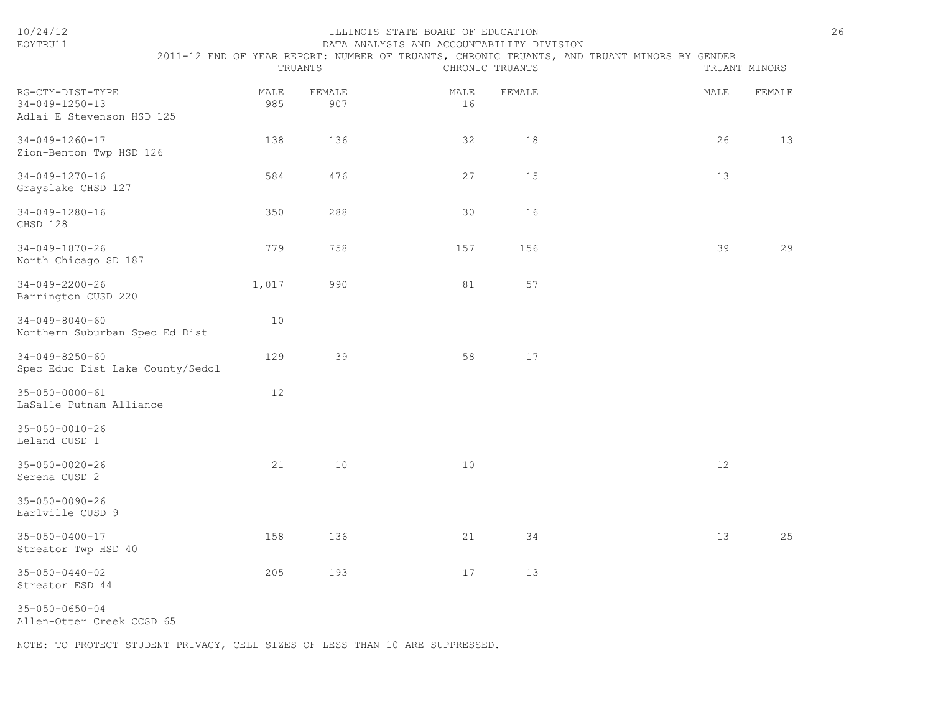| EOYTRU11                                                                |             |               | DATA ANALYSIS AND ACCOUNTABILITY DIVISION |                 |                                                                                             |               |
|-------------------------------------------------------------------------|-------------|---------------|-------------------------------------------|-----------------|---------------------------------------------------------------------------------------------|---------------|
|                                                                         |             | TRUANTS       |                                           | CHRONIC TRUANTS | 2011-12 END OF YEAR REPORT: NUMBER OF TRUANTS, CHRONIC TRUANTS, AND TRUANT MINORS BY GENDER | TRUANT MINORS |
| RG-CTY-DIST-TYPE<br>$34 - 049 - 1250 - 13$<br>Adlai E Stevenson HSD 125 | MALE<br>985 | FEMALE<br>907 | MALE<br>16                                | FEMALE          | MALE                                                                                        | FEMALE        |
| $34 - 049 - 1260 - 17$<br>Zion-Benton Twp HSD 126                       | 138         | 136           | 32                                        | 18              | 26                                                                                          | 13            |
| $34 - 049 - 1270 - 16$<br>Grayslake CHSD 127                            | 584         | 476           | 27                                        | 15              | 13                                                                                          |               |
| 34-049-1280-16<br>CHSD 128                                              | 350         | 288           | 30                                        | 16              |                                                                                             |               |
| $34 - 049 - 1870 - 26$<br>North Chicago SD 187                          | 779         | 758           | 157                                       | 156             | 39                                                                                          | 29            |
| $34 - 049 - 2200 - 26$<br>Barrington CUSD 220                           | 1,017       | 990           | 81                                        | 57              |                                                                                             |               |
| $34 - 049 - 8040 - 60$<br>Northern Suburban Spec Ed Dist                | 10          |               |                                           |                 |                                                                                             |               |
| $34 - 049 - 8250 - 60$<br>Spec Educ Dist Lake County/Sedol              | 129         | 39            | 58                                        | 17              |                                                                                             |               |
| $35 - 050 - 0000 - 61$<br>LaSalle Putnam Alliance                       | 12          |               |                                           |                 |                                                                                             |               |
| 35-050-0010-26<br>Leland CUSD 1                                         |             |               |                                           |                 |                                                                                             |               |
| $35 - 050 - 0020 - 26$<br>Serena CUSD 2                                 | 21          | 10            | 10                                        |                 | 12                                                                                          |               |
| $35 - 050 - 0090 - 26$<br>Earlville CUSD 9                              |             |               |                                           |                 |                                                                                             |               |
| 35-050-0400-17<br>Streator Twp HSD 40                                   | 158         | 136           | 21                                        | 34              | 13                                                                                          | 25            |
| $35 - 050 - 0440 - 02$<br>Streator ESD 44                               | 205         | 193           | 17                                        | 13              |                                                                                             |               |
|                                                                         |             |               |                                           |                 |                                                                                             |               |

35-050-0650-04

Allen-Otter Creek CCSD 65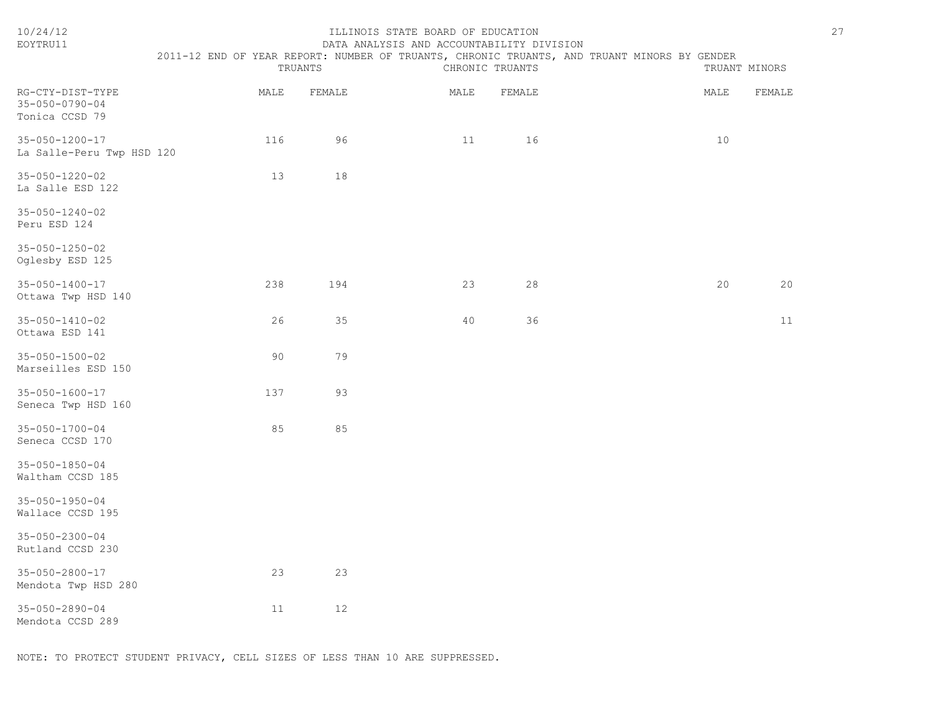| 10/24/12<br>EOYTRU11                                         | 2011-12 END OF YEAR REPORT: NUMBER OF TRUANTS, CHRONIC TRUANTS, AND TRUANT MINORS BY GENDER | TRUANTS | ILLINOIS STATE BOARD OF EDUCATION<br>DATA ANALYSIS AND ACCOUNTABILITY DIVISION | CHRONIC TRUANTS |      | 27<br>TRUANT MINORS |  |
|--------------------------------------------------------------|---------------------------------------------------------------------------------------------|---------|--------------------------------------------------------------------------------|-----------------|------|---------------------|--|
| RG-CTY-DIST-TYPE<br>$35 - 050 - 0790 - 04$<br>Tonica CCSD 79 | MALE                                                                                        | FEMALE  | MALE                                                                           | FEMALE          | MALE | FEMALE              |  |
| $35 - 050 - 1200 - 17$<br>La Salle-Peru Twp HSD 120          | 116                                                                                         | 96      | 11                                                                             | 16              | 10   |                     |  |
| 35-050-1220-02<br>La Salle ESD 122                           | 13                                                                                          | 18      |                                                                                |                 |      |                     |  |
| $35 - 050 - 1240 - 02$<br>Peru ESD 124                       |                                                                                             |         |                                                                                |                 |      |                     |  |
| $35 - 050 - 1250 - 02$<br>Oglesby ESD 125                    |                                                                                             |         |                                                                                |                 |      |                     |  |
| $35 - 050 - 1400 - 17$<br>Ottawa Twp HSD 140                 | 238                                                                                         | 194     | 23                                                                             | 28              | 20   | 20                  |  |
| $35 - 050 - 1410 - 02$<br>Ottawa ESD 141                     | 26                                                                                          | 35      | 40                                                                             | 36              |      | 11                  |  |
| $35 - 050 - 1500 - 02$<br>Marseilles ESD 150                 | 90                                                                                          | 79      |                                                                                |                 |      |                     |  |
| 35-050-1600-17<br>Seneca Twp HSD 160                         | 137                                                                                         | 93      |                                                                                |                 |      |                     |  |
| 35-050-1700-04<br>Seneca CCSD 170                            | 85                                                                                          | 85      |                                                                                |                 |      |                     |  |
| $35 - 050 - 1850 - 04$<br>Waltham CCSD 185                   |                                                                                             |         |                                                                                |                 |      |                     |  |
| $35 - 050 - 1950 - 04$<br>Wallace CCSD 195                   |                                                                                             |         |                                                                                |                 |      |                     |  |
| $35 - 050 - 2300 - 04$<br>Rutland CCSD 230                   |                                                                                             |         |                                                                                |                 |      |                     |  |
| 35-050-2800-17<br>Mendota Twp HSD 280                        | 23                                                                                          | 23      |                                                                                |                 |      |                     |  |
| 35-050-2890-04<br>Mendota CCSD 289                           | 11                                                                                          | $12$    |                                                                                |                 |      |                     |  |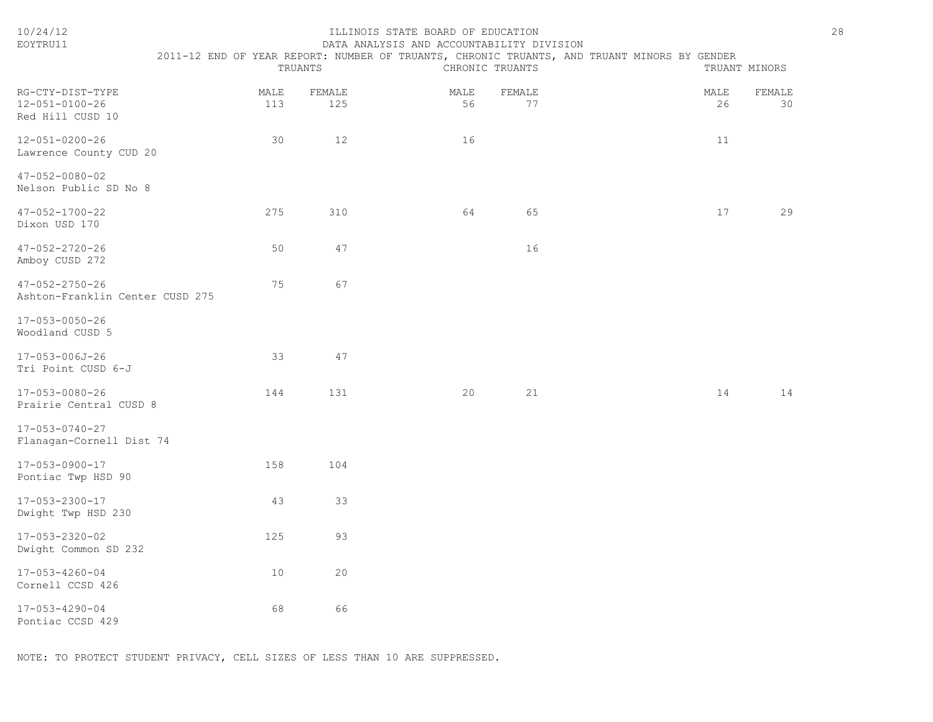| 10/24/12<br>EOYTRU11                                      | 2011-12 END OF YEAR REPORT: NUMBER OF TRUANTS, CHRONIC TRUANTS, AND TRUANT MINORS BY GENDER | TRUANTS       | ILLINOIS STATE BOARD OF EDUCATION<br>DATA ANALYSIS AND ACCOUNTABILITY DIVISION | CHRONIC TRUANTS |            | TRUANT MINORS | 28 |
|-----------------------------------------------------------|---------------------------------------------------------------------------------------------|---------------|--------------------------------------------------------------------------------|-----------------|------------|---------------|----|
| RG-CTY-DIST-TYPE<br>12-051-0100-26<br>Red Hill CUSD 10    | MALE<br>113                                                                                 | FEMALE<br>125 | MALE<br>56                                                                     | FEMALE<br>77    | MALE<br>26 | FEMALE<br>30  |    |
| $12 - 051 - 0200 - 26$<br>Lawrence County CUD 20          | 30                                                                                          | 12            | 16                                                                             |                 | 11         |               |    |
| $47 - 052 - 0080 - 02$<br>Nelson Public SD No 8           |                                                                                             |               |                                                                                |                 |            |               |    |
| 47-052-1700-22<br>Dixon USD 170                           | 275                                                                                         | 310           | 64                                                                             | 65              | 17         | 29            |    |
| $47 - 052 - 2720 - 26$<br>Amboy CUSD 272                  | 50                                                                                          | 47            |                                                                                | 16              |            |               |    |
| $47 - 052 - 2750 - 26$<br>Ashton-Franklin Center CUSD 275 | 75                                                                                          | 67            |                                                                                |                 |            |               |    |
| 17-053-0050-26<br>Woodland CUSD 5                         |                                                                                             |               |                                                                                |                 |            |               |    |
| 17-053-006J-26<br>Tri Point CUSD 6-J                      | 33                                                                                          | 47            |                                                                                |                 |            |               |    |
| 17-053-0080-26<br>Prairie Central CUSD 8                  | 144                                                                                         | 131           | 20                                                                             | 21              | 14         | 14            |    |
| $17 - 053 - 0740 - 27$<br>Flanagan-Cornell Dist 74        |                                                                                             |               |                                                                                |                 |            |               |    |
| $17 - 053 - 0900 - 17$<br>Pontiac Twp HSD 90              | 158                                                                                         | 104           |                                                                                |                 |            |               |    |
| 17-053-2300-17<br>Dwight Twp HSD 230                      | 43                                                                                          | 33            |                                                                                |                 |            |               |    |
| 17-053-2320-02<br>Dwight Common SD 232                    | 125                                                                                         | 93            |                                                                                |                 |            |               |    |
| 17-053-4260-04<br>Cornell CCSD 426                        | 10                                                                                          | 20            |                                                                                |                 |            |               |    |
| 17-053-4290-04<br>Pontiac CCSD 429                        | 68                                                                                          | 66            |                                                                                |                 |            |               |    |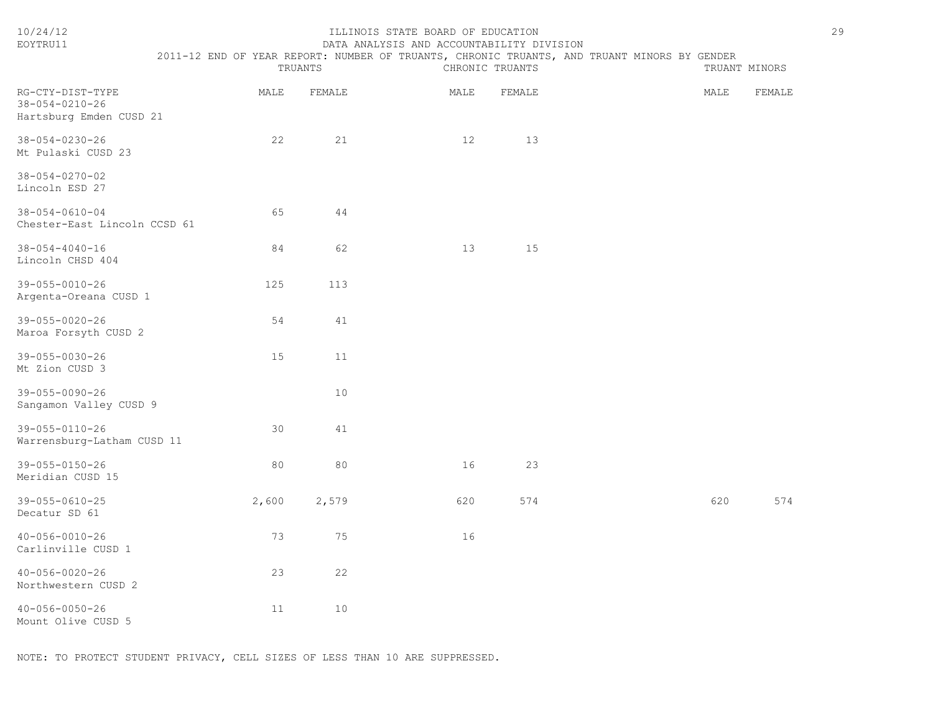| EOYTRU11                                                              |       |         | DATA ANALYSIS AND ACCOUNTABILITY DIVISION |                 |                                                                                             |      |               |
|-----------------------------------------------------------------------|-------|---------|-------------------------------------------|-----------------|---------------------------------------------------------------------------------------------|------|---------------|
|                                                                       |       | TRUANTS |                                           | CHRONIC TRUANTS | 2011-12 END OF YEAR REPORT: NUMBER OF TRUANTS, CHRONIC TRUANTS, AND TRUANT MINORS BY GENDER |      | TRUANT MINORS |
| RG-CTY-DIST-TYPE<br>$38 - 054 - 0210 - 26$<br>Hartsburg Emden CUSD 21 | MALE  | FEMALE  | MALE                                      | FEMALE          |                                                                                             | MALE | FEMALE        |
| $38 - 054 - 0230 - 26$<br>Mt Pulaski CUSD 23                          | 22    | 21      | 12                                        | 13              |                                                                                             |      |               |
| $38 - 054 - 0270 - 02$<br>Lincoln ESD 27                              |       |         |                                           |                 |                                                                                             |      |               |
| $38 - 054 - 0610 - 04$<br>Chester-East Lincoln CCSD 61                | 65    | 44      |                                           |                 |                                                                                             |      |               |
| $38 - 054 - 4040 - 16$<br>Lincoln CHSD 404                            | 84    | 62      | 13                                        | 15              |                                                                                             |      |               |
| 39-055-0010-26<br>Argenta-Oreana CUSD 1                               | 125   | 113     |                                           |                 |                                                                                             |      |               |
| 39-055-0020-26<br>Maroa Forsyth CUSD 2                                | 54    | 41      |                                           |                 |                                                                                             |      |               |
| $39 - 055 - 0030 - 26$<br>Mt Zion CUSD 3                              | 15    | 11      |                                           |                 |                                                                                             |      |               |
| 39-055-0090-26<br>Sangamon Valley CUSD 9                              |       | 10      |                                           |                 |                                                                                             |      |               |
| 39-055-0110-26<br>Warrensburg-Latham CUSD 11                          | 30    | 41      |                                           |                 |                                                                                             |      |               |
| $39 - 055 - 0150 - 26$<br>Meridian CUSD 15                            | 80    | 80      | 16                                        | 23              |                                                                                             |      |               |
| 39-055-0610-25<br>Decatur SD 61                                       | 2,600 | 2,579   | 620                                       | 574             |                                                                                             | 620  | 574           |
| $40 - 056 - 0010 - 26$<br>Carlinville CUSD 1                          | 73    | 75      | 16                                        |                 |                                                                                             |      |               |
| $40 - 056 - 0020 - 26$<br>Northwestern CUSD 2                         | 23    | 22      |                                           |                 |                                                                                             |      |               |
| $40 - 056 - 0050 - 26$<br>Mount Olive CUSD 5                          | 11    | 10      |                                           |                 |                                                                                             |      |               |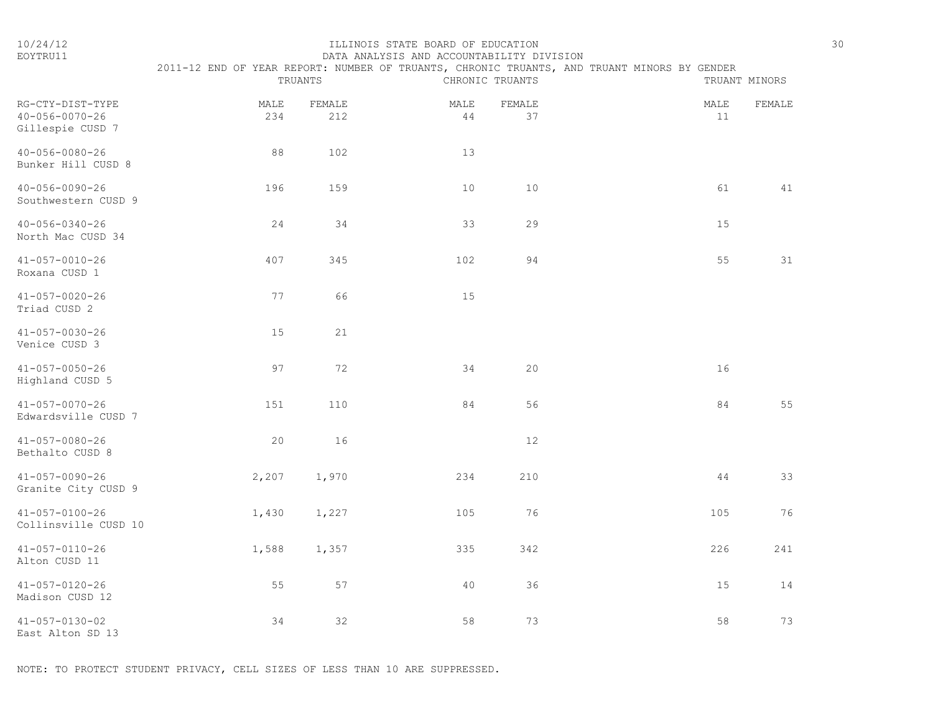## 10/24/12 ILLINOIS STATE BOARD OF EDUCATION 30 EOYTRU11 DATA ANALYSIS AND ACCOUNTABILITY DIVISION 2011-12 END OF YEAR REPORT: NUMBER OF TRUANTS, CHRONIC TRUANTS, AND TRUANT MINORS BY GENDER

|                                                                |             | TRUANTS       |                | CHRONIC TRUANTS |            | TRUANT MINORS |
|----------------------------------------------------------------|-------------|---------------|----------------|-----------------|------------|---------------|
| RG-CTY-DIST-TYPE<br>$40 - 056 - 0070 - 26$<br>Gillespie CUSD 7 | MALE<br>234 | FEMALE<br>212 | MALE<br>$4\,4$ | FEMALE<br>37    | MALE<br>11 | FEMALE        |
| $40 - 056 - 0080 - 26$<br>Bunker Hill CUSD 8                   | 88          | 102           | 13             |                 |            |               |
| $40 - 056 - 0090 - 26$<br>Southwestern CUSD 9                  | 196         | 159           | 10             | 10              | 61         | 41            |
| $40 - 056 - 0340 - 26$<br>North Mac CUSD 34                    | 24          | 34            | 33             | 29              | 15         |               |
| $41 - 057 - 0010 - 26$<br>Roxana CUSD 1                        | 407         | 345           | 102            | 94              | 55         | 31            |
| $41 - 057 - 0020 - 26$<br>Triad CUSD 2                         | 77          | 66            | 15             |                 |            |               |
| $41 - 057 - 0030 - 26$<br>Venice CUSD 3                        | 15          | 21            |                |                 |            |               |
| $41 - 057 - 0050 - 26$<br>Highland CUSD 5                      | 97          | 72            | 34             | 20              | 16         |               |
| $41 - 057 - 0070 - 26$<br>Edwardsville CUSD 7                  | 151         | 110           | 84             | 56              | 84         | 55            |
| $41 - 057 - 0080 - 26$<br>Bethalto CUSD 8                      | 20          | 16            |                | $12$            |            |               |
| $41 - 057 - 0090 - 26$<br>Granite City CUSD 9                  | 2,207       | 1,970         | 234            | 210             | $4\,4$     | 33            |
| $41 - 057 - 0100 - 26$<br>Collinsville CUSD 10                 | 1,430       | 1,227         | 105            | 76              | 105        | 76            |
| $41 - 057 - 0110 - 26$<br>Alton CUSD 11                        | 1,588       | 1,357         | 335            | 342             | 226        | 241           |
| $41 - 057 - 0120 - 26$<br>Madison CUSD 12                      | 55          | 57            | 40             | 36              | 15         | 14            |
| 41-057-0130-02<br>East Alton SD 13                             | 34          | 32            | 58             | 73              | 58         | 73            |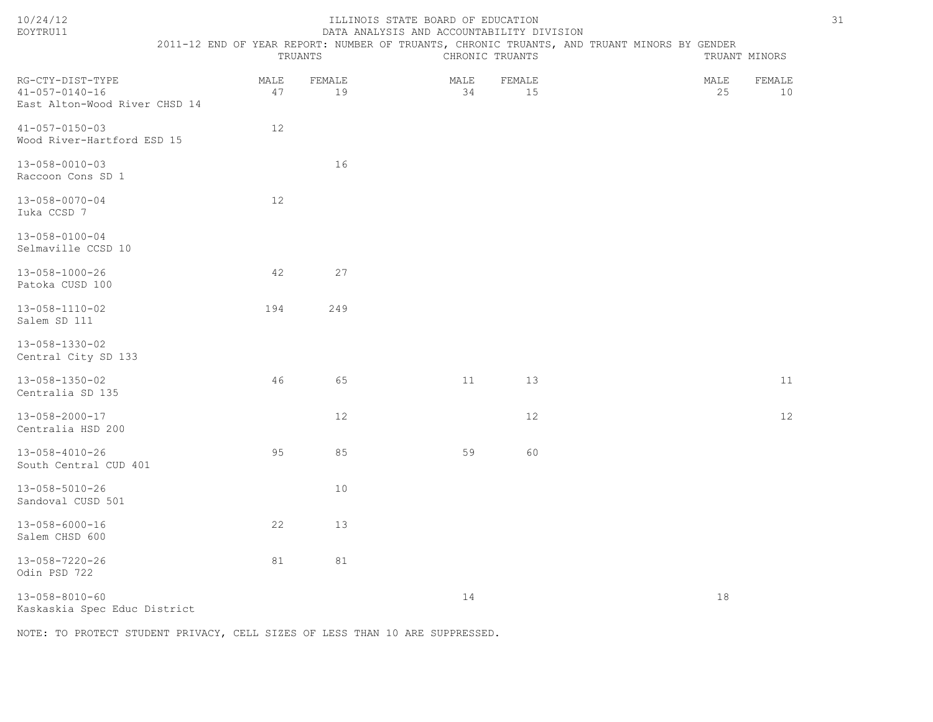| ົດ Λ<br>$\prime$<br>۰<br>۰. |  |
|-----------------------------|--|
|-----------------------------|--|

# ILLINOIS STATE BOARD OF EDUCATION 31 EOYTRU11 DATA ANALYSIS AND ACCOUNTABILITY DIVISION

| --------- |                                                                                       | <u>DIITII INNIHLULU INNU INUUURIIHLIHLILLE DIN IULUU</u> |          |          |  |  |  |
|-----------|---------------------------------------------------------------------------------------|----------------------------------------------------------|----------|----------|--|--|--|
|           | 2 END OF YEAR REPORT: NUMBER OF TRUANTS, CHRONIC TRUANTS, AND TRUANT MINORS BY GENDER |                                                          |          |          |  |  |  |
|           | TRUANTS                                                                               |                                                          | L'HRONTC | TRIJANTS |  |  |  |

| RG-CTY-DIST-TYPE<br>$41 - 057 - 0140 - 16$<br>East Alton-Wood River CHSD 14 | MALE<br>47 | FEMALE<br>19 | MALE<br>34 | FEMALE<br>15 | MALE<br>25 | FEMALE<br>10 |
|-----------------------------------------------------------------------------|------------|--------------|------------|--------------|------------|--------------|
| $41 - 057 - 0150 - 03$<br>Wood River-Hartford ESD 15                        | 12         |              |            |              |            |              |
| 13-058-0010-03<br>Raccoon Cons SD 1                                         |            | 16           |            |              |            |              |
| $13 - 058 - 0070 - 04$<br>Iuka CCSD 7                                       | $12$       |              |            |              |            |              |
| 13-058-0100-04<br>Selmaville CCSD 10                                        |            |              |            |              |            |              |
| $13 - 058 - 1000 - 26$<br>Patoka CUSD 100                                   | 42         | 27           |            |              |            |              |
| $13 - 058 - 1110 - 02$<br>Salem SD 111                                      | 194        | 249          |            |              |            |              |
| 13-058-1330-02<br>Central City SD 133                                       |            |              |            |              |            |              |
| 13-058-1350-02<br>Centralia SD 135                                          | 46         | 65           | 11         | 13           |            | 11           |
| $13 - 058 - 2000 - 17$<br>Centralia HSD 200                                 |            | 12           |            | $12$         |            | 12           |
| $13 - 058 - 4010 - 26$<br>South Central CUD 401                             | 95         | 85           | 59         | 60           |            |              |
| $13 - 058 - 5010 - 26$<br>Sandoval CUSD 501                                 |            | 10           |            |              |            |              |
| $13 - 058 - 6000 - 16$<br>Salem CHSD 600                                    | 22         | 13           |            |              |            |              |
| $13 - 058 - 7220 - 26$<br>Odin PSD 722                                      | 81         | 81           |            |              |            |              |
| $13 - 058 - 8010 - 60$<br>Kaskaskia Spec Educ District                      |            |              | 14         |              | 18         |              |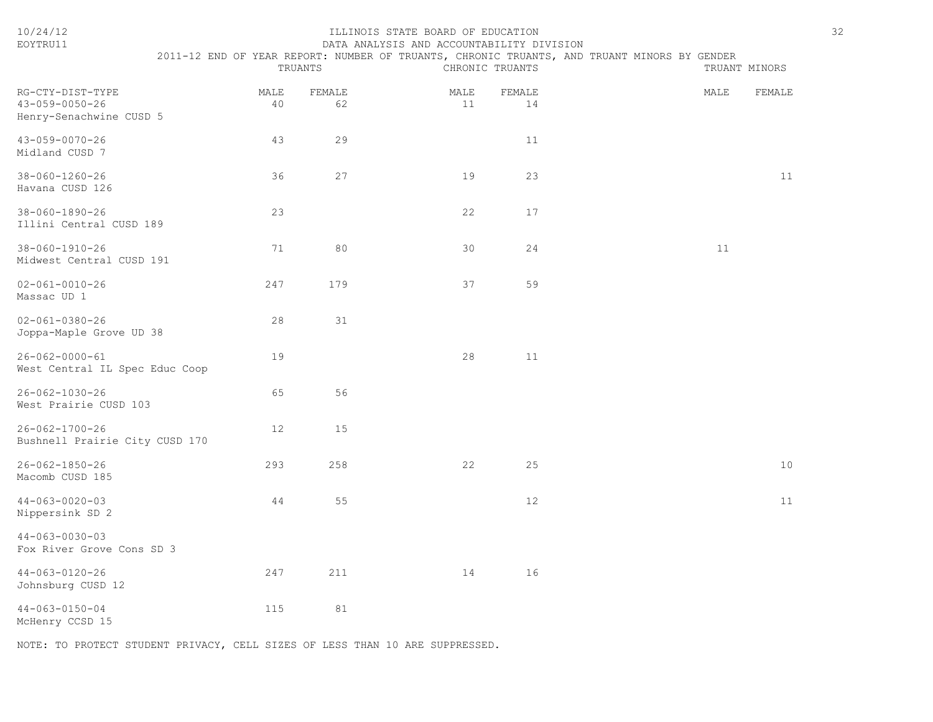| EOYTRU11                                                              |            |              | DATA ANALYSIS AND ACCOUNTABILITY DIVISION |                 |                                                                                             |               |        |
|-----------------------------------------------------------------------|------------|--------------|-------------------------------------------|-----------------|---------------------------------------------------------------------------------------------|---------------|--------|
|                                                                       |            | TRUANTS      |                                           | CHRONIC TRUANTS | 2011-12 END OF YEAR REPORT: NUMBER OF TRUANTS, CHRONIC TRUANTS, AND TRUANT MINORS BY GENDER | TRUANT MINORS |        |
| RG-CTY-DIST-TYPE<br>$43 - 059 - 0050 - 26$<br>Henry-Senachwine CUSD 5 | MALE<br>40 | FEMALE<br>62 | MALE<br>11                                | FEMALE<br>14    |                                                                                             | MALE          | FEMALE |
| 43-059-0070-26<br>Midland CUSD 7                                      | 43         | 29           |                                           | 11              |                                                                                             |               |        |
| 38-060-1260-26<br>Havana CUSD 126                                     | 36         | 27           | 19                                        | 23              |                                                                                             |               | 11     |
| 38-060-1890-26<br>Illini Central CUSD 189                             | 23         |              | 22                                        | 17              |                                                                                             |               |        |
| $38 - 060 - 1910 - 26$<br>Midwest Central CUSD 191                    | 71         | 80           | 30                                        | 24              |                                                                                             | 11            |        |
| $02 - 061 - 0010 - 26$<br>Massac UD 1                                 | 247        | 179          | 37                                        | 59              |                                                                                             |               |        |
| $02 - 061 - 0380 - 26$<br>Joppa-Maple Grove UD 38                     | 28         | 31           |                                           |                 |                                                                                             |               |        |
| $26 - 062 - 0000 - 61$<br>West Central IL Spec Educ Coop              | 19         |              | 28                                        | 11              |                                                                                             |               |        |
| $26 - 062 - 1030 - 26$<br>West Prairie CUSD 103                       | 65         | 56           |                                           |                 |                                                                                             |               |        |
| $26 - 062 - 1700 - 26$<br>Bushnell Prairie City CUSD 170              | 12         | 15           |                                           |                 |                                                                                             |               |        |
| $26 - 062 - 1850 - 26$<br>Macomb CUSD 185                             | 293        | 258          | 22                                        | 25              |                                                                                             |               | $10$   |
| $44 - 063 - 0020 - 03$<br>Nippersink SD 2                             | 44         | 55           |                                           | 12              |                                                                                             |               | 11     |
| $44 - 063 - 0030 - 03$<br>Fox River Grove Cons SD 3                   |            |              |                                           |                 |                                                                                             |               |        |
| $44 - 063 - 0120 - 26$<br>Johnsburg CUSD 12                           | 247        | 211          | 14                                        | 16              |                                                                                             |               |        |
| $44 - 063 - 0150 - 04$<br>McHenry CCSD 15                             | 115        | 81           |                                           |                 |                                                                                             |               |        |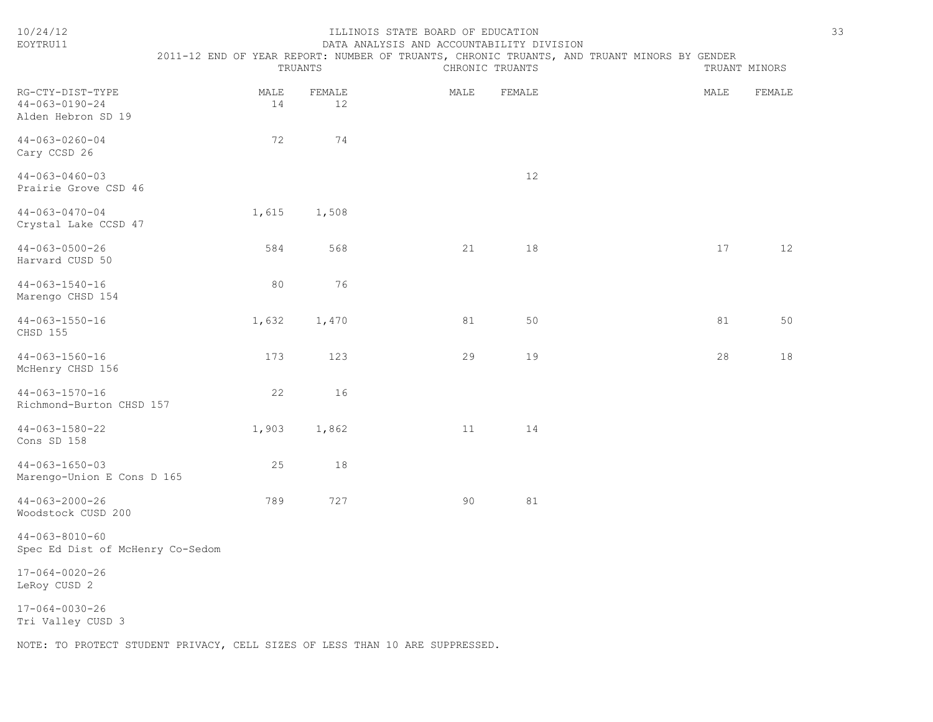| 10/24/12<br>EOYTRU11                                                         | 2011-12 END OF YEAR REPORT: NUMBER OF TRUANTS, CHRONIC TRUANTS, AND TRUANT MINORS BY GENDER | TRUANTS      | ILLINOIS STATE BOARD OF EDUCATION<br>DATA ANALYSIS AND ACCOUNTABILITY DIVISION | CHRONIC TRUANTS |      | TRUANT MINORS | 33 |
|------------------------------------------------------------------------------|---------------------------------------------------------------------------------------------|--------------|--------------------------------------------------------------------------------|-----------------|------|---------------|----|
| RG-CTY-DIST-TYPE<br>$44 - 063 - 0190 - 24$<br>Alden Hebron SD 19             | MALE<br>14                                                                                  | FEMALE<br>12 | MALE                                                                           | FEMALE          | MALE | FEMALE        |    |
| $44 - 063 - 0260 - 04$<br>Cary CCSD 26                                       | 72                                                                                          | 74           |                                                                                |                 |      |               |    |
| $44 - 063 - 0460 - 03$<br>Prairie Grove CSD 46                               |                                                                                             |              |                                                                                | 12              |      |               |    |
| $44 - 063 - 0470 - 04$<br>Crystal Lake CCSD 47                               | 1,615                                                                                       | 1,508        |                                                                                |                 |      |               |    |
| $44 - 063 - 0500 - 26$<br>Harvard CUSD 50                                    | 584                                                                                         | 568          | 21                                                                             | 18              | 17   | 12            |    |
| $44 - 063 - 1540 - 16$<br>Marengo CHSD 154                                   | 80                                                                                          | 76           |                                                                                |                 |      |               |    |
| $44 - 063 - 1550 - 16$<br>CHSD 155                                           | 1,632                                                                                       | 1,470        | 81                                                                             | 50              | 81   | 50            |    |
| $44 - 063 - 1560 - 16$<br>McHenry CHSD 156                                   | 173                                                                                         | 123          | 29                                                                             | 19              | 28   | 18            |    |
| $44 - 063 - 1570 - 16$<br>Richmond-Burton CHSD 157                           | 22                                                                                          | 16           |                                                                                |                 |      |               |    |
| $44 - 063 - 1580 - 22$<br>Cons SD 158                                        | 1,903                                                                                       | 1,862        | 11                                                                             | 14              |      |               |    |
| $44 - 063 - 1650 - 03$<br>Marengo-Union E Cons D 165                         | 25                                                                                          | 18           |                                                                                |                 |      |               |    |
| $44 - 063 - 2000 - 26$<br>Woodstock CUSD 200                                 | 789                                                                                         | 727          | 90                                                                             | 81              |      |               |    |
| $44 - 063 - 8010 - 60$<br>Spec Ed Dist of McHenry Co-Sedom                   |                                                                                             |              |                                                                                |                 |      |               |    |
| $17 - 064 - 0020 - 26$<br>LeRoy CUSD 2                                       |                                                                                             |              |                                                                                |                 |      |               |    |
| $17 - 064 - 0030 - 26$<br>Tri Valley CUSD 3                                  |                                                                                             |              |                                                                                |                 |      |               |    |
| NOTE: TO PROTECT STUDENT PRIVACY, CELL SIZES OF LESS THAN 10 ARE SUPPRESSED. |                                                                                             |              |                                                                                |                 |      |               |    |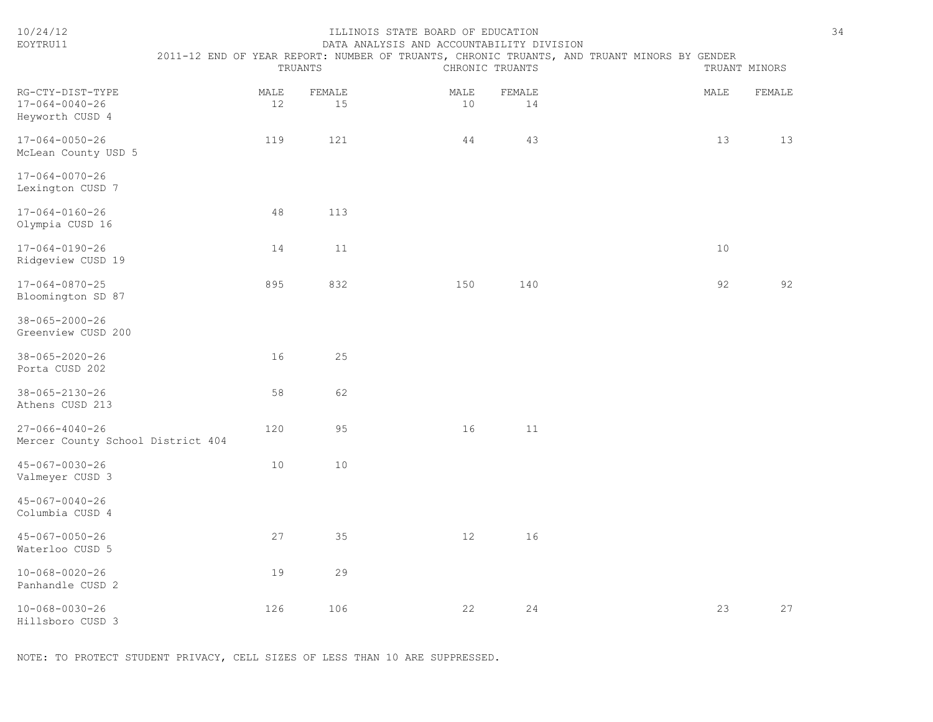| 10/24/12<br>EOYTRU11                                          | 2011-12 END OF YEAR REPORT: NUMBER OF TRUANTS, CHRONIC TRUANTS, AND TRUANT MINORS BY GENDER | TRUANTS    |              | ILLINOIS STATE BOARD OF EDUCATION<br>DATA ANALYSIS AND ACCOUNTABILITY DIVISION |            | CHRONIC TRUANTS |  |      | TRUANT MINORS | 34 |
|---------------------------------------------------------------|---------------------------------------------------------------------------------------------|------------|--------------|--------------------------------------------------------------------------------|------------|-----------------|--|------|---------------|----|
| RG-CTY-DIST-TYPE<br>$17 - 064 - 0040 - 26$<br>Heyworth CUSD 4 |                                                                                             | MALE<br>12 | FEMALE<br>15 |                                                                                | MALE<br>10 | FEMALE<br>14    |  | MALE | FEMALE        |    |
| 17-064-0050-26<br>McLean County USD 5                         |                                                                                             | 119        | 121          |                                                                                | 44         | 43              |  | 13   | 13            |    |
| $17 - 064 - 0070 - 26$<br>Lexington CUSD 7                    |                                                                                             |            |              |                                                                                |            |                 |  |      |               |    |
| $17 - 064 - 0160 - 26$<br>Olympia CUSD 16                     |                                                                                             | 48         | 113          |                                                                                |            |                 |  |      |               |    |
| $17 - 064 - 0190 - 26$<br>Ridgeview CUSD 19                   |                                                                                             | 14         | 11           |                                                                                |            |                 |  | 10   |               |    |
| $17 - 064 - 0870 - 25$<br>Bloomington SD 87                   |                                                                                             | 895        | 832          |                                                                                | 150        | 140             |  | 92   | 92            |    |
| $38 - 065 - 2000 - 26$<br>Greenview CUSD 200                  |                                                                                             |            |              |                                                                                |            |                 |  |      |               |    |
| $38 - 065 - 2020 - 26$<br>Porta CUSD 202                      |                                                                                             | 16         | 25           |                                                                                |            |                 |  |      |               |    |
| $38 - 065 - 2130 - 26$<br>Athens CUSD 213                     |                                                                                             | 58         | 62           |                                                                                |            |                 |  |      |               |    |
| $27 - 066 - 4040 - 26$<br>Mercer County School District 404   |                                                                                             | 120        | 95           |                                                                                | 16         | 11              |  |      |               |    |
| 45-067-0030-26<br>Valmeyer CUSD 3                             |                                                                                             | 10         | 10           |                                                                                |            |                 |  |      |               |    |
| $45 - 067 - 0040 - 26$<br>Columbia CUSD 4                     |                                                                                             |            |              |                                                                                |            |                 |  |      |               |    |
| $45 - 067 - 0050 - 26$<br>Waterloo CUSD 5                     |                                                                                             | 27         | 35           |                                                                                | 12         | 16              |  |      |               |    |
| $10 - 068 - 0020 - 26$<br>Panhandle CUSD 2                    |                                                                                             | 19         | 29           |                                                                                |            |                 |  |      |               |    |
| $10 - 068 - 0030 - 26$<br>Hillsboro CUSD 3                    |                                                                                             | 126        | 106          |                                                                                | 22         | 24              |  | 23   | 27            |    |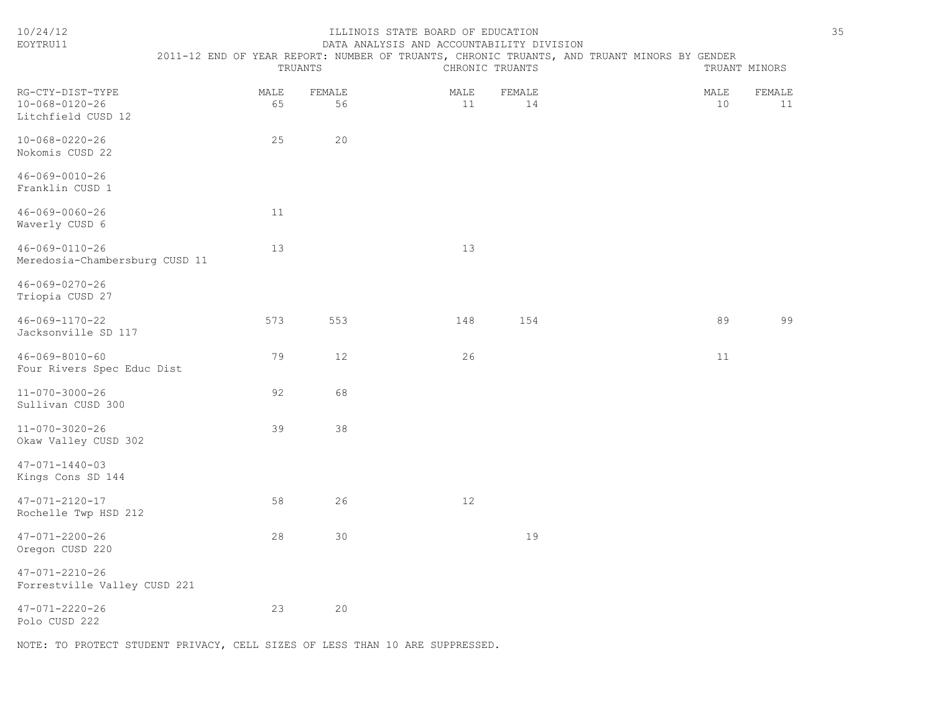| EOYTRU11                                                         |            |              | DATA ANALYSIS AND ACCOUNTABILITY DIVISION |                 |                                                                                             |               |
|------------------------------------------------------------------|------------|--------------|-------------------------------------------|-----------------|---------------------------------------------------------------------------------------------|---------------|
|                                                                  |            | TRUANTS      |                                           | CHRONIC TRUANTS | 2011-12 END OF YEAR REPORT: NUMBER OF TRUANTS, CHRONIC TRUANTS, AND TRUANT MINORS BY GENDER | TRUANT MINORS |
| RG-CTY-DIST-TYPE<br>$10 - 068 - 0120 - 26$<br>Litchfield CUSD 12 | MALE<br>65 | FEMALE<br>56 | MALE<br>11                                | FEMALE<br>14    | MALE<br>10                                                                                  | FEMALE<br>11  |
| $10 - 068 - 0220 - 26$<br>Nokomis CUSD 22                        | 25         | 20           |                                           |                 |                                                                                             |               |
| $46 - 069 - 0010 - 26$<br>Franklin CUSD 1                        |            |              |                                           |                 |                                                                                             |               |
| $46 - 069 - 0060 - 26$<br>Waverly CUSD 6                         | 11         |              |                                           |                 |                                                                                             |               |
| $46 - 069 - 0110 - 26$<br>Meredosia-Chambersburg CUSD 11         | 13         |              | 13                                        |                 |                                                                                             |               |
| 46-069-0270-26<br>Triopia CUSD 27                                |            |              |                                           |                 |                                                                                             |               |
| 46-069-1170-22<br>Jacksonville SD 117                            | 573        | 553          | 148                                       | 154             | 89                                                                                          | 99            |
| $46 - 069 - 8010 - 60$<br>Four Rivers Spec Educ Dist             | 79         | 12           | 26                                        |                 | 11                                                                                          |               |
| $11 - 070 - 3000 - 26$<br>Sullivan CUSD 300                      | 92         | 68           |                                           |                 |                                                                                             |               |
| $11 - 070 - 3020 - 26$<br>Okaw Valley CUSD 302                   | 39         | 38           |                                           |                 |                                                                                             |               |
| $47 - 071 - 1440 - 03$<br>Kings Cons SD 144                      |            |              |                                           |                 |                                                                                             |               |
| $47 - 071 - 2120 - 17$<br>Rochelle Twp HSD 212                   | 58         | 26           | 12                                        |                 |                                                                                             |               |
| $47 - 071 - 2200 - 26$<br>Oregon CUSD 220                        | 28         | 30           |                                           | 19              |                                                                                             |               |
| $47 - 071 - 2210 - 26$<br>Forrestville Valley CUSD 221           |            |              |                                           |                 |                                                                                             |               |
| $47 - 071 - 2220 - 26$<br>Polo CUSD 222                          | 23         | 20           |                                           |                 |                                                                                             |               |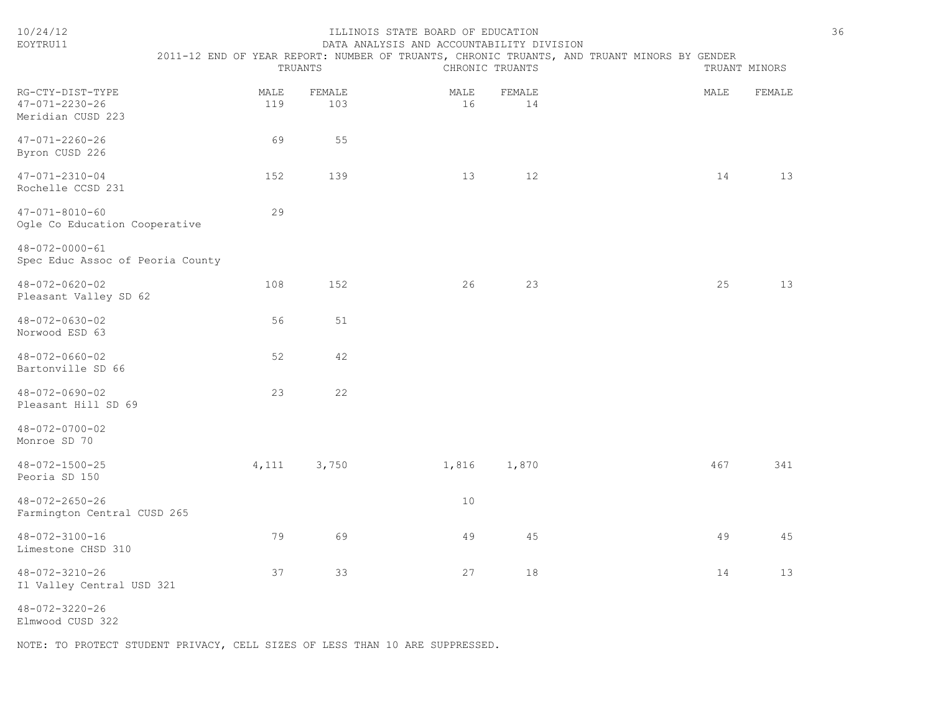| 10/24/12<br>EOYTRU11                                            |             | TRUANTS       | ILLINOIS STATE BOARD OF EDUCATION<br>DATA ANALYSIS AND ACCOUNTABILITY DIVISION | CHRONIC TRUANTS | 2011-12 END OF YEAR REPORT: NUMBER OF TRUANTS, CHRONIC TRUANTS, AND TRUANT MINORS BY GENDER |      | TRUANT MINORS | 36 |
|-----------------------------------------------------------------|-------------|---------------|--------------------------------------------------------------------------------|-----------------|---------------------------------------------------------------------------------------------|------|---------------|----|
| RG-CTY-DIST-TYPE<br>$47 - 071 - 2230 - 26$<br>Meridian CUSD 223 | MALE<br>119 | FEMALE<br>103 | MALE<br>16                                                                     | FEMALE<br>14    |                                                                                             | MALE | FEMALE        |    |
| $47 - 071 - 2260 - 26$<br>Byron CUSD 226                        | 69          | 55            |                                                                                |                 |                                                                                             |      |               |    |
| $47 - 071 - 2310 - 04$<br>Rochelle CCSD 231                     | 152         | 139           | 13                                                                             | 12              |                                                                                             | 14   | 13            |    |
| $47 - 071 - 8010 - 60$<br>Ogle Co Education Cooperative         | 29          |               |                                                                                |                 |                                                                                             |      |               |    |
| 48-072-0000-61<br>Spec Educ Assoc of Peoria County              |             |               |                                                                                |                 |                                                                                             |      |               |    |
| 48-072-0620-02<br>Pleasant Valley SD 62                         | 108         | 152           | 26                                                                             | 23              |                                                                                             | 25   | 13            |    |
| $48 - 072 - 0630 - 02$<br>Norwood ESD 63                        | 56          | 51            |                                                                                |                 |                                                                                             |      |               |    |
| $48 - 072 - 0660 - 02$<br>Bartonville SD 66                     | 52          | 42            |                                                                                |                 |                                                                                             |      |               |    |
| 48-072-0690-02<br>Pleasant Hill SD 69                           | 23          | 22            |                                                                                |                 |                                                                                             |      |               |    |
| $48 - 072 - 0700 - 02$<br>Monroe SD 70                          |             |               |                                                                                |                 |                                                                                             |      |               |    |
| $48 - 072 - 1500 - 25$<br>Peoria SD 150                         | 4,111       | 3,750         | 1,816                                                                          | 1,870           |                                                                                             | 467  | 341           |    |
| $48 - 072 - 2650 - 26$<br>Farmington Central CUSD 265           |             |               | 10                                                                             |                 |                                                                                             |      |               |    |
| $48 - 072 - 3100 - 16$<br>Limestone CHSD 310                    | 79          | 69            | 49                                                                             | 45              |                                                                                             | 49   | 45            |    |
| 48-072-3210-26<br>Il Valley Central USD 321                     | 37          | 33            | 27                                                                             | 18              |                                                                                             | 14   | 13            |    |
| $48 - 072 - 3220 - 26$                                          |             |               |                                                                                |                 |                                                                                             |      |               |    |

Elmwood CUSD 322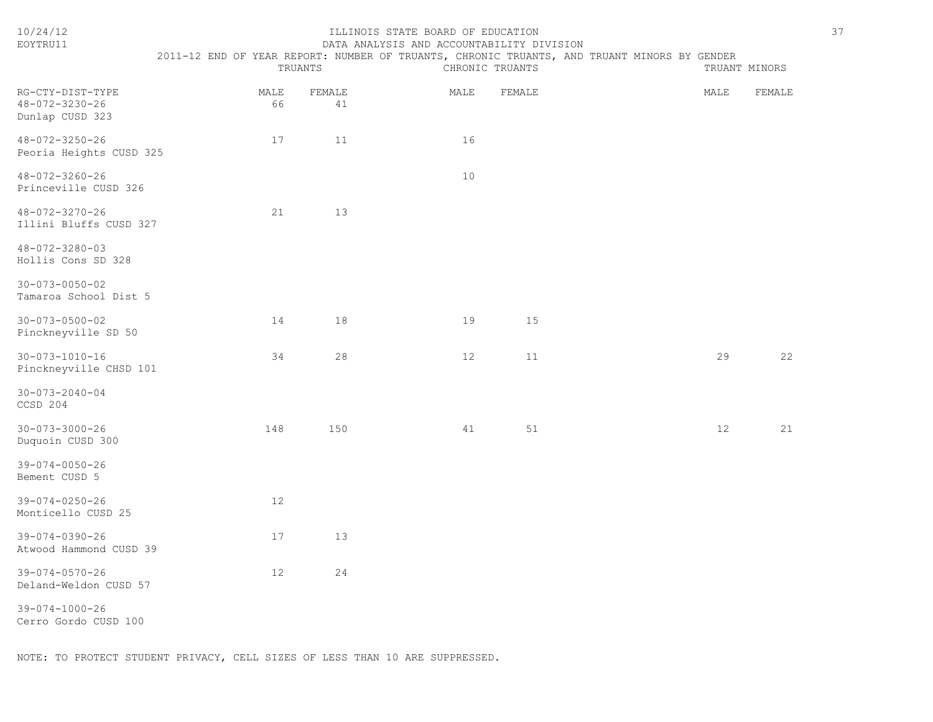| 10/24/12<br>EOYTRU11                                  |            | TRUANTS      | ILLINOIS STATE BOARD OF EDUCATION<br>DATA ANALYSIS AND ACCOUNTABILITY DIVISION<br>2011-12 END OF YEAR REPORT: NUMBER OF TRUANTS, CHRONIC TRUANTS, AND TRUANT MINORS BY GENDER | CHRONIC TRUANTS |      | 37<br>TRUANT MINORS |
|-------------------------------------------------------|------------|--------------|-------------------------------------------------------------------------------------------------------------------------------------------------------------------------------|-----------------|------|---------------------|
| RG-CTY-DIST-TYPE<br>48-072-3230-26<br>Dunlap CUSD 323 | MALE<br>66 | FEMALE<br>41 | MALE                                                                                                                                                                          | FEMALE          | MALE | FEMALE              |
| $48 - 072 - 3250 - 26$<br>Peoria Heights CUSD 325     | 17         | 11           | 16                                                                                                                                                                            |                 |      |                     |
| 48-072-3260-26<br>Princeville CUSD 326                |            |              | 10                                                                                                                                                                            |                 |      |                     |
| 48-072-3270-26<br>Illini Bluffs CUSD 327              | 21         | 13           |                                                                                                                                                                               |                 |      |                     |
| 48-072-3280-03<br>Hollis Cons SD 328                  |            |              |                                                                                                                                                                               |                 |      |                     |
| $30 - 073 - 0050 - 02$<br>Tamaroa School Dist 5       |            |              |                                                                                                                                                                               |                 |      |                     |
| $30 - 073 - 0500 - 02$<br>Pinckneyville SD 50         | 14         | 18           | 19                                                                                                                                                                            | 15              |      |                     |
| $30 - 073 - 1010 - 16$<br>Pinckneyville CHSD 101      | 34         | 28           | 12                                                                                                                                                                            | 11              | 29   | 22                  |
| $30 - 073 - 2040 - 04$<br>CCSD 204                    |            |              |                                                                                                                                                                               |                 |      |                     |
| $30 - 073 - 3000 - 26$<br>Duquoin CUSD 300            | 148        | 150          | 41                                                                                                                                                                            | 51              | 12   | 21                  |
| $39 - 074 - 0050 - 26$<br>Bement CUSD 5               |            |              |                                                                                                                                                                               |                 |      |                     |
| $39 - 074 - 0250 - 26$<br>Monticello CUSD 25          | 12         |              |                                                                                                                                                                               |                 |      |                     |
| $39 - 074 - 0390 - 26$<br>Atwood Hammond CUSD 39      | 17         | 13           |                                                                                                                                                                               |                 |      |                     |
| $39 - 074 - 0570 - 26$<br>Deland-Weldon CUSD 57       | 12         | 24           |                                                                                                                                                                               |                 |      |                     |
| $39 - 074 - 1000 - 26$<br>Cerro Gordo CUSD 100        |            |              |                                                                                                                                                                               |                 |      |                     |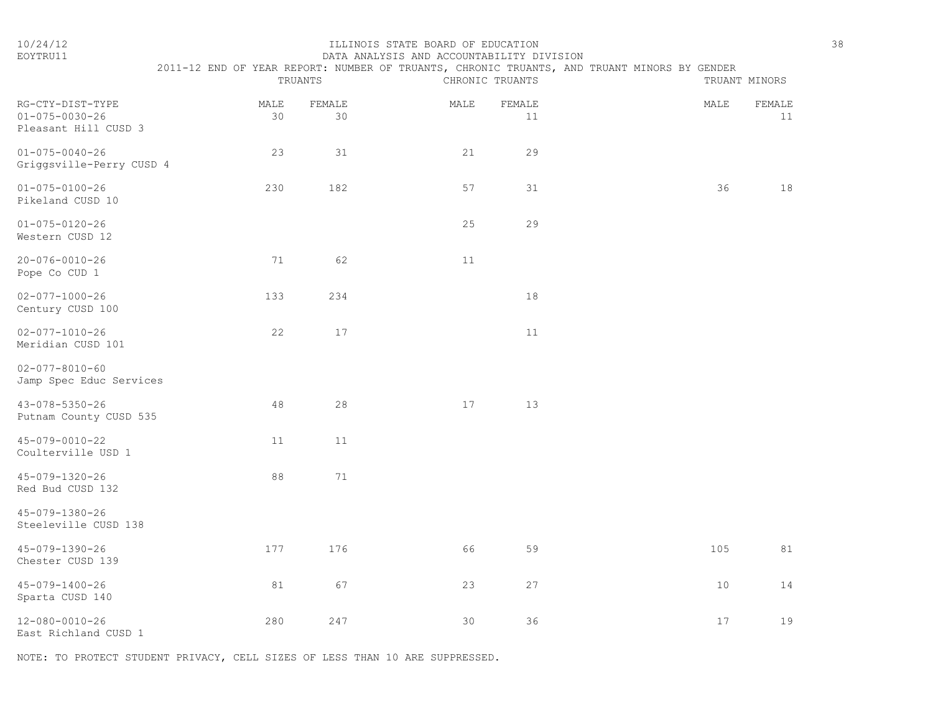### 10/24/12 ILLINOIS STATE BOARD OF EDUCATION 38 EOYTRU11 DATA ANALYSIS AND ACCOUNTABILITY DIVISION

|   | i |
|---|---|
| I |   |

|                                                                    | 2011-12 END OF YEAR REPORT: NUMBER OF TRUANTS, CHRONIC TRUANTS, AND TRUANT MINORS BY GENDER | TRUANTS      |      | CHRONIC TRUANTS |      | TRUANT MINORS |
|--------------------------------------------------------------------|---------------------------------------------------------------------------------------------|--------------|------|-----------------|------|---------------|
| RG-CTY-DIST-TYPE<br>$01 - 075 - 0030 - 26$<br>Pleasant Hill CUSD 3 | MALE<br>30                                                                                  | FEMALE<br>30 | MALE | FEMALE<br>11    | MALE | FEMALE<br>11  |
| $01 - 075 - 0040 - 26$<br>Griggsville-Perry CUSD 4                 | 23                                                                                          | 31           | 21   | 29              |      |               |
| $01 - 075 - 0100 - 26$<br>Pikeland CUSD 10                         | 230                                                                                         | 182          | 57   | 31              | 36   | 18            |
| $01 - 075 - 0120 - 26$<br>Western CUSD 12                          |                                                                                             |              | 25   | 29              |      |               |
| $20 - 076 - 0010 - 26$<br>Pope Co CUD 1                            | 71                                                                                          | 62           | 11   |                 |      |               |
| $02 - 077 - 1000 - 26$<br>Century CUSD 100                         | 133                                                                                         | 234          |      | $18\,$          |      |               |
| $02 - 077 - 1010 - 26$<br>Meridian CUSD 101                        | 22                                                                                          | 17           |      | $11$            |      |               |
| $02 - 077 - 8010 - 60$<br>Jamp Spec Educ Services                  |                                                                                             |              |      |                 |      |               |
| 43-078-5350-26<br>Putnam County CUSD 535                           | 48                                                                                          | $28$         | 17   | 13              |      |               |
| $45 - 079 - 0010 - 22$<br>Coulterville USD 1                       | 11                                                                                          | 11           |      |                 |      |               |
| 45-079-1320-26<br>Red Bud CUSD 132                                 | 88                                                                                          | 71           |      |                 |      |               |
| 45-079-1380-26<br>Steeleville CUSD 138                             |                                                                                             |              |      |                 |      |               |
| 45-079-1390-26<br>Chester CUSD 139                                 | 177                                                                                         | 176          | 66   | 59              | 105  | 81            |
| $45 - 079 - 1400 - 26$<br>Sparta CUSD 140                          | 81                                                                                          | 67           | 23   | 27              | $10$ | 14            |
| 12-080-0010-26<br>East Richland CUSD 1                             | 280                                                                                         | 247          | 30   | 36              | 17   | 19            |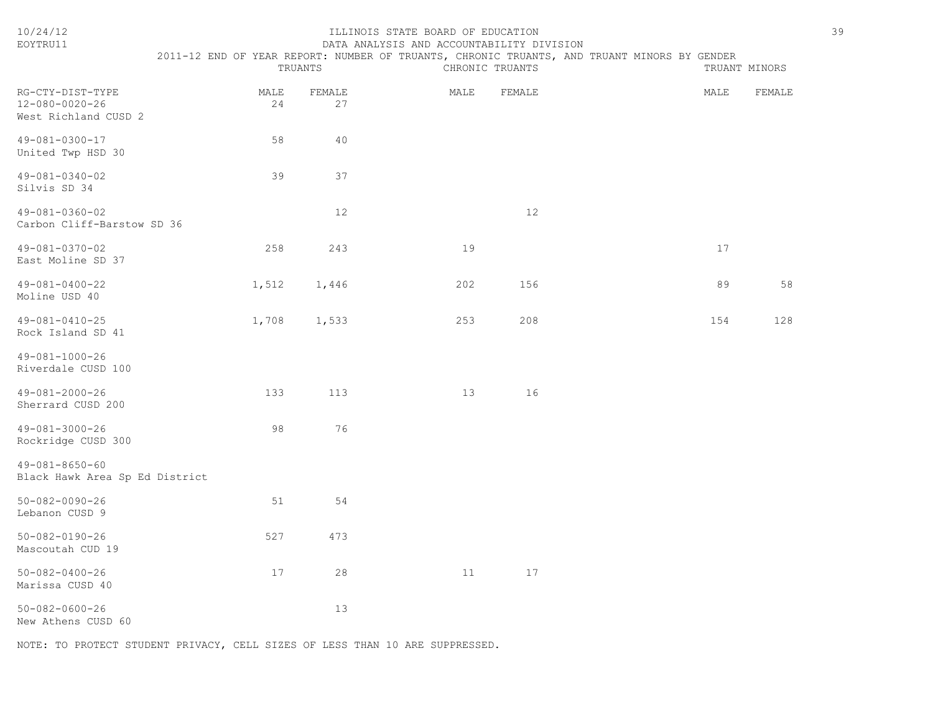| EOYTRU11                                                   |                                                                                             |              | DATA ANALYSIS AND ACCOUNTABILITY DIVISION |                 |      |               |
|------------------------------------------------------------|---------------------------------------------------------------------------------------------|--------------|-------------------------------------------|-----------------|------|---------------|
|                                                            | 2011-12 END OF YEAR REPORT: NUMBER OF TRUANTS, CHRONIC TRUANTS, AND TRUANT MINORS BY GENDER | TRUANTS      |                                           | CHRONIC TRUANTS |      | TRUANT MINORS |
| RG-CTY-DIST-TYPE<br>12-080-0020-26<br>West Richland CUSD 2 | MALE<br>24                                                                                  | FEMALE<br>27 | MALE                                      | FEMALE          | MALE | FEMALE        |
| 49-081-0300-17<br>United Twp HSD 30                        | 58                                                                                          | 40           |                                           |                 |      |               |
| 49-081-0340-02<br>Silvis SD 34                             | 39                                                                                          | 37           |                                           |                 |      |               |
| 49-081-0360-02<br>Carbon Cliff-Barstow SD 36               |                                                                                             | 12           |                                           | 12              |      |               |
| 49-081-0370-02<br>East Moline SD 37                        | 258                                                                                         | 243          | 19                                        |                 | 17   |               |
| 49-081-0400-22<br>Moline USD 40                            | 1,512                                                                                       | 1,446        | 202                                       | 156             | 89   | 58            |
| 49-081-0410-25<br>Rock Island SD 41                        | 1,708                                                                                       | 1,533        | 253                                       | 208             | 154  | 128           |
| 49-081-1000-26<br>Riverdale CUSD 100                       |                                                                                             |              |                                           |                 |      |               |
| $49 - 081 - 2000 - 26$<br>Sherrard CUSD 200                | 133                                                                                         | 113          | 13                                        | 16              |      |               |
| 49-081-3000-26<br>Rockridge CUSD 300                       | 98                                                                                          | 76           |                                           |                 |      |               |
| 49-081-8650-60<br>Black Hawk Area Sp Ed District           |                                                                                             |              |                                           |                 |      |               |
| $50 - 082 - 0090 - 26$<br>Lebanon CUSD 9                   | 51                                                                                          | 54           |                                           |                 |      |               |
| 50-082-0190-26<br>Mascoutah CUD 19                         | 527                                                                                         | 473          |                                           |                 |      |               |
| $50 - 082 - 0400 - 26$<br>Marissa CUSD 40                  | 17                                                                                          | 28           | 11                                        | 17              |      |               |
| $50 - 082 - 0600 - 26$<br>New Athens CUSD 60               |                                                                                             | 13           |                                           |                 |      |               |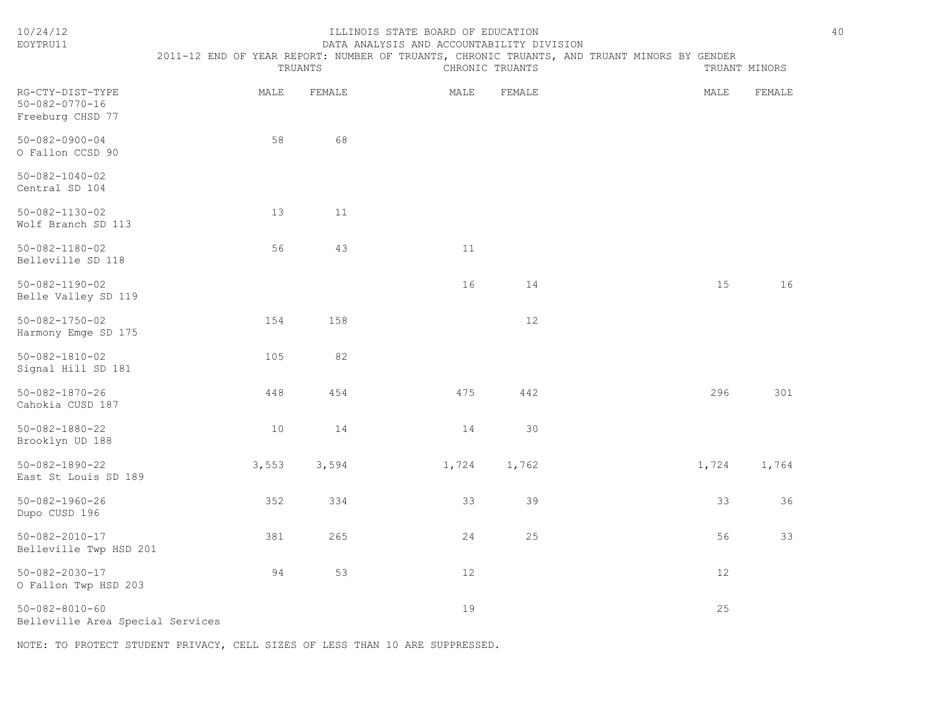| 10/24/12<br>EOYTRU11                                           |       | TRUANTS | ILLINOIS STATE BOARD OF EDUCATION<br>DATA ANALYSIS AND ACCOUNTABILITY DIVISION | CHRONIC TRUANTS | 2011-12 END OF YEAR REPORT: NUMBER OF TRUANTS, CHRONIC TRUANTS, AND TRUANT MINORS BY GENDER |       | TRUANT MINORS | 40 |
|----------------------------------------------------------------|-------|---------|--------------------------------------------------------------------------------|-----------------|---------------------------------------------------------------------------------------------|-------|---------------|----|
| RG-CTY-DIST-TYPE<br>$50 - 082 - 0770 - 16$<br>Freeburg CHSD 77 | MALE  | FEMALE  | MALE                                                                           | FEMALE          |                                                                                             | MALE  | FEMALE        |    |
| $50 - 082 - 0900 - 04$<br>O Fallon CCSD 90                     | 58    | 68      |                                                                                |                 |                                                                                             |       |               |    |
| $50 - 082 - 1040 - 02$<br>Central SD 104                       |       |         |                                                                                |                 |                                                                                             |       |               |    |
| $50 - 082 - 1130 - 02$<br>Wolf Branch SD 113                   | 13    | 11      |                                                                                |                 |                                                                                             |       |               |    |
| $50 - 082 - 1180 - 02$<br>Belleville SD 118                    | 56    | 43      | 11                                                                             |                 |                                                                                             |       |               |    |
| $50 - 082 - 1190 - 02$<br>Belle Valley SD 119                  |       |         | 16                                                                             | 14              |                                                                                             | 15    | 16            |    |
| $50 - 082 - 1750 - 02$<br>Harmony Emge SD 175                  | 154   | 158     |                                                                                | 12              |                                                                                             |       |               |    |
| $50 - 082 - 1810 - 02$<br>Signal Hill SD 181                   | 105   | 82      |                                                                                |                 |                                                                                             |       |               |    |
| $50 - 082 - 1870 - 26$<br>Cahokia CUSD 187                     | 448   | 454     | 475                                                                            | 442             |                                                                                             | 296   | 301           |    |
| $50 - 082 - 1880 - 22$<br>Brooklyn UD 188                      | 10    | 14      | 14                                                                             | 30              |                                                                                             |       |               |    |
| $50 - 082 - 1890 - 22$<br>East St Louis SD 189                 | 3,553 | 3,594   | 1,724                                                                          | 1,762           |                                                                                             | 1,724 | 1,764         |    |
| $50 - 082 - 1960 - 26$<br>Dupo CUSD 196                        | 352   | 334     | 33                                                                             | 39              |                                                                                             | 33    | 36            |    |
| $50 - 082 - 2010 - 17$<br>Belleville Twp HSD 201               | 381   | 265     | 24                                                                             | 25              |                                                                                             | 56    | 33            |    |
| $50 - 082 - 2030 - 17$<br>O Fallon Twp HSD 203                 | 94    | 53      | 12                                                                             |                 |                                                                                             | 12    |               |    |
| $50 - 082 - 8010 - 60$<br>Belleville Area Special Services     |       |         | 19                                                                             |                 |                                                                                             | 25    |               |    |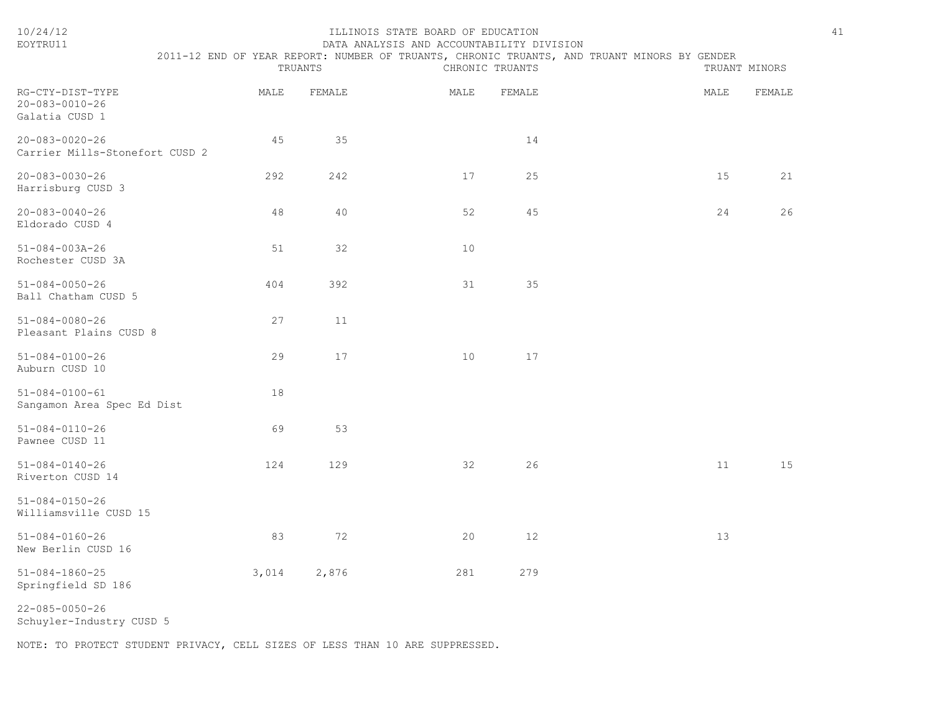| 10/24/12<br>EOYTRU11                                         | TRUANTS |        | ILLINOIS STATE BOARD OF EDUCATION<br>DATA ANALYSIS AND ACCOUNTABILITY DIVISION | CHRONIC TRUANTS | 2011-12 END OF YEAR REPORT: NUMBER OF TRUANTS, CHRONIC TRUANTS, AND TRUANT MINORS BY GENDER |      | 41<br>TRUANT MINORS |
|--------------------------------------------------------------|---------|--------|--------------------------------------------------------------------------------|-----------------|---------------------------------------------------------------------------------------------|------|---------------------|
| RG-CTY-DIST-TYPE<br>$20 - 083 - 0010 - 26$<br>Galatia CUSD 1 | MALE    | FEMALE | MALE                                                                           | FEMALE          |                                                                                             | MALE | FEMALE              |
| $20 - 083 - 0020 - 26$<br>Carrier Mills-Stonefort CUSD 2     | 45      | 35     |                                                                                | 14              |                                                                                             |      |                     |
| $20 - 083 - 0030 - 26$<br>Harrisburg CUSD 3                  | 292     | 242    | 17                                                                             | 25              |                                                                                             | 15   | 21                  |
| $20 - 083 - 0040 - 26$<br>Eldorado CUSD 4                    | 48      | 40     | 52                                                                             | 45              |                                                                                             | 24   | 26                  |
| $51 - 084 - 003A - 26$<br>Rochester CUSD 3A                  | 51      | 32     | 10                                                                             |                 |                                                                                             |      |                     |
| $51 - 084 - 0050 - 26$<br>Ball Chatham CUSD 5                | 404     | 392    | 31                                                                             | 35              |                                                                                             |      |                     |
| $51 - 084 - 0080 - 26$<br>Pleasant Plains CUSD 8             | 27      | 11     |                                                                                |                 |                                                                                             |      |                     |
| $51 - 084 - 0100 - 26$<br>Auburn CUSD 10                     | 29      | 17     | 10                                                                             | 17              |                                                                                             |      |                     |
| $51 - 084 - 0100 - 61$<br>Sangamon Area Spec Ed Dist         | 18      |        |                                                                                |                 |                                                                                             |      |                     |
| $51 - 084 - 0110 - 26$<br>Pawnee CUSD 11                     | 69      | 53     |                                                                                |                 |                                                                                             |      |                     |
| $51 - 084 - 0140 - 26$<br>Riverton CUSD 14                   | 124     | 129    | 32                                                                             | 26              |                                                                                             | 11   | 15                  |
| $51 - 084 - 0150 - 26$<br>Williamsville CUSD 15              |         |        |                                                                                |                 |                                                                                             |      |                     |
| $51 - 084 - 0160 - 26$<br>New Berlin CUSD 16                 | 83      | 72     | 20                                                                             | 12              |                                                                                             | 13   |                     |
| $51 - 084 - 1860 - 25$<br>Springfield SD 186                 | 3,014   | 2,876  | 281                                                                            | 279             |                                                                                             |      |                     |

22-085-0050-26

Schuyler-Industry CUSD 5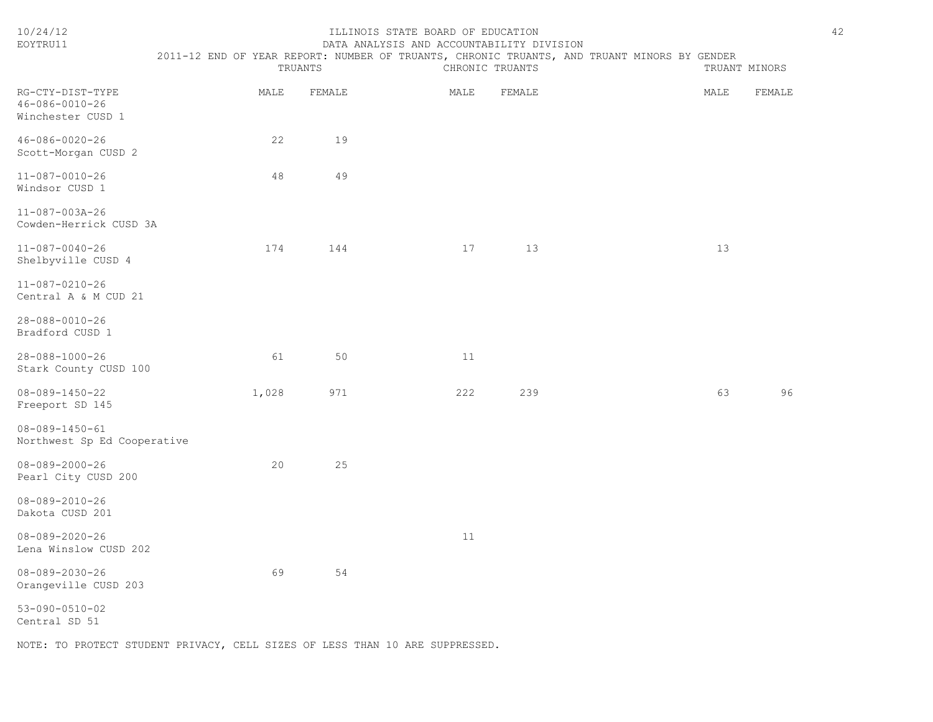| 10/24/12<br>EOYTRU11                                    | 42<br>ILLINOIS STATE BOARD OF EDUCATION<br>DATA ANALYSIS AND ACCOUNTABILITY DIVISION<br>2011-12 END OF YEAR REPORT: NUMBER OF TRUANTS, CHRONIC TRUANTS, AND TRUANT MINORS BY GENDER |         |      |                 |  |               |        |  |
|---------------------------------------------------------|-------------------------------------------------------------------------------------------------------------------------------------------------------------------------------------|---------|------|-----------------|--|---------------|--------|--|
|                                                         |                                                                                                                                                                                     | TRUANTS |      | CHRONIC TRUANTS |  | TRUANT MINORS |        |  |
| RG-CTY-DIST-TYPE<br>46-086-0010-26<br>Winchester CUSD 1 | MALE                                                                                                                                                                                | FEMALE  | MALE | FEMALE          |  | MALE          | FEMALE |  |
| $46 - 086 - 0020 - 26$<br>Scott-Morgan CUSD 2           | 22                                                                                                                                                                                  | 19      |      |                 |  |               |        |  |
| $11 - 087 - 0010 - 26$<br>Windsor CUSD 1                | 48                                                                                                                                                                                  | 49      |      |                 |  |               |        |  |
| 11-087-003A-26<br>Cowden-Herrick CUSD 3A                |                                                                                                                                                                                     |         |      |                 |  |               |        |  |
| $11 - 087 - 0040 - 26$<br>Shelbyville CUSD 4            | 174                                                                                                                                                                                 | 144     | 17   | 13              |  | 13            |        |  |
| $11 - 087 - 0210 - 26$<br>Central A & M CUD 21          |                                                                                                                                                                                     |         |      |                 |  |               |        |  |
| $28 - 088 - 0010 - 26$<br>Bradford CUSD 1               |                                                                                                                                                                                     |         |      |                 |  |               |        |  |
| $28 - 088 - 1000 - 26$<br>Stark County CUSD 100         | 61                                                                                                                                                                                  | 50      | 11   |                 |  |               |        |  |
| $08 - 089 - 1450 - 22$<br>Freeport SD 145               | 1,028                                                                                                                                                                               | 971     | 222  | 239             |  | 63            | 96     |  |
| $08 - 089 - 1450 - 61$<br>Northwest Sp Ed Cooperative   |                                                                                                                                                                                     |         |      |                 |  |               |        |  |
| $08 - 089 - 2000 - 26$<br>Pearl City CUSD 200           | 20                                                                                                                                                                                  | 25      |      |                 |  |               |        |  |
| $08 - 089 - 2010 - 26$<br>Dakota CUSD 201               |                                                                                                                                                                                     |         |      |                 |  |               |        |  |
| $08 - 089 - 2020 - 26$<br>Lena Winslow CUSD 202         |                                                                                                                                                                                     |         | 11   |                 |  |               |        |  |
| $08 - 089 - 2030 - 26$<br>Orangeville CUSD 203          | 69                                                                                                                                                                                  | 54      |      |                 |  |               |        |  |
| $53 - 090 - 0510 - 02$<br>Central SD 51                 |                                                                                                                                                                                     |         |      |                 |  |               |        |  |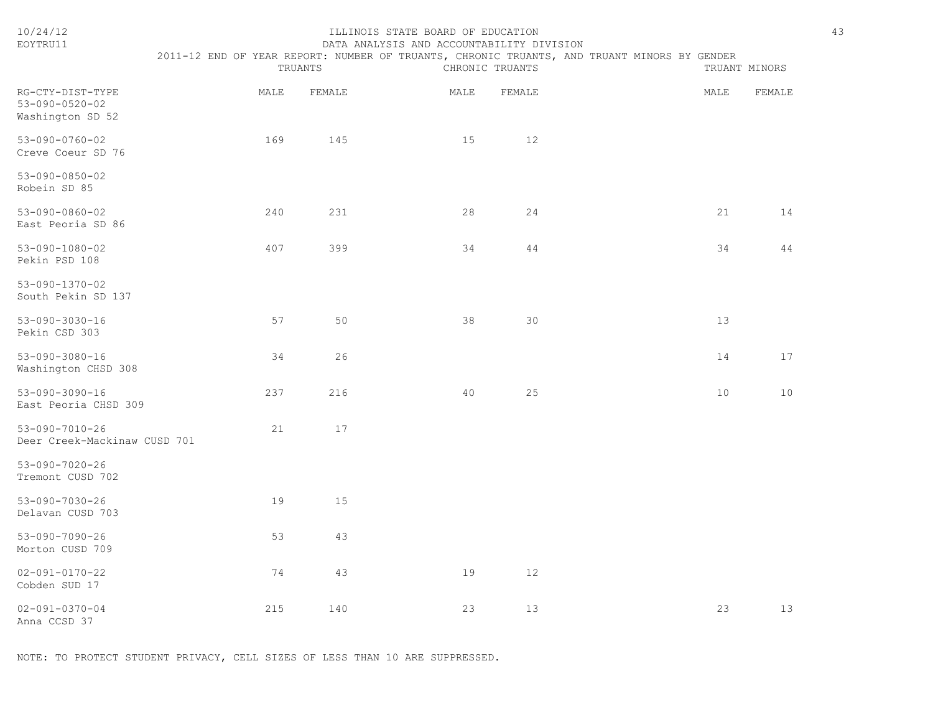| 10/24/12<br>EOYTRU11                                           | ILLINOIS STATE BOARD OF EDUCATION<br>DATA ANALYSIS AND ACCOUNTABILITY DIVISION<br>2011-12 END OF YEAR REPORT: NUMBER OF TRUANTS, CHRONIC TRUANTS, AND TRUANT MINORS BY GENDER<br>TRUANTS<br>CHRONIC TRUANTS<br>TRUANT MINORS |        |      |                 |  |                 |        |  |
|----------------------------------------------------------------|------------------------------------------------------------------------------------------------------------------------------------------------------------------------------------------------------------------------------|--------|------|-----------------|--|-----------------|--------|--|
| RG-CTY-DIST-TYPE<br>$53 - 090 - 0520 - 02$<br>Washington SD 52 | MALE                                                                                                                                                                                                                         | FEMALE | MALE | FEMALE          |  | MALE            | FEMALE |  |
| $53 - 090 - 0760 - 02$<br>Creve Coeur SD 76                    | 169                                                                                                                                                                                                                          | 145    | 15   | 12 <sup>°</sup> |  |                 |        |  |
| $53 - 090 - 0850 - 02$<br>Robein SD 85                         |                                                                                                                                                                                                                              |        |      |                 |  |                 |        |  |
| $53 - 090 - 0860 - 02$<br>East Peoria SD 86                    | 240                                                                                                                                                                                                                          | 231    | 28   | 24              |  | 21              | 14     |  |
| $53 - 090 - 1080 - 02$<br>Pekin PSD 108                        | 407                                                                                                                                                                                                                          | 399    | 34   | 44              |  | 34              | 44     |  |
| $53 - 090 - 1370 - 02$<br>South Pekin SD 137                   |                                                                                                                                                                                                                              |        |      |                 |  |                 |        |  |
| $53 - 090 - 3030 - 16$<br>Pekin CSD 303                        | 57                                                                                                                                                                                                                           | 50     | 38   | 30              |  | 13              |        |  |
| $53 - 090 - 3080 - 16$<br>Washington CHSD 308                  | 34                                                                                                                                                                                                                           | 26     |      |                 |  | 14              | 17     |  |
| $53 - 090 - 3090 - 16$<br>East Peoria CHSD 309                 | 237                                                                                                                                                                                                                          | 216    | 40   | 25              |  | 10 <sup>°</sup> | 10     |  |
| $53 - 090 - 7010 - 26$<br>Deer Creek-Mackinaw CUSD 701         | 21                                                                                                                                                                                                                           | 17     |      |                 |  |                 |        |  |
| $53 - 090 - 7020 - 26$<br>Tremont CUSD 702                     |                                                                                                                                                                                                                              |        |      |                 |  |                 |        |  |
| $53 - 090 - 7030 - 26$<br>Delavan CUSD 703                     | 19                                                                                                                                                                                                                           | 15     |      |                 |  |                 |        |  |
| $53 - 090 - 7090 - 26$<br>Morton CUSD 709                      | 53                                                                                                                                                                                                                           | 43     |      |                 |  |                 |        |  |
| $02 - 091 - 0170 - 22$<br>Cobden SUD 17                        | 74                                                                                                                                                                                                                           | 43     | 19   | 12              |  |                 |        |  |
| $02 - 091 - 0370 - 04$<br>Anna CCSD 37                         | 215                                                                                                                                                                                                                          | 140    | 23   | 13              |  | 23              | 13     |  |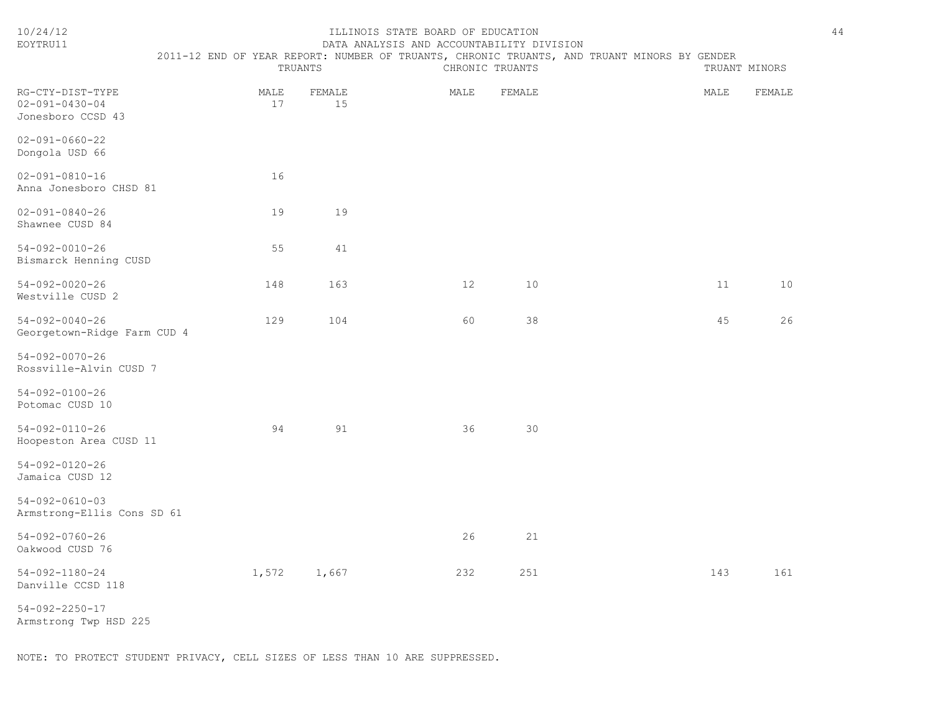| EOYTRU11                                                        | DATA ANALYSIS AND ACCOUNTABILITY DIVISION                                                   |              |      |                 |  |      |               |  |  |  |
|-----------------------------------------------------------------|---------------------------------------------------------------------------------------------|--------------|------|-----------------|--|------|---------------|--|--|--|
|                                                                 | 2011-12 END OF YEAR REPORT: NUMBER OF TRUANTS, CHRONIC TRUANTS, AND TRUANT MINORS BY GENDER | TRUANTS      |      | CHRONIC TRUANTS |  |      | TRUANT MINORS |  |  |  |
| RG-CTY-DIST-TYPE<br>$02 - 091 - 0430 - 04$<br>Jonesboro CCSD 43 | MALE<br>17                                                                                  | FEMALE<br>15 | MALE | FEMALE          |  | MALE | FEMALE        |  |  |  |
| $02 - 091 - 0660 - 22$<br>Dongola USD 66                        |                                                                                             |              |      |                 |  |      |               |  |  |  |
| $02 - 091 - 0810 - 16$<br>Anna Jonesboro CHSD 81                | 16                                                                                          |              |      |                 |  |      |               |  |  |  |
| $02 - 091 - 0840 - 26$<br>Shawnee CUSD 84                       | 19                                                                                          | 19           |      |                 |  |      |               |  |  |  |
| $54 - 092 - 0010 - 26$<br>Bismarck Henning CUSD                 | 55                                                                                          | 41           |      |                 |  |      |               |  |  |  |
| $54 - 092 - 0020 - 26$<br>Westville CUSD 2                      | 148                                                                                         | 163          | 12   | 10              |  | 11   | 10            |  |  |  |
| $54 - 092 - 0040 - 26$<br>Georgetown-Ridge Farm CUD 4           | 129                                                                                         | 104          | 60   | 38              |  | 45   | 26            |  |  |  |
| $54 - 092 - 0070 - 26$<br>Rossville-Alvin CUSD 7                |                                                                                             |              |      |                 |  |      |               |  |  |  |
| $54 - 092 - 0100 - 26$<br>Potomac CUSD 10                       |                                                                                             |              |      |                 |  |      |               |  |  |  |
| $54 - 092 - 0110 - 26$<br>Hoopeston Area CUSD 11                | 94                                                                                          | 91           | 36   | 30              |  |      |               |  |  |  |
| $54 - 092 - 0120 - 26$<br>Jamaica CUSD 12                       |                                                                                             |              |      |                 |  |      |               |  |  |  |
| $54 - 092 - 0610 - 03$<br>Armstrong-Ellis Cons SD 61            |                                                                                             |              |      |                 |  |      |               |  |  |  |
| $54 - 092 - 0760 - 26$<br>Oakwood CUSD 76                       |                                                                                             |              | 26   | 21              |  |      |               |  |  |  |
| $54 - 092 - 1180 - 24$<br>Danville CCSD 118                     | 1,572                                                                                       | 1,667        | 232  | 251             |  | 143  | 161           |  |  |  |
| $54 - 092 - 2250 - 17$                                          |                                                                                             |              |      |                 |  |      |               |  |  |  |

Armstrong Twp HSD 225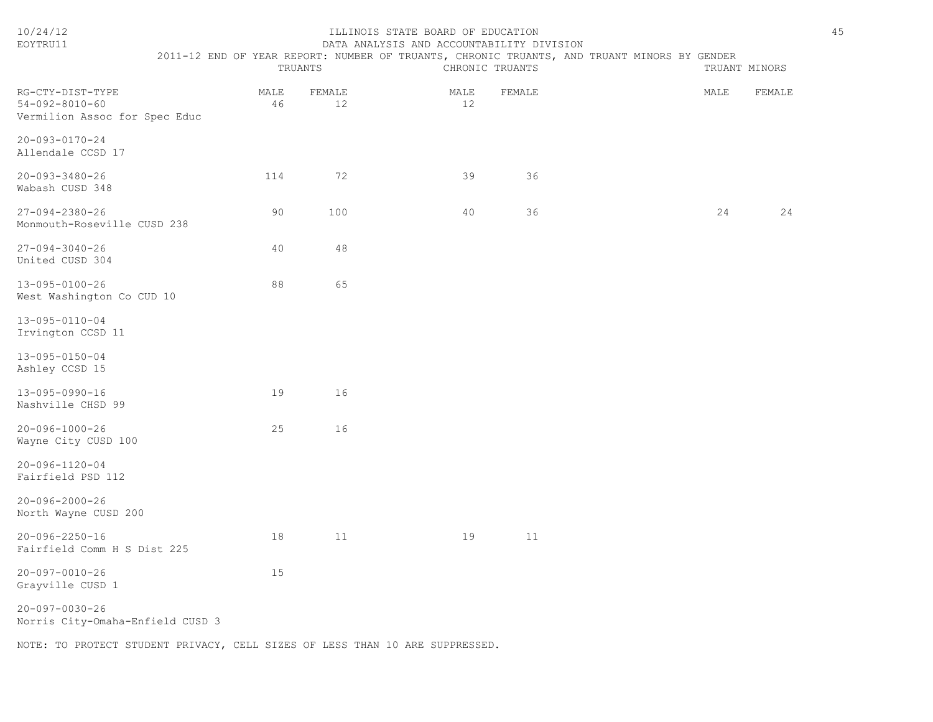| 10/24/12<br>EOYTRU11                                                        |                                                                                             |         |    | ILLINOIS STATE BOARD OF EDUCATION |                 | DATA ANALYSIS AND ACCOUNTABILITY DIVISION |  |  |      |               | 45 |
|-----------------------------------------------------------------------------|---------------------------------------------------------------------------------------------|---------|----|-----------------------------------|-----------------|-------------------------------------------|--|--|------|---------------|----|
|                                                                             | 2011-12 END OF YEAR REPORT: NUMBER OF TRUANTS, CHRONIC TRUANTS, AND TRUANT MINORS BY GENDER | TRUANTS |    |                                   | CHRONIC TRUANTS |                                           |  |  |      | TRUANT MINORS |    |
| RG-CTY-DIST-TYPE<br>$54 - 092 - 8010 - 60$<br>Vermilion Assoc for Spec Educ | MALE<br>46                                                                                  | FEMALE  | 12 |                                   | MALE<br>12      | FEMALE                                    |  |  | MALE | FEMALE        |    |
| 20-093-0170-24<br>Allendale CCSD 17                                         |                                                                                             |         |    |                                   |                 |                                           |  |  |      |               |    |
| $20 - 093 - 3480 - 26$<br>Wabash CUSD 348                                   | 114                                                                                         |         | 72 |                                   | 39              | 36                                        |  |  |      |               |    |
| $27 - 094 - 2380 - 26$<br>Monmouth-Roseville CUSD 238                       | 90                                                                                          | 100     |    |                                   | 40              | 36                                        |  |  | 24   | 24            |    |
| $27 - 094 - 3040 - 26$<br>United CUSD 304                                   | 40                                                                                          |         | 48 |                                   |                 |                                           |  |  |      |               |    |
| 13-095-0100-26<br>West Washington Co CUD 10                                 | 88                                                                                          |         | 65 |                                   |                 |                                           |  |  |      |               |    |
| 13-095-0110-04<br>Irvington CCSD 11                                         |                                                                                             |         |    |                                   |                 |                                           |  |  |      |               |    |
| $13 - 095 - 0150 - 04$<br>Ashley CCSD 15                                    |                                                                                             |         |    |                                   |                 |                                           |  |  |      |               |    |
| 13-095-0990-16<br>Nashville CHSD 99                                         | 19                                                                                          |         | 16 |                                   |                 |                                           |  |  |      |               |    |
| $20 - 096 - 1000 - 26$<br>Wayne City CUSD 100                               | 25                                                                                          |         | 16 |                                   |                 |                                           |  |  |      |               |    |
| 20-096-1120-04<br>Fairfield PSD 112                                         |                                                                                             |         |    |                                   |                 |                                           |  |  |      |               |    |
| $20 - 096 - 2000 - 26$<br>North Wayne CUSD 200                              |                                                                                             |         |    |                                   |                 |                                           |  |  |      |               |    |
| $20 - 096 - 2250 - 16$<br>Fairfield Comm H S Dist 225                       | 18                                                                                          |         | 11 |                                   | 19              | 11                                        |  |  |      |               |    |
| $20 - 097 - 0010 - 26$<br>Grayville CUSD 1                                  | 15                                                                                          |         |    |                                   |                 |                                           |  |  |      |               |    |
| $20 - 097 - 0030 - 26$<br>Norris City-Omaha-Enfield CUSD 3                  |                                                                                             |         |    |                                   |                 |                                           |  |  |      |               |    |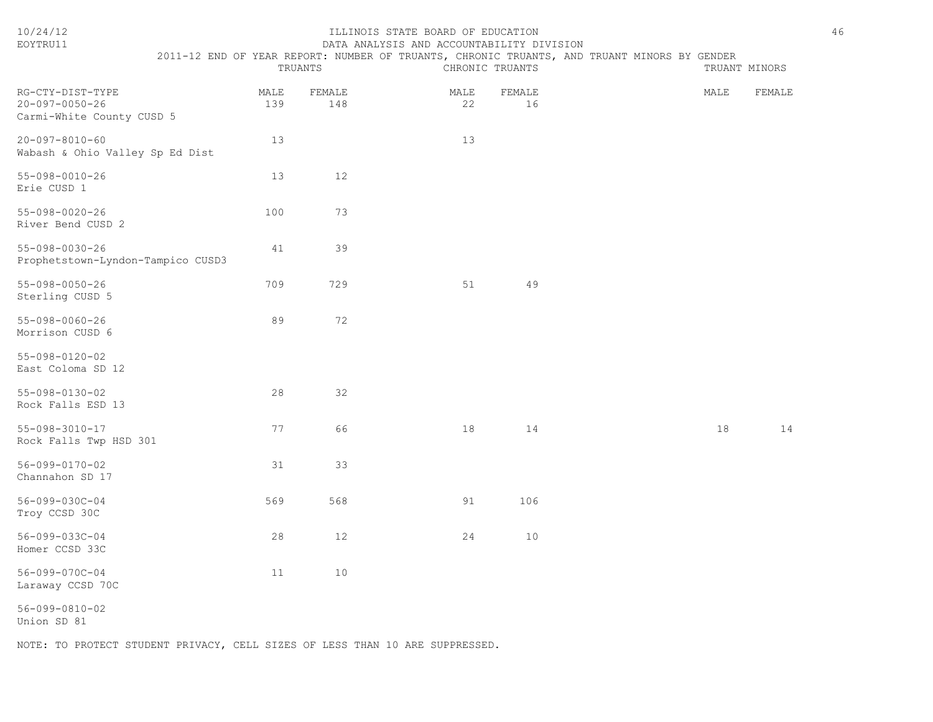| EOYTRU11                                                                |                                                                                                        |               | DATA ANALYSIS AND ACCOUNTABILITY DIVISION |              |               |        |
|-------------------------------------------------------------------------|--------------------------------------------------------------------------------------------------------|---------------|-------------------------------------------|--------------|---------------|--------|
|                                                                         | 2011-12 END OF YEAR REPORT: NUMBER OF TRUANTS, CHRONIC TRUANTS, AND TRUANT MINORS BY GENDER<br>TRUANTS |               | CHRONIC TRUANTS                           |              | TRUANT MINORS |        |
| RG-CTY-DIST-TYPE<br>$20 - 097 - 0050 - 26$<br>Carmi-White County CUSD 5 | MALE<br>139                                                                                            | FEMALE<br>148 | MALE<br>22                                | FEMALE<br>16 | MALE          | FEMALE |
| $20 - 097 - 8010 - 60$<br>Wabash & Ohio Valley Sp Ed Dist               | 13                                                                                                     |               | 13                                        |              |               |        |
| $55 - 098 - 0010 - 26$<br>Erie CUSD 1                                   | 13                                                                                                     | 12            |                                           |              |               |        |
| $55 - 098 - 0020 - 26$<br>River Bend CUSD 2                             | 100                                                                                                    | 73            |                                           |              |               |        |
| $55 - 098 - 0030 - 26$<br>Prophetstown-Lyndon-Tampico CUSD3             | 41                                                                                                     | 39            |                                           |              |               |        |
| 55-098-0050-26<br>Sterling CUSD 5                                       | 709                                                                                                    | 729           | 51                                        | 49           |               |        |
| $55 - 098 - 0060 - 26$<br>Morrison CUSD 6                               | 89                                                                                                     | 72            |                                           |              |               |        |
| $55 - 098 - 0120 - 02$<br>East Coloma SD 12                             |                                                                                                        |               |                                           |              |               |        |
| $55 - 098 - 0130 - 02$<br>Rock Falls ESD 13                             | 28                                                                                                     | 32            |                                           |              |               |        |
| $55 - 098 - 3010 - 17$<br>Rock Falls Twp HSD 301                        | 77                                                                                                     | 66            | 18                                        | 14           | 18            | 14     |
| 56-099-0170-02<br>Channahon SD 17                                       | 31                                                                                                     | 33            |                                           |              |               |        |
| 56-099-030C-04<br>Troy CCSD 30C                                         | 569                                                                                                    | 568           | 91                                        | 106          |               |        |
| 56-099-033C-04<br>Homer CCSD 33C                                        | 28                                                                                                     | 12            | 24                                        | 10           |               |        |
| 56-099-070C-04<br>Laraway CCSD 70C                                      | 11                                                                                                     | 10            |                                           |              |               |        |
| $56 - 099 - 0810 - 02$<br>Union SD 81                                   |                                                                                                        |               |                                           |              |               |        |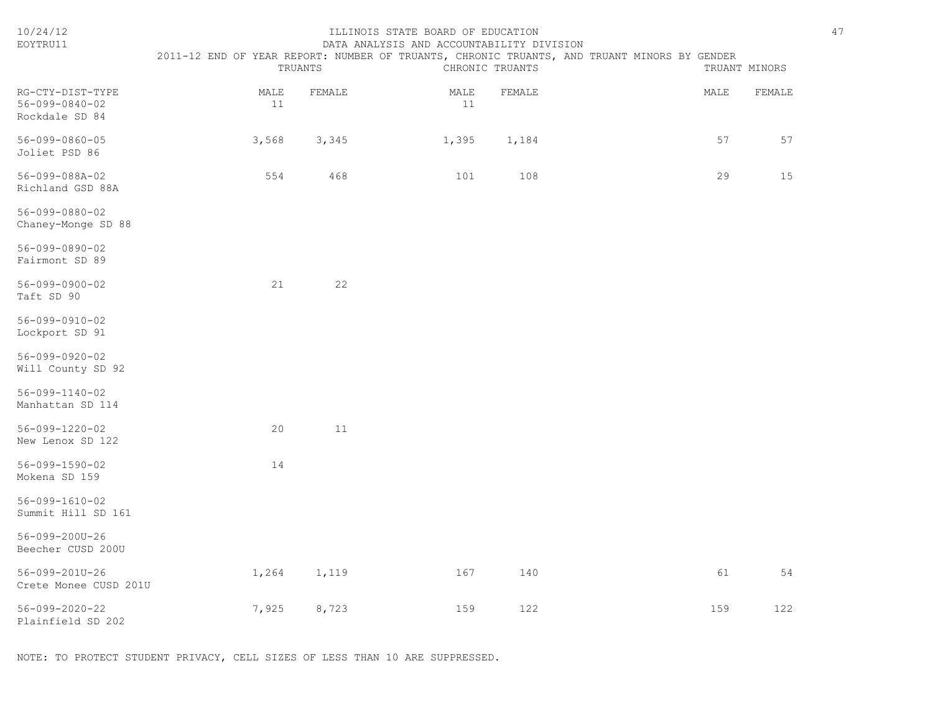| 10/24/12<br>EOYTRU11                                 | ILLINOIS STATE BOARD OF EDUCATION<br>DATA ANALYSIS AND ACCOUNTABILITY DIVISION                         |        |            |                 |  |               |        |  |  |  |
|------------------------------------------------------|--------------------------------------------------------------------------------------------------------|--------|------------|-----------------|--|---------------|--------|--|--|--|
|                                                      | 2011-12 END OF YEAR REPORT: NUMBER OF TRUANTS, CHRONIC TRUANTS, AND TRUANT MINORS BY GENDER<br>TRUANTS |        |            | CHRONIC TRUANTS |  | TRUANT MINORS |        |  |  |  |
| RG-CTY-DIST-TYPE<br>56-099-0840-02<br>Rockdale SD 84 | MALE<br>11                                                                                             | FEMALE | MALE<br>11 | FEMALE          |  | MALE          | FEMALE |  |  |  |
| $56 - 099 - 0860 - 05$<br>Joliet PSD 86              | 3,568                                                                                                  | 3,345  | 1,395      | 1,184           |  | 57            | 57     |  |  |  |
| 56-099-088A-02<br>Richland GSD 88A                   | 554                                                                                                    | 468    | 101        | 108             |  | 29            | 15     |  |  |  |
| 56-099-0880-02<br>Chaney-Monge SD 88                 |                                                                                                        |        |            |                 |  |               |        |  |  |  |
| 56-099-0890-02<br>Fairmont SD 89                     |                                                                                                        |        |            |                 |  |               |        |  |  |  |
| $56 - 099 - 0900 - 02$<br>Taft SD 90                 | 21                                                                                                     | 22     |            |                 |  |               |        |  |  |  |
| 56-099-0910-02<br>Lockport SD 91                     |                                                                                                        |        |            |                 |  |               |        |  |  |  |
| 56-099-0920-02<br>Will County SD 92                  |                                                                                                        |        |            |                 |  |               |        |  |  |  |
| $56 - 099 - 1140 - 02$<br>Manhattan SD 114           |                                                                                                        |        |            |                 |  |               |        |  |  |  |
| 56-099-1220-02<br>New Lenox SD 122                   | 20                                                                                                     | 11     |            |                 |  |               |        |  |  |  |
| 56-099-1590-02<br>Mokena SD 159                      | 14                                                                                                     |        |            |                 |  |               |        |  |  |  |
| $56 - 099 - 1610 - 02$<br>Summit Hill SD 161         |                                                                                                        |        |            |                 |  |               |        |  |  |  |
| 56-099-200U-26<br>Beecher CUSD 200U                  |                                                                                                        |        |            |                 |  |               |        |  |  |  |
| 56-099-201U-26<br>Crete Monee CUSD 201U              | 1,264                                                                                                  | 1,119  | 167        | 140             |  | 61            | 54     |  |  |  |
| 56-099-2020-22<br>Plainfield SD 202                  | 7,925                                                                                                  | 8,723  | 159        | 122             |  | 159           | 122    |  |  |  |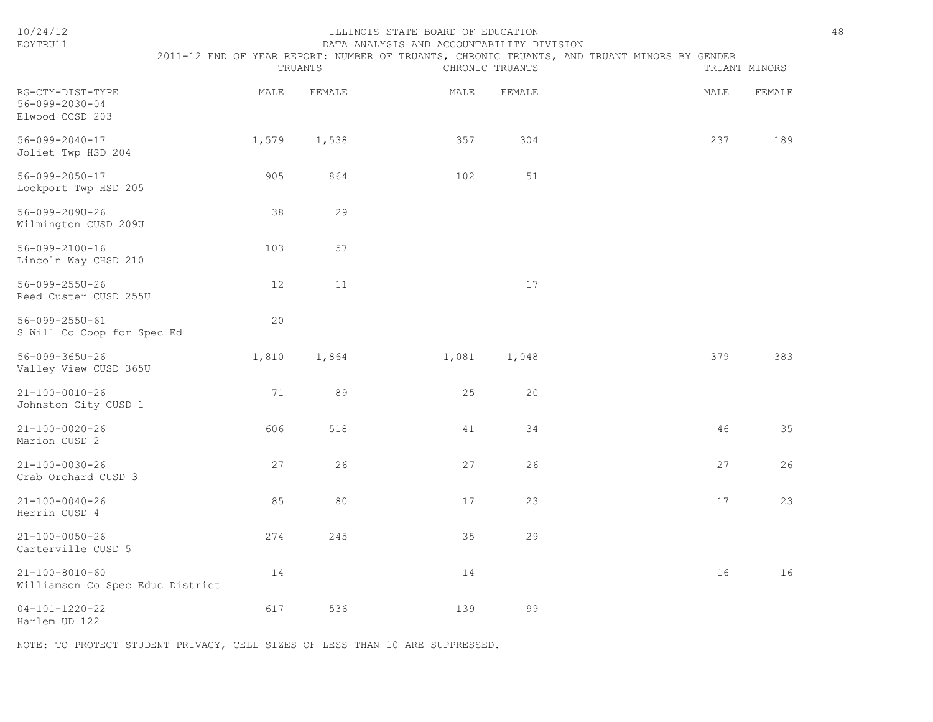| 10/24/12<br>EOYTRU11                                       | 48<br>ILLINOIS STATE BOARD OF EDUCATION<br>DATA ANALYSIS AND ACCOUNTABILITY DIVISION<br>2011-12 END OF YEAR REPORT: NUMBER OF TRUANTS, CHRONIC TRUANTS, AND TRUANT MINORS BY GENDER<br>TRUANTS<br>CHRONIC TRUANTS<br>TRUANT MINORS |        |       |        |  |      |        |  |
|------------------------------------------------------------|------------------------------------------------------------------------------------------------------------------------------------------------------------------------------------------------------------------------------------|--------|-------|--------|--|------|--------|--|
| RG-CTY-DIST-TYPE<br>56-099-2030-04<br>Elwood CCSD 203      | MALE                                                                                                                                                                                                                               | FEMALE | MALE  | FEMALE |  | MALE | FEMALE |  |
| $56 - 099 - 2040 - 17$<br>Joliet Twp HSD 204               | 1,579                                                                                                                                                                                                                              | 1,538  | 357   | 304    |  | 237  | 189    |  |
| $56 - 099 - 2050 - 17$<br>Lockport Twp HSD 205             | 905                                                                                                                                                                                                                                | 864    | 102   | 51     |  |      |        |  |
| 56-099-209U-26<br>Wilmington CUSD 209U                     | 38                                                                                                                                                                                                                                 | 29     |       |        |  |      |        |  |
| $56 - 099 - 2100 - 16$<br>Lincoln Way CHSD 210             | 103                                                                                                                                                                                                                                | 57     |       |        |  |      |        |  |
| 56-099-255U-26<br>Reed Custer CUSD 255U                    | 12                                                                                                                                                                                                                                 | 11     |       | 17     |  |      |        |  |
| 56-099-255U-61<br>S Will Co Coop for Spec Ed               | 20                                                                                                                                                                                                                                 |        |       |        |  |      |        |  |
| 56-099-365U-26<br>Valley View CUSD 365U                    | 1,810                                                                                                                                                                                                                              | 1,864  | 1,081 | 1,048  |  | 379  | 383    |  |
| $21 - 100 - 0010 - 26$<br>Johnston City CUSD 1             | 71                                                                                                                                                                                                                                 | 89     | 25    | 20     |  |      |        |  |
| $21 - 100 - 0020 - 26$<br>Marion CUSD 2                    | 606                                                                                                                                                                                                                                | 518    | 41    | 34     |  | 46   | 35     |  |
| $21 - 100 - 0030 - 26$<br>Crab Orchard CUSD 3              | 27                                                                                                                                                                                                                                 | 26     | 27    | 26     |  | 27   | 26     |  |
| $21 - 100 - 0040 - 26$<br>Herrin CUSD 4                    | 85                                                                                                                                                                                                                                 | 80     | 17    | 23     |  | 17   | 23     |  |
| $21 - 100 - 0050 - 26$<br>Carterville CUSD 5               | 274                                                                                                                                                                                                                                | 245    | 35    | 29     |  |      |        |  |
| $21 - 100 - 8010 - 60$<br>Williamson Co Spec Educ District | 14                                                                                                                                                                                                                                 |        | 14    |        |  | 16   | 16     |  |
| $04 - 101 - 1220 - 22$<br>Harlem UD 122                    | 617                                                                                                                                                                                                                                | 536    | 139   | 99     |  |      |        |  |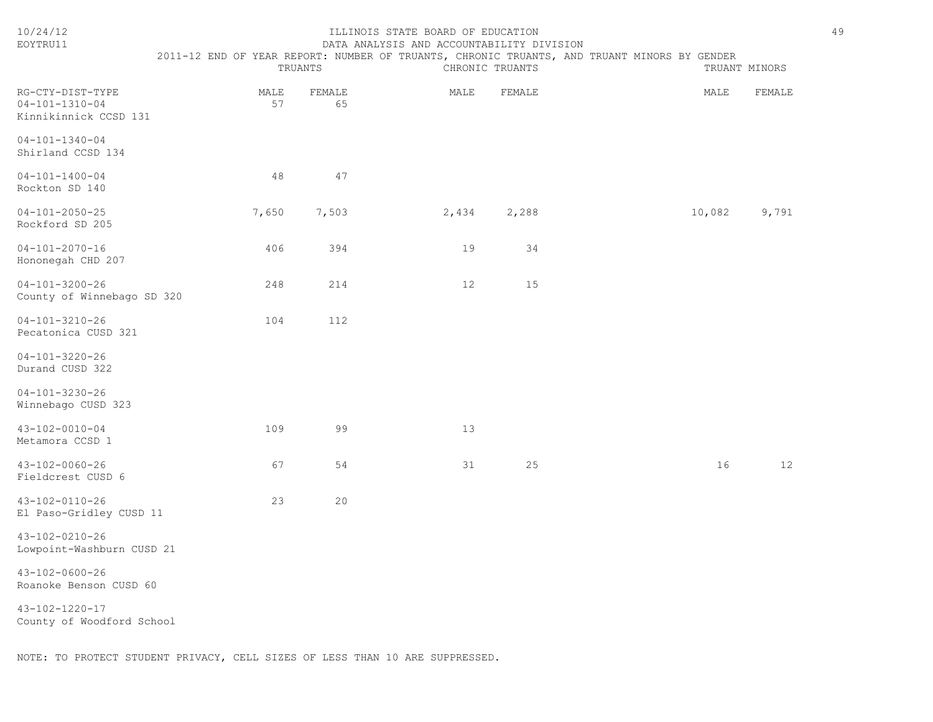| 10/24/12<br>EOYTRU11                                                | TRUANTS    |              | ILLINOIS STATE BOARD OF EDUCATION<br>DATA ANALYSIS AND ACCOUNTABILITY DIVISION<br>2011-12 END OF YEAR REPORT: NUMBER OF TRUANTS, CHRONIC TRUANTS, AND TRUANT MINORS BY GENDER | CHRONIC TRUANTS | TRUANT MINORS | 49     |
|---------------------------------------------------------------------|------------|--------------|-------------------------------------------------------------------------------------------------------------------------------------------------------------------------------|-----------------|---------------|--------|
| RG-CTY-DIST-TYPE<br>$04 - 101 - 1310 - 04$<br>Kinnikinnick CCSD 131 | MALE<br>57 | FEMALE<br>65 | MALE                                                                                                                                                                          | FEMALE          | MALE          | FEMALE |
| $04 - 101 - 1340 - 04$<br>Shirland CCSD 134                         |            |              |                                                                                                                                                                               |                 |               |        |
| $04 - 101 - 1400 - 04$<br>Rockton SD 140                            | 48         | 47           |                                                                                                                                                                               |                 |               |        |
| $04 - 101 - 2050 - 25$<br>Rockford SD 205                           | 7,650      | 7,503        | 2,434                                                                                                                                                                         | 2,288           | 10,082        | 9,791  |
| $04 - 101 - 2070 - 16$<br>Hononegah CHD 207                         | 406        | 394          | 19                                                                                                                                                                            | 34              |               |        |
| $04 - 101 - 3200 - 26$<br>County of Winnebago SD 320                | 248        | 214          | 12                                                                                                                                                                            | 15              |               |        |
| $04 - 101 - 3210 - 26$<br>Pecatonica CUSD 321                       | 104        | 112          |                                                                                                                                                                               |                 |               |        |
| $04 - 101 - 3220 - 26$<br>Durand CUSD 322                           |            |              |                                                                                                                                                                               |                 |               |        |
| $04 - 101 - 3230 - 26$<br>Winnebago CUSD 323                        |            |              |                                                                                                                                                                               |                 |               |        |
| $43 - 102 - 0010 - 04$<br>Metamora CCSD 1                           | 109        | 99           | 13                                                                                                                                                                            |                 |               |        |
| 43-102-0060-26<br>Fieldcrest CUSD 6                                 | 67         | 54           | 31                                                                                                                                                                            | 25              | 16            | 12     |
| 43-102-0110-26<br>El Paso-Gridley CUSD 11                           | 23         | 20           |                                                                                                                                                                               |                 |               |        |
| 43-102-0210-26<br>Lowpoint-Washburn CUSD 21                         |            |              |                                                                                                                                                                               |                 |               |        |
| $43 - 102 - 0600 - 26$<br>Roanoke Benson CUSD 60                    |            |              |                                                                                                                                                                               |                 |               |        |
| 43-102-1220-17<br>County of Woodford School                         |            |              |                                                                                                                                                                               |                 |               |        |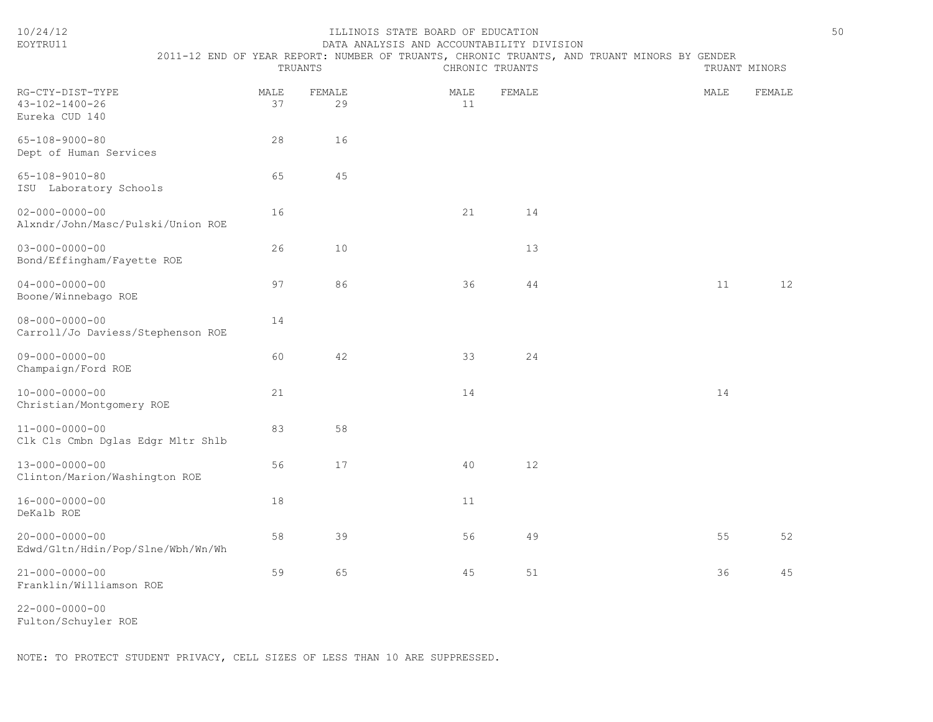| EOYTRU11                                                    |                                                                                             |            |              | DATA ANALYSIS AND ACCOUNTABILITY DIVISION |                 |  |               |                   |
|-------------------------------------------------------------|---------------------------------------------------------------------------------------------|------------|--------------|-------------------------------------------|-----------------|--|---------------|-------------------|
|                                                             | 2011-12 END OF YEAR REPORT: NUMBER OF TRUANTS, CHRONIC TRUANTS, AND TRUANT MINORS BY GENDER | TRUANTS    |              |                                           | CHRONIC TRUANTS |  | TRUANT MINORS |                   |
| RG-CTY-DIST-TYPE<br>43-102-1400-26<br>Eureka CUD 140        |                                                                                             | MALE<br>37 | FEMALE<br>29 | MALE<br>11                                | FEMALE          |  | MALE          | FEMALE            |
| $65 - 108 - 9000 - 80$<br>Dept of Human Services            |                                                                                             | 28         | 16           |                                           |                 |  |               |                   |
| $65 - 108 - 9010 - 80$<br>ISU Laboratory Schools            |                                                                                             | 65         | 45           |                                           |                 |  |               |                   |
| $02 - 000 - 0000 - 00$<br>Alxndr/John/Masc/Pulski/Union ROE |                                                                                             | 16         |              | 21                                        | 14              |  |               |                   |
| $03 - 000 - 0000 - 00$<br>Bond/Effingham/Fayette ROE        |                                                                                             | 26         | 10           |                                           | 13              |  |               |                   |
| $04 - 000 - 0000 - 00$<br>Boone/Winnebago ROE               |                                                                                             | 97         | 86           | 36                                        | 44              |  | 11            | $12 \overline{ }$ |
| $08 - 000 - 0000 - 00$<br>Carroll/Jo Daviess/Stephenson ROE |                                                                                             | 14         |              |                                           |                 |  |               |                   |
| $09 - 000 - 0000 - 00$<br>Champaign/Ford ROE                |                                                                                             | 60         | 42           | 33                                        | 24              |  |               |                   |
| $10 - 000 - 0000 - 00$<br>Christian/Montgomery ROE          |                                                                                             | 21         |              | 14                                        |                 |  | 14            |                   |
| $11 - 000 - 0000 - 00$<br>Clk Cls Cmbn Dglas Edgr Mltr Shlb |                                                                                             | 83         | 58           |                                           |                 |  |               |                   |
| $13 - 000 - 0000 - 00$<br>Clinton/Marion/Washington ROE     |                                                                                             | 56         | 17           | 40                                        | 12              |  |               |                   |
| $16 - 000 - 0000 - 00$<br>DeKalb ROE                        |                                                                                             | 18         |              | 11                                        |                 |  |               |                   |
| $20 - 000 - 0000 - 00$<br>Edwd/Gltn/Hdin/Pop/Slne/Wbh/Wn/Wh |                                                                                             | 58         | 39           | 56                                        | 49              |  | 55            | 52                |
| $21 - 000 - 0000 - 00$<br>Franklin/Williamson ROE           |                                                                                             | 59         | 65           | 45                                        | 51              |  | 36            | 45                |

22-000-0000-00 Fulton/Schuyler ROE

NOTE: TO PROTECT STUDENT PRIVACY, CELL SIZES OF LESS THAN 10 ARE SUPPRESSED.

10/24/12 ILLINOIS STATE BOARD OF EDUCATION 50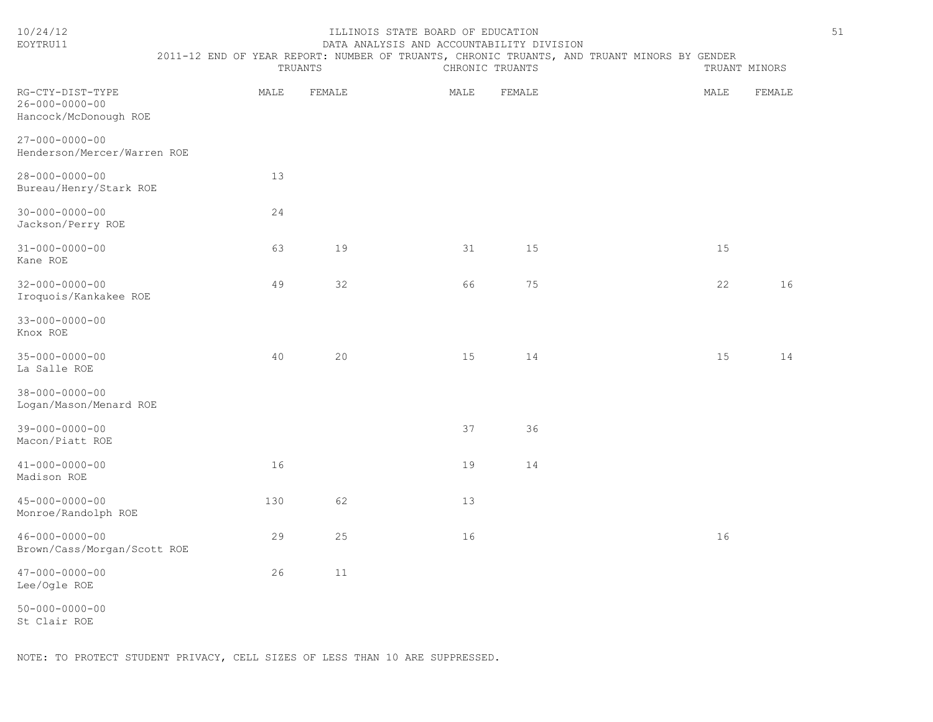| 10/24/12<br>EOYTRU11                                                | ILLINOIS STATE BOARD OF EDUCATION<br>51<br>DATA ANALYSIS AND ACCOUNTABILITY DIVISION        |         |                 |        |               |      |        |  |  |
|---------------------------------------------------------------------|---------------------------------------------------------------------------------------------|---------|-----------------|--------|---------------|------|--------|--|--|
|                                                                     | 2011-12 END OF YEAR REPORT: NUMBER OF TRUANTS, CHRONIC TRUANTS, AND TRUANT MINORS BY GENDER | TRUANTS | CHRONIC TRUANTS |        | TRUANT MINORS |      |        |  |  |
| RG-CTY-DIST-TYPE<br>$26 - 000 - 0000 - 00$<br>Hancock/McDonough ROE | MALE                                                                                        | FEMALE  | MALE            | FEMALE |               | MALE | FEMALE |  |  |
| $27 - 000 - 0000 - 00$<br>Henderson/Mercer/Warren ROE               |                                                                                             |         |                 |        |               |      |        |  |  |
| $28 - 000 - 0000 - 00$<br>Bureau/Henry/Stark ROE                    | 13                                                                                          |         |                 |        |               |      |        |  |  |
| $30 - 000 - 0000 - 00$<br>Jackson/Perry ROE                         | 24                                                                                          |         |                 |        |               |      |        |  |  |
| $31 - 000 - 0000 - 00$<br>Kane ROE                                  | 63                                                                                          | 19      | 31              | 15     |               | 15   |        |  |  |
| $32 - 000 - 0000 - 00$<br>Iroquois/Kankakee ROE                     | 49                                                                                          | 32      | 66              | 75     |               | 22   | 16     |  |  |
| $33 - 000 - 0000 - 00$<br>Knox ROE                                  |                                                                                             |         |                 |        |               |      |        |  |  |
| $35 - 000 - 0000 - 00$<br>La Salle ROE                              | 40                                                                                          | 20      | 15              | 14     |               | 15   | 14     |  |  |
| $38 - 000 - 0000 - 00$<br>Logan/Mason/Menard ROE                    |                                                                                             |         |                 |        |               |      |        |  |  |
| $39 - 000 - 0000 - 00$<br>Macon/Piatt ROE                           |                                                                                             |         | 37              | 36     |               |      |        |  |  |
| $41 - 000 - 0000 - 00$<br>Madison ROE                               | 16                                                                                          |         | 19              | 14     |               |      |        |  |  |
| $45 - 000 - 0000 - 00$<br>Monroe/Randolph ROE                       | 130                                                                                         | 62      | 13              |        |               |      |        |  |  |
| $46 - 000 - 0000 - 00$<br>Brown/Cass/Morgan/Scott ROE               | 29                                                                                          | 25      | 16              |        |               | 16   |        |  |  |
| $47 - 000 - 0000 - 00$<br>Lee/Ogle ROE                              | 26                                                                                          | 11      |                 |        |               |      |        |  |  |
| $50 - 000 - 0000 - 00$                                              |                                                                                             |         |                 |        |               |      |        |  |  |

St Clair ROE